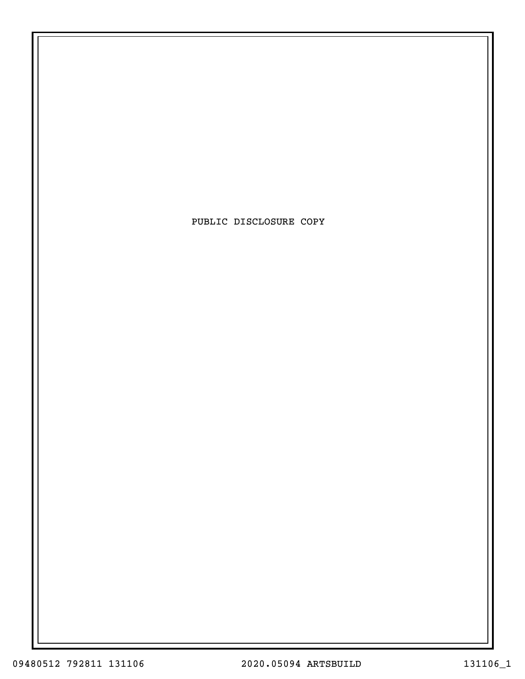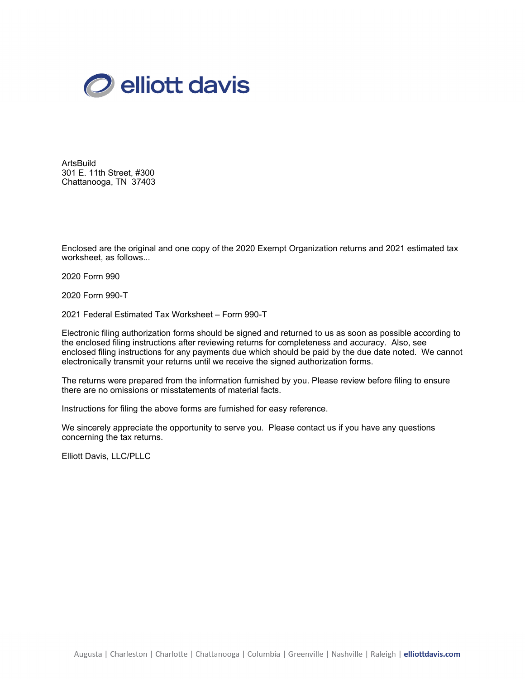

**ArtsBuild** 301 E. 11th Street, #300 Chattanooga, TN 37403

Enclosed are the original and one copy of the 2020 Exempt Organization returns and 2021 estimated tax worksheet, as follows...

2020 Form 990

2020 Form 990-T

2021 Federal Estimated Tax Worksheet – Form 990-T

Electronic filing authorization forms should be signed and returned to us as soon as possible according to the enclosed filing instructions after reviewing returns for completeness and accuracy. Also, see enclosed filing instructions for any payments due which should be paid by the due date noted. We cannot electronically transmit your returns until we receive the signed authorization forms.

The returns were prepared from the information furnished by you. Please review before filing to ensure there are no omissions or misstatements of material facts.

Instructions for filing the above forms are furnished for easy reference.

We sincerely appreciate the opportunity to serve you. Please contact us if you have any questions concerning the tax returns.

Elliott Davis, LLC/PLLC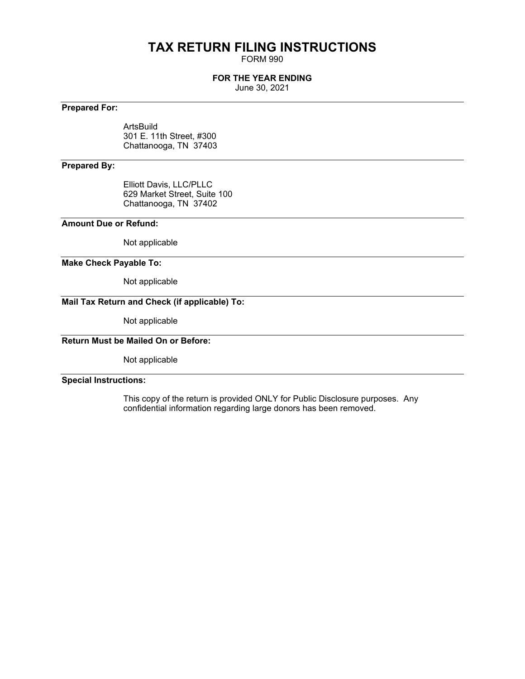# **TAX RETURN FILING INSTRUCTIONS**

FORM 990

#### **FOR THE YEAR ENDING**

June 30, 2021

#### **Prepared For:**

ArtsBuild 301 E. 11th Street, #300 Chattanooga, TN 37403

### **Prepared By:**

Elliott Davis, LLC/PLLC 629 Market Street, Suite 100 Chattanooga, TN 37402

### **Amount Due or Refund:**

Not applicable

#### **Make Check Payable To:**

Not applicable

#### **Mail Tax Return and Check (if applicable) To:**

Not applicable

#### **Return Must be Mailed On or Before:**

Not applicable

#### **Special Instructions:**

This copy of the return is provided ONLY for Public Disclosure purposes. Any confidential information regarding large donors has been removed.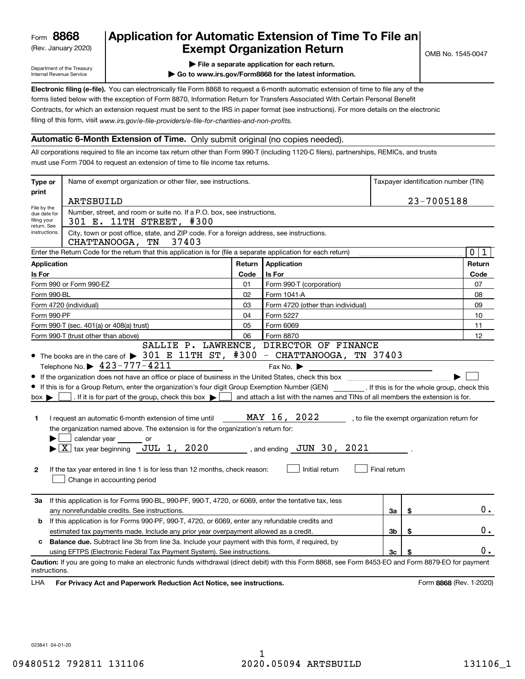(Rev. January 2020)

# **Application for Automatic Extension of Time To File an Exempt Organization Return**

Department of the Treasury Internal Revenue Service

**| File a separate application for each return.**

**| Go to www.irs.gov/Form8868 for the latest information.**

**Electronic filing (e-file).**  You can electronically file Form 8868 to request a 6-month automatic extension of time to file any of the filing of this form, visit www.irs.gov/e-file-providers/e-file-for-charities-and-non-profits. forms listed below with the exception of Form 8870, Information Return for Transfers Associated With Certain Personal Benefit Contracts, for which an extension request must be sent to the IRS in paper format (see instructions). For more details on the electronic

#### **Automatic 6-Month Extension of Time.** Only submit original (no copies needed).

All corporations required to file an income tax return other than Form 990-T (including 1120-C filers), partnerships, REMICs, and trusts must use Form 7004 to request an extension of time to file income tax returns.

| Type or                                                                                                      | Name of exempt organization or other filer, see instructions.                                                                                       |        |                                         |              | Taxpayer identification number (TIN) |                                              |  |
|--------------------------------------------------------------------------------------------------------------|-----------------------------------------------------------------------------------------------------------------------------------------------------|--------|-----------------------------------------|--------------|--------------------------------------|----------------------------------------------|--|
| print                                                                                                        | ARTSBUILD                                                                                                                                           |        |                                         | 23-7005188   |                                      |                                              |  |
| File by the<br>due date for<br>filing your<br>return. See                                                    | Number, street, and room or suite no. If a P.O. box, see instructions.<br>301 E. 11TH STREET, #300                                                  |        |                                         |              |                                      |                                              |  |
| instructions.                                                                                                | City, town or post office, state, and ZIP code. For a foreign address, see instructions.<br>CHATTANOOGA, TN<br>37403                                |        |                                         |              |                                      | $\mathbf 0$                                  |  |
|                                                                                                              | Enter the Return Code for the return that this application is for (file a separate application for each return)                                     |        |                                         |              |                                      |                                              |  |
| <b>Application</b>                                                                                           |                                                                                                                                                     | Return | Application                             |              |                                      | Return                                       |  |
| Is For                                                                                                       |                                                                                                                                                     | Code   | Is For                                  |              |                                      | Code                                         |  |
|                                                                                                              | Form 990 or Form 990-EZ                                                                                                                             | 01     | Form 990-T (corporation)                |              |                                      | 07                                           |  |
| Form 990-BL                                                                                                  |                                                                                                                                                     | 02     | Form 1041-A                             |              |                                      | 08                                           |  |
|                                                                                                              | Form 4720 (individual)                                                                                                                              | 03     | Form 4720 (other than individual)       |              |                                      | 09                                           |  |
| Form 990-PF                                                                                                  |                                                                                                                                                     | 04     | Form 5227                               |              |                                      | 10                                           |  |
|                                                                                                              | Form 990-T (sec. 401(a) or 408(a) trust)                                                                                                            | 05     | Form 6069                               |              |                                      | 11                                           |  |
|                                                                                                              | Form 990-T (trust other than above)                                                                                                                 | 06     | Form 8870                               |              |                                      | 12                                           |  |
|                                                                                                              |                                                                                                                                                     |        | SALLIE P. LAWRENCE, DIRECTOR OF FINANCE |              |                                      |                                              |  |
|                                                                                                              | • The books are in the care of $\triangleright$ 301 E 11TH ST, #300 - CHATTANOOGA, TN 37403                                                         |        |                                         |              |                                      |                                              |  |
|                                                                                                              | Telephone No. $\triangleright$ 423-777-4211                                                                                                         |        | Fax No. $\blacktriangleright$           |              |                                      |                                              |  |
|                                                                                                              |                                                                                                                                                     |        |                                         |              |                                      |                                              |  |
|                                                                                                              | If this is for a Group Return, enter the organization's four digit Group Exemption Number (GEN) [If this is for the whole group, check this         |        |                                         |              |                                      |                                              |  |
| $box \blacktriangleright$                                                                                    | . If it is for part of the group, check this box $\bullet$ $\bullet$ and attach a list with the names and TINs of all members the extension is for. |        |                                         |              |                                      |                                              |  |
|                                                                                                              |                                                                                                                                                     |        |                                         |              |                                      |                                              |  |
| 1                                                                                                            | I request an automatic 6-month extension of time until                                                                                              |        | MAY 16, 2022                            |              |                                      | , to file the exempt organization return for |  |
|                                                                                                              | the organization named above. The extension is for the organization's return for:                                                                   |        |                                         |              |                                      |                                              |  |
|                                                                                                              | calendar year _______ or                                                                                                                            |        |                                         |              |                                      |                                              |  |
|                                                                                                              | $\blacktriangleright$ $\boxed{\text{X}}$ tax year beginning $\boxed{\text{JUL}}$ 1, 2020                                                            |        | , and ending $JUN$ 30, $2021$           |              |                                      |                                              |  |
|                                                                                                              |                                                                                                                                                     |        |                                         |              |                                      |                                              |  |
| 2                                                                                                            | If the tax year entered in line 1 is for less than 12 months, check reason:                                                                         |        | Initial return                          | Final return |                                      |                                              |  |
|                                                                                                              | Change in accounting period                                                                                                                         |        |                                         |              |                                      |                                              |  |
|                                                                                                              |                                                                                                                                                     |        |                                         |              |                                      |                                              |  |
| За                                                                                                           | If this application is for Forms 990-BL, 990-PF, 990-T, 4720, or 6069, enter the tentative tax, less                                                |        |                                         |              |                                      |                                              |  |
|                                                                                                              | any nonrefundable credits. See instructions.                                                                                                        |        |                                         | За           | \$                                   | 0.                                           |  |
| b                                                                                                            | If this application is for Forms 990-PF, 990-T, 4720, or 6069, enter any refundable credits and                                                     |        |                                         |              |                                      |                                              |  |
|                                                                                                              | estimated tax payments made. Include any prior year overpayment allowed as a credit.                                                                |        |                                         | 3b           | \$                                   | $0$ .                                        |  |
| <b>Balance due.</b> Subtract line 3b from line 3a. Include your payment with this form, if required, by<br>c |                                                                                                                                                     |        |                                         |              |                                      |                                              |  |
|                                                                                                              | using EFTPS (Electronic Federal Tax Payment System). See instructions.                                                                              |        |                                         | 3c           | \$                                   | υ.                                           |  |
| instructions.                                                                                                | Caution: If you are going to make an electronic funds withdrawal (direct debit) with this Form 8868, see Form 8453-EO and Form 8879-EO for payment  |        |                                         |              |                                      |                                              |  |
| LHA                                                                                                          | For Privacy Act and Paperwork Reduction Act Notice, see instructions.                                                                               |        |                                         |              |                                      | Form 8868 (Rev. 1-2020)                      |  |

023841 04-01-20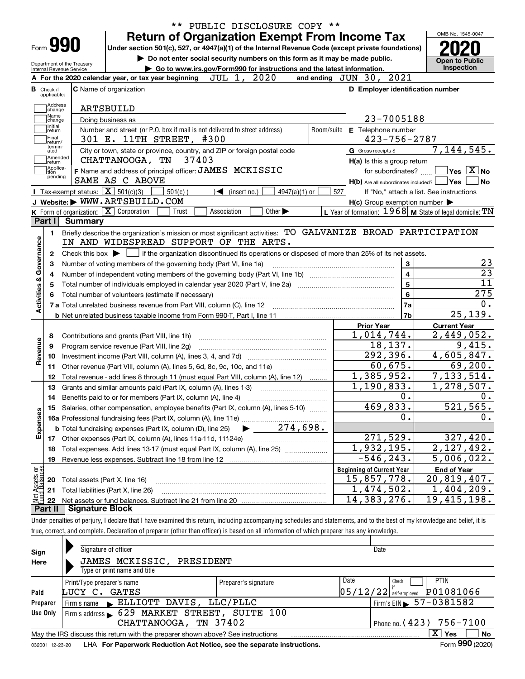|                                                                                              | Form 990                   |                                                                                                                  | <b>Return of Organization Exempt From Income Tax</b>                        |                                   |                                                                                                                                                     |            |                                                     |                    | OMB No. 1545-0047                                         |                                                                                                                 |
|----------------------------------------------------------------------------------------------|----------------------------|------------------------------------------------------------------------------------------------------------------|-----------------------------------------------------------------------------|-----------------------------------|-----------------------------------------------------------------------------------------------------------------------------------------------------|------------|-----------------------------------------------------|--------------------|-----------------------------------------------------------|-----------------------------------------------------------------------------------------------------------------|
|                                                                                              |                            | Under section 501(c), 527, or 4947(a)(1) of the Internal Revenue Code (except private foundations)               |                                                                             |                                   |                                                                                                                                                     |            |                                                     |                    |                                                           |                                                                                                                 |
|                                                                                              | Department of the Treasury |                                                                                                                  | Do not enter social security numbers on this form as it may be made public. |                                   |                                                                                                                                                     |            |                                                     |                    | <b>Open to Public</b><br>Inspection                       |                                                                                                                 |
|                                                                                              | Internal Revenue Service   | A For the 2020 calendar year, or tax year beginning                                                              | Go to www.irs.gov/Form990 for instructions and the latest information.      | JUL 1, 2020                       |                                                                                                                                                     |            | and ending JUN 30, 2021                             |                    |                                                           |                                                                                                                 |
| Check if                                                                                     |                            | C Name of organization                                                                                           |                                                                             |                                   |                                                                                                                                                     |            |                                                     |                    | D Employer identification number                          |                                                                                                                 |
| applicable:                                                                                  |                            |                                                                                                                  |                                                                             |                                   |                                                                                                                                                     |            |                                                     |                    |                                                           |                                                                                                                 |
| Address<br>change                                                                            |                            | ARTSBUILD                                                                                                        |                                                                             |                                   |                                                                                                                                                     |            |                                                     |                    |                                                           |                                                                                                                 |
| Name<br>change                                                                               |                            | Doing business as                                                                                                |                                                                             |                                   |                                                                                                                                                     |            |                                                     | 23-7005188         |                                                           |                                                                                                                 |
| Initial<br>return                                                                            |                            | Number and street (or P.O. box if mail is not delivered to street address)                                       |                                                                             |                                   |                                                                                                                                                     | Room/suite | E Telephone number                                  |                    |                                                           |                                                                                                                 |
| Final<br>return/                                                                             |                            | 301 E. 11TH STREET, #300                                                                                         |                                                                             |                                   |                                                                                                                                                     |            |                                                     | $423 - 756 - 2787$ |                                                           |                                                                                                                 |
| termin-<br>ated                                                                              |                            | City or town, state or province, country, and ZIP or foreign postal code                                         |                                                                             |                                   |                                                                                                                                                     |            | G Gross receipts \$                                 |                    | 7, 144, 545.                                              |                                                                                                                 |
| Amended<br> return                                                                           |                            | CHATTANOOGA, TN 37403                                                                                            |                                                                             |                                   |                                                                                                                                                     |            | H(a) Is this a group return                         |                    |                                                           |                                                                                                                 |
| Applica-<br>tion                                                                             |                            | F Name and address of principal officer: JAMES MCKISSIC                                                          |                                                                             |                                   |                                                                                                                                                     |            |                                                     | for subordinates?  |                                                           | $\sqrt{}$ Yes $\sqrt{}$ X $\sqrt{}$ No                                                                          |
| pending                                                                                      |                            | SAME AS C ABOVE                                                                                                  |                                                                             |                                   |                                                                                                                                                     |            |                                                     |                    | $H(b)$ Are all subordinates included? $\Box$ Yes          | <b>No</b>                                                                                                       |
|                                                                                              |                            | <b>I</b> Tax-exempt status: $\boxed{\mathbf{X}}$ 501(c)(3)                                                       | $501(c)$ (                                                                  | $\blacktriangleleft$ (insert no.) | 4947(a)(1) or                                                                                                                                       | 527        |                                                     |                    | If "No," attach a list. See instructions                  |                                                                                                                 |
|                                                                                              |                            | J Website: WWW.ARTSBUILD.COM                                                                                     |                                                                             |                                   |                                                                                                                                                     |            | $H(c)$ Group exemption number $\blacktriangleright$ |                    |                                                           |                                                                                                                 |
| Part I                                                                                       |                            | K Form of organization: $\boxed{\mathbf{X}}$ Corporation                                                         | Trust                                                                       | Association                       | Other $\blacktriangleright$                                                                                                                         |            |                                                     |                    | L Year of formation: $1968$ M State of legal domicile: TN |                                                                                                                 |
|                                                                                              | <b>Summary</b>             | Briefly describe the organization's mission or most significant activities: TO GALVANIZE BROAD PARTICIPATION     |                                                                             |                                   |                                                                                                                                                     |            |                                                     |                    |                                                           |                                                                                                                 |
| З                                                                                            |                            | Number of voting members of the governing body (Part VI, line 1a)                                                |                                                                             |                                   | Check this box $\blacktriangleright$ $\blacksquare$ if the organization discontinued its operations or disposed of more than 25% of its net assets. |            |                                                     | 3                  |                                                           |                                                                                                                 |
|                                                                                              |                            |                                                                                                                  |                                                                             |                                   |                                                                                                                                                     |            |                                                     | $\overline{4}$     |                                                           |                                                                                                                 |
|                                                                                              |                            | Total number of individuals employed in calendar year 2020 (Part V, line 2a) manufacture controller to intervent |                                                                             |                                   |                                                                                                                                                     |            |                                                     | $\overline{5}$     |                                                           |                                                                                                                 |
|                                                                                              |                            |                                                                                                                  |                                                                             |                                   |                                                                                                                                                     |            |                                                     | 6<br>7a            |                                                           |                                                                                                                 |
|                                                                                              |                            |                                                                                                                  |                                                                             |                                   |                                                                                                                                                     |            |                                                     | 7 <sub>b</sub>     |                                                           |                                                                                                                 |
|                                                                                              |                            |                                                                                                                  |                                                                             |                                   |                                                                                                                                                     |            | <b>Prior Year</b>                                   |                    | <b>Current Year</b>                                       |                                                                                                                 |
| 8                                                                                            |                            | Contributions and grants (Part VIII, line 1h)                                                                    |                                                                             |                                   |                                                                                                                                                     |            | 1,014,744.                                          |                    | 2,449,052.                                                |                                                                                                                 |
| 9                                                                                            |                            | Program service revenue (Part VIII, line 2g)                                                                     |                                                                             |                                   |                                                                                                                                                     |            |                                                     | 18,137.            |                                                           |                                                                                                                 |
| 10                                                                                           |                            |                                                                                                                  |                                                                             |                                   |                                                                                                                                                     |            |                                                     | 292,396.           | 4,605,847.                                                |                                                                                                                 |
| 11                                                                                           |                            | Other revenue (Part VIII, column (A), lines 5, 6d, 8c, 9c, 10c, and 11e)                                         |                                                                             |                                   |                                                                                                                                                     |            |                                                     | 60,675.            |                                                           |                                                                                                                 |
| 12                                                                                           |                            | Total revenue - add lines 8 through 11 (must equal Part VIII, column (A), line 12)                               |                                                                             |                                   |                                                                                                                                                     |            | $\overline{1,385}$ , 952.                           |                    | 7,133,514.                                                |                                                                                                                 |
| 13                                                                                           |                            | Grants and similar amounts paid (Part IX, column (A), lines 1-3)                                                 |                                                                             |                                   |                                                                                                                                                     |            | 1,190,833.                                          |                    | 1,278,507.                                                |                                                                                                                 |
| 14                                                                                           |                            | Benefits paid to or for members (Part IX, column (A), line 4)                                                    |                                                                             |                                   |                                                                                                                                                     |            |                                                     | 0.                 |                                                           |                                                                                                                 |
|                                                                                              |                            | 15 Salaries, other compensation, employee benefits (Part IX, column (A), lines 5-10)                             |                                                                             |                                   |                                                                                                                                                     |            |                                                     | 469,833.           | 521,565.                                                  |                                                                                                                 |
|                                                                                              |                            |                                                                                                                  |                                                                             |                                   |                                                                                                                                                     |            |                                                     | 0.                 |                                                           |                                                                                                                 |
|                                                                                              |                            |                                                                                                                  |                                                                             |                                   |                                                                                                                                                     |            |                                                     |                    |                                                           |                                                                                                                 |
|                                                                                              |                            |                                                                                                                  |                                                                             |                                   |                                                                                                                                                     |            |                                                     | 271,529.           | 327,420.                                                  |                                                                                                                 |
| 18                                                                                           |                            | Total expenses. Add lines 13-17 (must equal Part IX, column (A), line 25)                                        |                                                                             |                                   |                                                                                                                                                     |            | 1,932,195.                                          |                    | $\overline{2,127,492.}$                                   |                                                                                                                 |
| 19                                                                                           |                            | Revenue less expenses. Subtract line 18 from line 12                                                             |                                                                             |                                   |                                                                                                                                                     |            | $-546, 243.$                                        |                    | 5,006,022.                                                |                                                                                                                 |
|                                                                                              |                            |                                                                                                                  |                                                                             |                                   |                                                                                                                                                     |            | <b>Beginning of Current Year</b>                    |                    | <b>End of Year</b>                                        |                                                                                                                 |
| 20                                                                                           |                            | Total assets (Part X, line 16)                                                                                   |                                                                             |                                   |                                                                                                                                                     |            | 15,857,778.                                         |                    | 20,819,407.                                               | 23<br>$\overline{23}$<br>$\overline{11}$<br>$\overline{275}$<br>0.<br>25, 139.<br>9,415.<br>69,200.<br>0.<br>0. |
| Activities & Governance<br>Revenue<br>Expenses<br>Net Assets or<br>Fund Balances<br>21<br>22 |                            | Total liabilities (Part X, line 26)                                                                              |                                                                             |                                   |                                                                                                                                                     |            | 1,474,502.<br>14,383,276.                           |                    | 1,404,209.<br>19,415,198.                                 |                                                                                                                 |

| Sign<br>Here | Signature of officer<br>JAMES MCKISSIC, PRESIDENT<br>Type or print name and title                     |                      | Date                                                                   |                          |  |  |  |  |
|--------------|-------------------------------------------------------------------------------------------------------|----------------------|------------------------------------------------------------------------|--------------------------|--|--|--|--|
| Paid         | Print/Type preparer's name<br>LUCY C. GATES                                                           | Preparer's signature | Date<br>Check<br>$05/12/22$ self-employed                              | <b>PTIN</b><br>P01081066 |  |  |  |  |
| Preparer     | Firm's name ELLIOTT DAVIS, LLC/PLLC                                                                   |                      | $!\mathsf{Firm}\mathsf{'s}\mathsf{EIN} \blacktriangleright 57-0381582$ |                          |  |  |  |  |
| Use Only     | Firm's address 629 MARKET STREET, SUITE 100<br>TN 37402<br>CHATTANOOGA,<br>Phone no. $(423)$ 756-7100 |                      |                                                                        |                          |  |  |  |  |
|              | May the IRS discuss this return with the preparer shown above? See instructions                       |                      |                                                                        | x<br>No<br>Yes           |  |  |  |  |
|              |                                                                                                       |                      |                                                                        | $000$ $(000)$<br>-       |  |  |  |  |

true, correct, and complete. Declaration of preparer (other than officer) is based on all information of which preparer has any knowledge.

032001 12-23-20 LHA **For Paperwork Reduction Act Notice, see the separate instructions.** Form 990 (2020)

**990**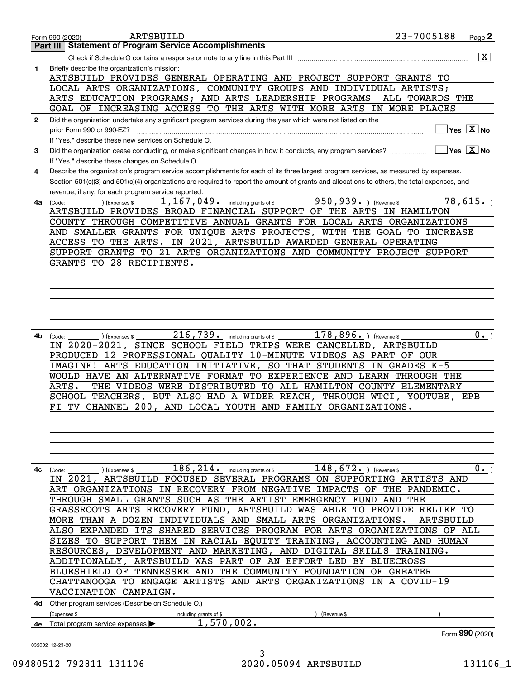|              | ARTSBUILD<br>Form 990 (2020)                                                                                                                   | 23-7005188           | Page 2                                          |
|--------------|------------------------------------------------------------------------------------------------------------------------------------------------|----------------------|-------------------------------------------------|
|              | <b>Part III Statement of Program Service Accomplishments</b>                                                                                   |                      |                                                 |
|              |                                                                                                                                                |                      | $\overline{\mathbf{X}}$                         |
| $\mathbf{1}$ | Briefly describe the organization's mission:                                                                                                   |                      |                                                 |
|              | ARTSBUILD PROVIDES GENERAL OPERATING AND PROJECT SUPPORT GRANTS TO                                                                             |                      |                                                 |
|              | LOCAL ARTS ORGANIZATIONS, COMMUNITY GROUPS AND INDIVIDUAL ARTISTS;                                                                             |                      |                                                 |
|              | ARTS EDUCATION PROGRAMS; AND ARTS LEADERSHIP PROGRAMS                                                                                          | ALL TOWARDS THE      |                                                 |
|              | GOAL OF INCREASING ACCESS TO THE ARTS WITH MORE ARTS IN MORE PLACES                                                                            |                      |                                                 |
| $\mathbf{2}$ | Did the organization undertake any significant program services during the year which were not listed on the                                   |                      |                                                 |
|              | prior Form 990 or 990-EZ?                                                                                                                      |                      | $\overline{\ }$ Yes $\overline{\phantom{X}}$ No |
|              | If "Yes," describe these new services on Schedule O.                                                                                           |                      |                                                 |
| 3            | Did the organization cease conducting, or make significant changes in how it conducts, any program services?                                   | $\Box$ Yes $\Box$ No |                                                 |
|              | If "Yes," describe these changes on Schedule O.                                                                                                |                      |                                                 |
| 4            | Describe the organization's program service accomplishments for each of its three largest program services, as measured by expenses.           |                      |                                                 |
|              | Section 501(c)(3) and 501(c)(4) organizations are required to report the amount of grants and allocations to others, the total expenses, and   |                      |                                                 |
| 4a           | revenue, if any, for each program service reported.<br>1, 167, 049. including grants of \$ 950, 939. ) (Revenue \$<br>) (Expenses \$<br>(Code: |                      | 78,615.                                         |
|              | ARTSBUILD PROVIDES BROAD FINANCIAL SUPPORT OF THE ARTS IN HAMILTON                                                                             |                      |                                                 |
|              | COUNTY THROUGH COMPETITIVE ANNUAL GRANTS FOR LOCAL ARTS ORGANIZATIONS                                                                          |                      |                                                 |
|              | AND SMALLER GRANTS FOR UNIQUE ARTS PROJECTS, WITH THE GOAL TO INCREASE                                                                         |                      |                                                 |
|              | ACCESS TO THE ARTS. IN 2021, ARTSBUILD AWARDED GENERAL OPERATING                                                                               |                      |                                                 |
|              | SUPPORT GRANTS TO 21 ARTS ORGANIZATIONS AND COMMUNITY PROJECT SUPPORT                                                                          |                      |                                                 |
|              | GRANTS TO 28 RECIPIENTS.                                                                                                                       |                      |                                                 |
|              |                                                                                                                                                |                      |                                                 |
|              |                                                                                                                                                |                      |                                                 |
|              |                                                                                                                                                |                      |                                                 |
|              |                                                                                                                                                |                      |                                                 |
|              |                                                                                                                                                |                      |                                                 |
|              |                                                                                                                                                |                      |                                                 |
| 4b           | 216, 739. including grants of \$<br>$178,896.$ ) (Revenue \$<br>) (Expenses \$<br>(Code:                                                       |                      | 0.                                              |
|              | IN 2020-2021, SINCE SCHOOL FIELD TRIPS WERE CANCELLED, ARTSBUILD                                                                               |                      |                                                 |
|              | PRODUCED 12 PROFESSIONAL QUALITY 10-MINUTE VIDEOS AS PART OF OUR                                                                               |                      |                                                 |
|              | IMAGINE! ARTS EDUCATION INITIATIVE, SO THAT STUDENTS IN GRADES K-5                                                                             |                      |                                                 |
|              | WOULD HAVE AN ALTERNATIVE FORMAT TO EXPERIENCE AND LEARN THROUGH THE                                                                           |                      |                                                 |
|              | ARTS.<br>THE VIDEOS WERE DISTRIBUTED TO ALL HAMILTON COUNTY ELEMENTARY                                                                         |                      |                                                 |
|              | SCHOOL TEACHERS, BUT ALSO HAD A WIDER REACH, THROUGH WTCI, YOUTUBE, EPB                                                                        |                      |                                                 |
|              | FI TV CHANNEL 200, AND LOCAL YOUTH AND FAMILY ORGANIZATIONS.                                                                                   |                      |                                                 |
|              |                                                                                                                                                |                      |                                                 |
|              |                                                                                                                                                |                      |                                                 |
|              |                                                                                                                                                |                      |                                                 |
|              |                                                                                                                                                |                      |                                                 |
|              |                                                                                                                                                |                      |                                                 |
| 4c           | $186, 214$ . including grants of \$<br>148,672. $ $ (Revenue \$<br>(Code:<br>) (Expenses \$                                                    |                      | $0 \cdot$ )                                     |
|              | ARTSBUILD FOCUSED SEVERAL PROGRAMS ON SUPPORTING ARTISTS AND<br>IN 2021,                                                                       |                      |                                                 |
|              | ART ORGANIZATIONS IN RECOVERY FROM NEGATIVE IMPACTS OF THE PANDEMIC.                                                                           |                      |                                                 |
|              | THROUGH SMALL GRANTS SUCH AS THE ARTIST EMERGENCY FUND AND THE                                                                                 |                      |                                                 |
|              | GRASSROOTS ARTS RECOVERY FUND, ARTSBUILD WAS ABLE TO PROVIDE RELIEF TO                                                                         |                      |                                                 |
|              | MORE THAN A DOZEN INDIVIDUALS AND SMALL ARTS ORGANIZATIONS.                                                                                    | ARTSBUILD            |                                                 |
|              | ALSO EXPANDED ITS SHARED SERVICES PROGRAM FOR ARTS ORGANIZATIONS OF ALL                                                                        |                      |                                                 |
|              | SIZES TO SUPPORT THEM IN RACIAL EQUITY TRAINING, ACCOUNTING AND HUMAN                                                                          |                      |                                                 |
|              | RESOURCES, DEVELOPMENT AND MARKETING, AND DIGITAL SKILLS TRAINING.                                                                             |                      |                                                 |
|              | ADDITIONALLY, ARTSBUILD WAS PART OF AN EFFORT LED BY BLUECROSS                                                                                 |                      |                                                 |
|              | BLUESHIELD OF TENNESSEE AND THE COMMUNITY FOUNDATION OF GREATER                                                                                |                      |                                                 |
|              | CHATTANOOGA TO ENGAGE ARTISTS AND ARTS ORGANIZATIONS IN A COVID-19                                                                             |                      |                                                 |
|              | VACCINATION CAMPAIGN.                                                                                                                          |                      |                                                 |
|              | 4d Other program services (Describe on Schedule O.)                                                                                            |                      |                                                 |
|              | (Expenses \$<br>(Revenue \$<br>including grants of \$                                                                                          |                      |                                                 |
| 4е           | 1,570,002.<br>Total program service expenses                                                                                                   |                      |                                                 |
|              |                                                                                                                                                |                      | Form 990 (2020)                                 |
|              | 032002 12-23-20                                                                                                                                |                      |                                                 |
|              | 3                                                                                                                                              |                      |                                                 |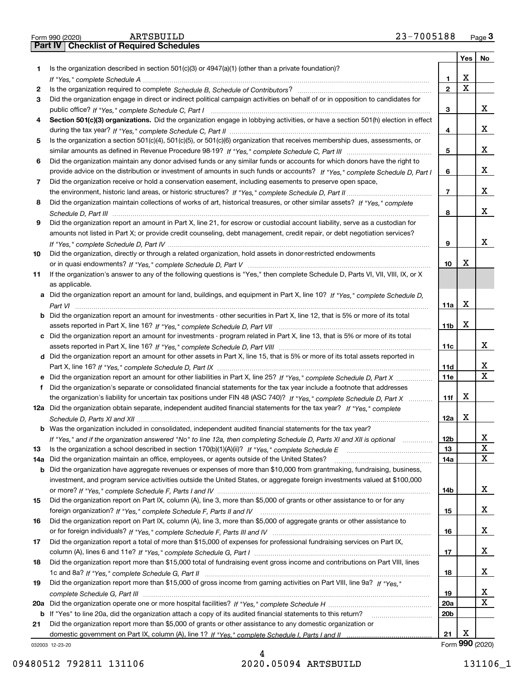|     | 23-7005188<br>ARTSBUILD<br>Form 990 (2020)                                                                                                                                                                                    |                 |     | Page $3$        |
|-----|-------------------------------------------------------------------------------------------------------------------------------------------------------------------------------------------------------------------------------|-----------------|-----|-----------------|
|     | <b>Part IV   Checklist of Required Schedules</b>                                                                                                                                                                              |                 |     |                 |
|     |                                                                                                                                                                                                                               |                 | Yes | No              |
| 1   | Is the organization described in section $501(c)(3)$ or $4947(a)(1)$ (other than a private foundation)?                                                                                                                       |                 |     |                 |
|     | If "Yes," complete Schedule A measure manufacture contract the Schedule A measure of the Schedule A measure manufacture of the Schedule A measure manufacture of the Schedule A measure manufacture of the Schedule A measure | 1.              | х   |                 |
| 2   |                                                                                                                                                                                                                               | $\mathbf{2}$    | X   |                 |
| З   | Did the organization engage in direct or indirect political campaign activities on behalf of or in opposition to candidates for                                                                                               |                 |     |                 |
|     |                                                                                                                                                                                                                               | 3               |     | x               |
| 4   | Section 501(c)(3) organizations. Did the organization engage in lobbying activities, or have a section 501(h) election in effect                                                                                              |                 |     |                 |
|     |                                                                                                                                                                                                                               | 4               |     | x               |
| 5   | Is the organization a section 501(c)(4), 501(c)(5), or 501(c)(6) organization that receives membership dues, assessments, or                                                                                                  |                 |     |                 |
|     |                                                                                                                                                                                                                               | 5               |     | x               |
| 6   | Did the organization maintain any donor advised funds or any similar funds or accounts for which donors have the right to                                                                                                     |                 |     |                 |
|     | provide advice on the distribution or investment of amounts in such funds or accounts? If "Yes," complete Schedule D, Part I                                                                                                  | 6               |     | x               |
| 7   | Did the organization receive or hold a conservation easement, including easements to preserve open space,                                                                                                                     |                 |     |                 |
|     |                                                                                                                                                                                                                               | $\overline{7}$  |     | x               |
| 8   | Did the organization maintain collections of works of art, historical treasures, or other similar assets? If "Yes," complete                                                                                                  |                 |     |                 |
|     |                                                                                                                                                                                                                               | 8               |     | x               |
|     | Did the organization report an amount in Part X, line 21, for escrow or custodial account liability, serve as a custodian for                                                                                                 |                 |     |                 |
| 9   | amounts not listed in Part X; or provide credit counseling, debt management, credit repair, or debt negotiation services?                                                                                                     |                 |     |                 |
|     |                                                                                                                                                                                                                               |                 |     | x               |
|     |                                                                                                                                                                                                                               | 9               |     |                 |
| 10  | Did the organization, directly or through a related organization, hold assets in donor-restricted endowments                                                                                                                  |                 |     |                 |
|     |                                                                                                                                                                                                                               | 10              | X   |                 |
| 11  | If the organization's answer to any of the following questions is "Yes," then complete Schedule D, Parts VI, VII, VIII, IX, or X                                                                                              |                 |     |                 |
|     | as applicable.                                                                                                                                                                                                                |                 |     |                 |
|     | a Did the organization report an amount for land, buildings, and equipment in Part X, line 10? If "Yes." complete Schedule D.                                                                                                 |                 |     |                 |
|     |                                                                                                                                                                                                                               | 11a             | Х   |                 |
|     | <b>b</b> Did the organization report an amount for investments - other securities in Part X, line 12, that is 5% or more of its total                                                                                         |                 |     |                 |
|     |                                                                                                                                                                                                                               | 11 <sub>b</sub> | Х   |                 |
|     | c Did the organization report an amount for investments - program related in Part X, line 13, that is 5% or more of its total                                                                                                 |                 |     |                 |
|     |                                                                                                                                                                                                                               | 11c             |     | x               |
|     | d Did the organization report an amount for other assets in Part X, line 15, that is 5% or more of its total assets reported in                                                                                               |                 |     |                 |
|     |                                                                                                                                                                                                                               | 11d             |     | x               |
|     |                                                                                                                                                                                                                               | <b>11e</b>      |     | $\mathbf X$     |
| f   | Did the organization's separate or consolidated financial statements for the tax year include a footnote that addresses                                                                                                       |                 |     |                 |
|     | the organization's liability for uncertain tax positions under FIN 48 (ASC 740)? If "Yes," complete Schedule D, Part X                                                                                                        | 11f             | x   |                 |
|     | 12a Did the organization obtain separate, independent audited financial statements for the tax year? If "Yes." complete                                                                                                       |                 |     |                 |
|     |                                                                                                                                                                                                                               | 12a             | X   |                 |
|     | <b>b</b> Was the organization included in consolidated, independent audited financial statements for the tax year?                                                                                                            |                 |     |                 |
|     | If "Yes," and if the organization answered "No" to line 12a, then completing Schedule D, Parts XI and XII is optional                                                                                                         | 12b             |     | x               |
| 13  |                                                                                                                                                                                                                               | 13              |     | $\mathbf x$     |
| 14a | Did the organization maintain an office, employees, or agents outside of the United States?                                                                                                                                   | 14a             |     | X               |
| b   | Did the organization have aggregate revenues or expenses of more than \$10,000 from grantmaking, fundraising, business,                                                                                                       |                 |     |                 |
|     | investment, and program service activities outside the United States, or aggregate foreign investments valued at \$100,000                                                                                                    |                 |     |                 |
|     |                                                                                                                                                                                                                               | 14b             |     | X               |
| 15  | Did the organization report on Part IX, column (A), line 3, more than \$5,000 of grants or other assistance to or for any                                                                                                     |                 |     |                 |
|     |                                                                                                                                                                                                                               | 15              |     | x               |
| 16  | Did the organization report on Part IX, column (A), line 3, more than \$5,000 of aggregate grants or other assistance to                                                                                                      |                 |     |                 |
|     |                                                                                                                                                                                                                               | 16              |     | x               |
| 17  | Did the organization report a total of more than \$15,000 of expenses for professional fundraising services on Part IX,                                                                                                       |                 |     |                 |
|     |                                                                                                                                                                                                                               | 17              |     | x               |
| 18  | Did the organization report more than \$15,000 total of fundraising event gross income and contributions on Part VIII, lines                                                                                                  |                 |     |                 |
|     |                                                                                                                                                                                                                               | 18              |     | x               |
|     | Did the organization report more than \$15,000 of gross income from gaming activities on Part VIII, line 9a? If "Yes."                                                                                                        |                 |     |                 |
| 19  |                                                                                                                                                                                                                               |                 |     | x               |
|     |                                                                                                                                                                                                                               | 19              |     | X               |
| 20a |                                                                                                                                                                                                                               | 20a             |     |                 |
| b   | If "Yes" to line 20a, did the organization attach a copy of its audited financial statements to this return?                                                                                                                  | 20 <sub>b</sub> |     |                 |
| 21  | Did the organization report more than \$5,000 of grants or other assistance to any domestic organization or                                                                                                                   |                 |     |                 |
|     |                                                                                                                                                                                                                               | 21              | х   |                 |
|     | 032003 12-23-20                                                                                                                                                                                                               |                 |     | Form 990 (2020) |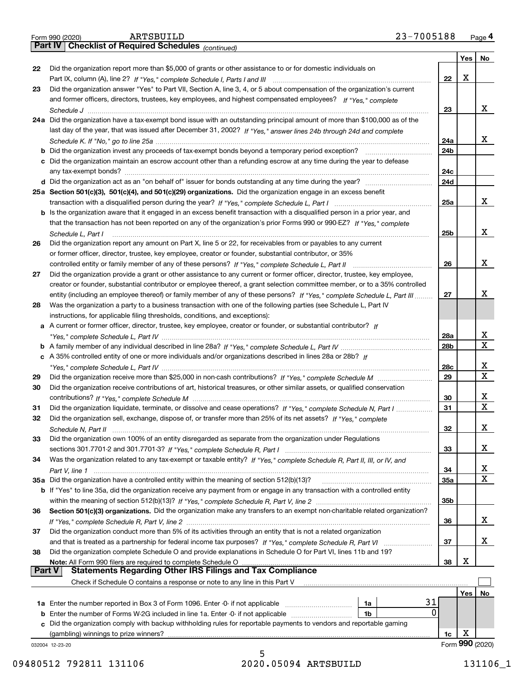|               | 23-7005188<br>ARTSBUILD<br>Form 990 (2020)                                                                                        |                 |     | Page 4                                             |
|---------------|-----------------------------------------------------------------------------------------------------------------------------------|-----------------|-----|----------------------------------------------------|
|               | <b>Part IV   Checklist of Required Schedules</b> (continued)                                                                      |                 |     |                                                    |
|               |                                                                                                                                   |                 | Yes | No                                                 |
| 22            | Did the organization report more than \$5,000 of grants or other assistance to or for domestic individuals on                     |                 |     |                                                    |
|               |                                                                                                                                   | 22              | Х   |                                                    |
| 23            | Did the organization answer "Yes" to Part VII, Section A, line 3, 4, or 5 about compensation of the organization's current        |                 |     |                                                    |
|               | and former officers, directors, trustees, key employees, and highest compensated employees? If "Yes," complete                    |                 |     |                                                    |
|               |                                                                                                                                   | 23              |     | X                                                  |
|               | 24a Did the organization have a tax-exempt bond issue with an outstanding principal amount of more than \$100,000 as of the       |                 |     |                                                    |
|               | last day of the year, that was issued after December 31, 2002? If "Yes," answer lines 24b through 24d and complete                |                 |     |                                                    |
|               |                                                                                                                                   | 24a             |     | x                                                  |
|               |                                                                                                                                   | 24 <sub>b</sub> |     |                                                    |
|               | c Did the organization maintain an escrow account other than a refunding escrow at any time during the year to defease            |                 |     |                                                    |
|               |                                                                                                                                   | 24c             |     |                                                    |
|               |                                                                                                                                   | 24d             |     |                                                    |
|               |                                                                                                                                   |                 |     |                                                    |
|               | 25a Section 501(c)(3), 501(c)(4), and 501(c)(29) organizations. Did the organization engage in an excess benefit                  |                 |     |                                                    |
|               |                                                                                                                                   | 25a             |     | X                                                  |
|               | b Is the organization aware that it engaged in an excess benefit transaction with a disqualified person in a prior year, and      |                 |     |                                                    |
|               | that the transaction has not been reported on any of the organization's prior Forms 990 or 990-EZ? If "Yes," complete             |                 |     |                                                    |
|               | Schedule L, Part I                                                                                                                | 25b             |     | X                                                  |
| 26            | Did the organization report any amount on Part X, line 5 or 22, for receivables from or payables to any current                   |                 |     |                                                    |
|               | or former officer, director, trustee, key employee, creator or founder, substantial contributor, or 35%                           |                 |     |                                                    |
|               | controlled entity or family member of any of these persons? If "Yes," complete Schedule L, Part II                                | 26              |     | x                                                  |
| 27            | Did the organization provide a grant or other assistance to any current or former officer, director, trustee, key employee,       |                 |     |                                                    |
|               | creator or founder, substantial contributor or employee thereof, a grant selection committee member, or to a 35% controlled       |                 |     |                                                    |
|               | entity (including an employee thereof) or family member of any of these persons? If "Yes," complete Schedule L, Part III          | 27              |     | х                                                  |
| 28            | Was the organization a party to a business transaction with one of the following parties (see Schedule L, Part IV                 |                 |     |                                                    |
|               | instructions, for applicable filing thresholds, conditions, and exceptions):                                                      |                 |     |                                                    |
|               | a A current or former officer, director, trustee, key employee, creator or founder, or substantial contributor? If                |                 |     |                                                    |
|               |                                                                                                                                   | 28a             |     | $\overline{\mathbf{x}}$                            |
|               |                                                                                                                                   | 28b             |     | $\overline{\mathtt{x}}$                            |
|               |                                                                                                                                   |                 |     |                                                    |
|               | c A 35% controlled entity of one or more individuals and/or organizations described in lines 28a or 28b? If                       |                 |     |                                                    |
|               |                                                                                                                                   | 28c             |     | $\overline{\mathbf{x}}$<br>$\overline{\mathbf{X}}$ |
| 29            |                                                                                                                                   | 29              |     |                                                    |
| 30            | Did the organization receive contributions of art, historical treasures, or other similar assets, or qualified conservation       |                 |     |                                                    |
|               |                                                                                                                                   | 30              |     | $\overline{\mathbf{x}}$                            |
| 31            | Did the organization liquidate, terminate, or dissolve and cease operations? If "Yes," complete Schedule N, Part I                | 31              |     | $\overline{\mathbf{x}}$                            |
|               | Did the organization sell, exchange, dispose of, or transfer more than 25% of its net assets? If "Yes," complete                  |                 |     |                                                    |
|               |                                                                                                                                   | 32              |     | x                                                  |
| 33            | Did the organization own 100% of an entity disregarded as separate from the organization under Regulations                        |                 |     |                                                    |
|               |                                                                                                                                   | 33              |     | x                                                  |
| 34            | Was the organization related to any tax-exempt or taxable entity? If "Yes," complete Schedule R, Part II, III, or IV, and         |                 |     |                                                    |
|               |                                                                                                                                   | 34              |     | X                                                  |
|               | 35a Did the organization have a controlled entity within the meaning of section 512(b)(13)?                                       | 35a             |     | $\overline{\mathbf{X}}$                            |
|               | b If "Yes" to line 35a, did the organization receive any payment from or engage in any transaction with a controlled entity       |                 |     |                                                    |
|               |                                                                                                                                   | 35b             |     |                                                    |
| 36            | Section 501(c)(3) organizations. Did the organization make any transfers to an exempt non-charitable related organization?        |                 |     |                                                    |
|               |                                                                                                                                   | 36              |     | x                                                  |
|               | Did the organization conduct more than 5% of its activities through an entity that is not a related organization                  |                 |     |                                                    |
| 37            |                                                                                                                                   |                 |     | x                                                  |
|               |                                                                                                                                   | 37              |     |                                                    |
| 38            | Did the organization complete Schedule O and provide explanations in Schedule O for Part VI, lines 11b and 19?                    |                 |     |                                                    |
| <b>Part V</b> | Note: All Form 990 filers are required to complete Schedule O<br><b>Statements Regarding Other IRS Filings and Tax Compliance</b> | 38              | х   |                                                    |
|               |                                                                                                                                   |                 |     |                                                    |
|               | Check if Schedule O contains a response or note to any line in this Part V                                                        |                 |     |                                                    |
|               |                                                                                                                                   |                 | Yes | No                                                 |
|               | 1a                                                                                                                                | 31              |     |                                                    |
|               | <b>b</b> Enter the number of Forms W-2G included in line 1a. Enter -0- if not applicable<br>1b                                    | 0               |     |                                                    |
|               | c Did the organization comply with backup withholding rules for reportable payments to vendors and reportable gaming              |                 |     |                                                    |
|               |                                                                                                                                   | 1c              | х   |                                                    |
|               | 032004 12-23-20                                                                                                                   |                 |     | Form 990 (2020)                                    |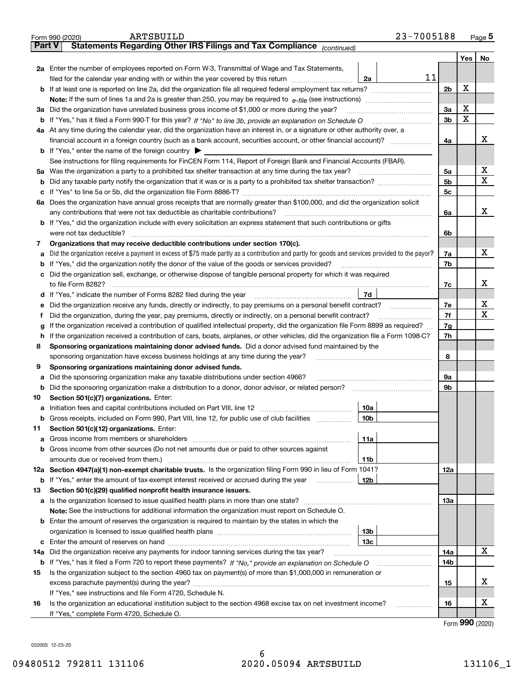|               | 23-7005188<br>ARTSBUILD<br>Form 990 (2020)                                                                                                                                                                                           |                |         | <u>Page</u> 5 |  |  |  |  |  |
|---------------|--------------------------------------------------------------------------------------------------------------------------------------------------------------------------------------------------------------------------------------|----------------|---------|---------------|--|--|--|--|--|
| <b>Part V</b> | Statements Regarding Other IRS Filings and Tax Compliance (continued)                                                                                                                                                                |                |         |               |  |  |  |  |  |
|               |                                                                                                                                                                                                                                      |                | Yes $ $ | No            |  |  |  |  |  |
|               | 2a Enter the number of employees reported on Form W-3, Transmittal of Wage and Tax Statements,                                                                                                                                       |                |         |               |  |  |  |  |  |
|               | 11<br>filed for the calendar year ending with or within the year covered by this return <i>manumumumum</i><br>2a                                                                                                                     |                |         |               |  |  |  |  |  |
|               |                                                                                                                                                                                                                                      | 2 <sub>b</sub> | х       |               |  |  |  |  |  |
|               |                                                                                                                                                                                                                                      |                |         |               |  |  |  |  |  |
| За            | Did the organization have unrelated business gross income of \$1,000 or more during the year?                                                                                                                                        | 3a             | х       |               |  |  |  |  |  |
|               |                                                                                                                                                                                                                                      |                |         |               |  |  |  |  |  |
|               | 4a At any time during the calendar year, did the organization have an interest in, or a signature or other authority over, a                                                                                                         |                |         |               |  |  |  |  |  |
|               |                                                                                                                                                                                                                                      | 4a             |         | х             |  |  |  |  |  |
|               | <b>b</b> If "Yes," enter the name of the foreign country $\blacktriangleright$                                                                                                                                                       |                |         |               |  |  |  |  |  |
|               | See instructions for filing requirements for FinCEN Form 114, Report of Foreign Bank and Financial Accounts (FBAR).                                                                                                                  |                |         |               |  |  |  |  |  |
|               |                                                                                                                                                                                                                                      | 5a             |         | X             |  |  |  |  |  |
| b             |                                                                                                                                                                                                                                      | 5b             |         | Χ             |  |  |  |  |  |
| c             |                                                                                                                                                                                                                                      | 5c             |         |               |  |  |  |  |  |
|               | 6a Does the organization have annual gross receipts that are normally greater than \$100,000, and did the organization solicit                                                                                                       |                |         |               |  |  |  |  |  |
|               | any contributions that were not tax deductible as charitable contributions?                                                                                                                                                          | 6a             |         | х             |  |  |  |  |  |
|               | <b>b</b> If "Yes," did the organization include with every solicitation an express statement that such contributions or gifts                                                                                                        |                |         |               |  |  |  |  |  |
|               | were not tax deductible?                                                                                                                                                                                                             | 6b             |         |               |  |  |  |  |  |
| 7             | Organizations that may receive deductible contributions under section 170(c).                                                                                                                                                        |                |         |               |  |  |  |  |  |
| a             | Did the organization receive a payment in excess of \$75 made partly as a contribution and partly for goods and services provided to the payor?                                                                                      | 7a             |         | х             |  |  |  |  |  |
|               | <b>b</b> If "Yes," did the organization notify the donor of the value of the goods or services provided?                                                                                                                             | 7b             |         |               |  |  |  |  |  |
|               | c Did the organization sell, exchange, or otherwise dispose of tangible personal property for which it was required                                                                                                                  |                |         |               |  |  |  |  |  |
|               |                                                                                                                                                                                                                                      | 7с             |         | х             |  |  |  |  |  |
|               | 7d<br>d If "Yes," indicate the number of Forms 8282 filed during the year [11] [11] The Section of Holden and The Year [11] In The Year [11] In The Year [11] In The Year [11] In The Year [11] In The Year [11] In The Year [11] In |                |         |               |  |  |  |  |  |
| е             | Did the organization receive any funds, directly or indirectly, to pay premiums on a personal benefit contract?                                                                                                                      | 7e             |         | х             |  |  |  |  |  |
| f             | Did the organization, during the year, pay premiums, directly or indirectly, on a personal benefit contract?                                                                                                                         | 7f             |         | х             |  |  |  |  |  |
| g             | If the organization received a contribution of qualified intellectual property, did the organization file Form 8899 as required?                                                                                                     | 7g             |         |               |  |  |  |  |  |
| h.            | If the organization received a contribution of cars, boats, airplanes, or other vehicles, did the organization file a Form 1098-C?                                                                                                   | 7h             |         |               |  |  |  |  |  |
| 8             | Sponsoring organizations maintaining donor advised funds. Did a donor advised fund maintained by the                                                                                                                                 |                |         |               |  |  |  |  |  |
|               | sponsoring organization have excess business holdings at any time during the year?                                                                                                                                                   | 8              |         |               |  |  |  |  |  |
| 9             | Sponsoring organizations maintaining donor advised funds.                                                                                                                                                                            |                |         |               |  |  |  |  |  |
| а             | Did the sponsoring organization make any taxable distributions under section 4966?                                                                                                                                                   | 9а             |         |               |  |  |  |  |  |
| b             | Did the sponsoring organization make a distribution to a donor, donor advisor, or related person?                                                                                                                                    | 9b             |         |               |  |  |  |  |  |
| 10            | Section 501(c)(7) organizations. Enter:                                                                                                                                                                                              |                |         |               |  |  |  |  |  |
|               | 10a                                                                                                                                                                                                                                  |                |         |               |  |  |  |  |  |
|               | 10b <br>Gross receipts, included on Form 990, Part VIII, line 12, for public use of club facilities                                                                                                                                  |                |         |               |  |  |  |  |  |
| 11            | Section 501(c)(12) organizations. Enter:                                                                                                                                                                                             |                |         |               |  |  |  |  |  |
| a             | Gross income from members or shareholders<br>11a                                                                                                                                                                                     |                |         |               |  |  |  |  |  |
|               | b Gross income from other sources (Do not net amounts due or paid to other sources against                                                                                                                                           |                |         |               |  |  |  |  |  |
|               | 11b                                                                                                                                                                                                                                  |                |         |               |  |  |  |  |  |
|               | 12a Section 4947(a)(1) non-exempt charitable trusts. Is the organization filing Form 990 in lieu of Form 1041?                                                                                                                       | 12a            |         |               |  |  |  |  |  |
|               | 12b<br><b>b</b> If "Yes," enter the amount of tax-exempt interest received or accrued during the year                                                                                                                                |                |         |               |  |  |  |  |  |
| 13            | Section 501(c)(29) qualified nonprofit health insurance issuers.                                                                                                                                                                     |                |         |               |  |  |  |  |  |
|               | a Is the organization licensed to issue qualified health plans in more than one state?                                                                                                                                               | 13а            |         |               |  |  |  |  |  |
|               | Note: See the instructions for additional information the organization must report on Schedule O.                                                                                                                                    |                |         |               |  |  |  |  |  |
|               | <b>b</b> Enter the amount of reserves the organization is required to maintain by the states in which the                                                                                                                            |                |         |               |  |  |  |  |  |
|               | 13 <sub>b</sub>                                                                                                                                                                                                                      |                |         |               |  |  |  |  |  |
|               | 13с                                                                                                                                                                                                                                  |                |         |               |  |  |  |  |  |
| 14a           | Did the organization receive any payments for indoor tanning services during the tax year?                                                                                                                                           | 14a            |         | x             |  |  |  |  |  |
|               | <b>b</b> If "Yes," has it filed a Form 720 to report these payments? If "No," provide an explanation on Schedule O                                                                                                                   | 14b            |         |               |  |  |  |  |  |
| 15            | Is the organization subject to the section 4960 tax on payment(s) of more than \$1,000,000 in remuneration or                                                                                                                        |                |         |               |  |  |  |  |  |
|               |                                                                                                                                                                                                                                      | 15             |         | X.            |  |  |  |  |  |
|               | If "Yes," see instructions and file Form 4720, Schedule N.                                                                                                                                                                           |                |         |               |  |  |  |  |  |
| 16            | Is the organization an educational institution subject to the section 4968 excise tax on net investment income?                                                                                                                      | 16             |         | х             |  |  |  |  |  |
|               | If "Yes," complete Form 4720, Schedule O.                                                                                                                                                                                            |                | nnn     |               |  |  |  |  |  |

| Form 990 (2020) |  |  |
|-----------------|--|--|
|-----------------|--|--|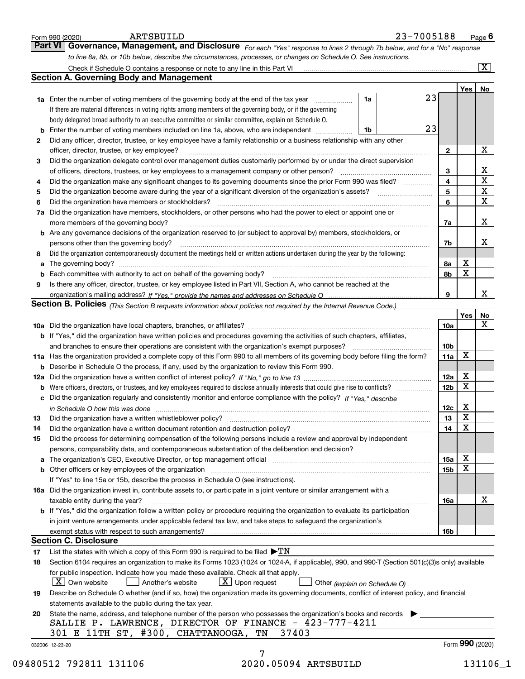|                | Governance, Management, and Disclosure For each "Yes" response to lines 2 through 7b below, and for a "No" response<br>Part VI                                               |    |                 |                 |                         |
|----------------|------------------------------------------------------------------------------------------------------------------------------------------------------------------------------|----|-----------------|-----------------|-------------------------|
|                | to line 8a, 8b, or 10b below, describe the circumstances, processes, or changes on Schedule O. See instructions.                                                             |    |                 |                 |                         |
|                |                                                                                                                                                                              |    |                 |                 | $\overline{\mathbf{x}}$ |
|                | <b>Section A. Governing Body and Management</b>                                                                                                                              |    |                 |                 |                         |
|                |                                                                                                                                                                              |    |                 | Yes l           | No                      |
|                | <b>1a</b> Enter the number of voting members of the governing body at the end of the tax year <i>manumum</i>                                                                 | 1a | 23              |                 |                         |
|                | If there are material differences in voting rights among members of the governing body, or if the governing                                                                  |    |                 |                 |                         |
|                | body delegated broad authority to an executive committee or similar committee, explain on Schedule O.                                                                        |    |                 |                 |                         |
|                | Enter the number of voting members included on line 1a, above, who are independent                                                                                           | 1b | 23              |                 |                         |
| 2              | Did any officer, director, trustee, or key employee have a family relationship or a business relationship with any other                                                     |    |                 |                 |                         |
|                | officer, director, trustee, or key employee?                                                                                                                                 |    | $\mathbf{2}$    |                 | x                       |
| з              | Did the organization delegate control over management duties customarily performed by or under the direct supervision                                                        |    |                 |                 |                         |
|                | of officers, directors, trustees, or key employees to a management company or other person?                                                                                  |    | 3               |                 | X                       |
| 4              | Did the organization make any significant changes to its governing documents since the prior Form 990 was filed?                                                             |    | 4               |                 | $\overline{\mathbf{x}}$ |
| 5              |                                                                                                                                                                              |    | 5               |                 | X                       |
| 6              | Did the organization have members or stockholders?                                                                                                                           |    | 6               |                 | X                       |
| 7a             | Did the organization have members, stockholders, or other persons who had the power to elect or appoint one or                                                               |    |                 |                 |                         |
|                |                                                                                                                                                                              |    | 7a              |                 | X                       |
|                | <b>b</b> Are any governance decisions of the organization reserved to (or subject to approval by) members, stockholders, or                                                  |    |                 |                 |                         |
|                | persons other than the governing body?                                                                                                                                       |    | 7b              |                 | х                       |
| 8              | Did the organization contemporaneously document the meetings held or written actions undertaken during the year by the following:                                            |    |                 |                 |                         |
| а              |                                                                                                                                                                              |    | 8а              | х               |                         |
| b              |                                                                                                                                                                              |    | 8b              | X               |                         |
| 9              | Is there any officer, director, trustee, or key employee listed in Part VII, Section A, who cannot be reached at the                                                         |    |                 |                 |                         |
|                |                                                                                                                                                                              |    | 9               |                 | X                       |
|                | Section B. Policies (This Section B requests information about policies not required by the Internal Revenue Code.)                                                          |    |                 |                 |                         |
|                |                                                                                                                                                                              |    |                 | Yes             | <b>No</b>               |
|                |                                                                                                                                                                              |    | 10a             |                 | X                       |
|                | b If "Yes," did the organization have written policies and procedures governing the activities of such chapters, affiliates,                                                 |    |                 |                 |                         |
|                | and branches to ensure their operations are consistent with the organization's exempt purposes?                                                                              |    | 10 <sub>b</sub> |                 |                         |
|                | 11a Has the organization provided a complete copy of this Form 990 to all members of its governing body before filing the form?                                              |    | 11a             | х               |                         |
|                | <b>b</b> Describe in Schedule O the process, if any, used by the organization to review this Form 990.                                                                       |    |                 |                 |                         |
|                |                                                                                                                                                                              |    | 12a             | Х               |                         |
| b              |                                                                                                                                                                              |    | 12 <sub>b</sub> | х               |                         |
| с              | Did the organization regularly and consistently monitor and enforce compliance with the policy? If "Yes," describe                                                           |    |                 |                 |                         |
|                | in Schedule O how this was done manufactured and continuum control of the state of the state of the state of t                                                               |    | 12c             | x               |                         |
| 13             | Did the organization have a written whistleblower policy?                                                                                                                    |    | 13              | х               |                         |
| 14             | Did the organization have a written document retention and destruction policy? [11] manufaction policy?                                                                      |    | 14              | X               |                         |
| 15             | Did the process for determining compensation of the following persons include a review and approval by independent                                                           |    |                 |                 |                         |
|                | persons, comparability data, and contemporaneous substantiation of the deliberation and decision?                                                                            |    |                 |                 |                         |
| а              | The organization's CEO, Executive Director, or top management official manufacture content content of the organization's CEO, Executive Director, or top management official |    | 15a             | х               |                         |
| b              |                                                                                                                                                                              |    | 15 <sub>b</sub> | X               |                         |
|                | If "Yes" to line 15a or 15b, describe the process in Schedule O (see instructions).                                                                                          |    |                 |                 |                         |
|                | 16a Did the organization invest in, contribute assets to, or participate in a joint venture or similar arrangement with a                                                    |    |                 |                 |                         |
|                | taxable entity during the year?                                                                                                                                              |    | 16a             |                 | х                       |
|                | b If "Yes," did the organization follow a written policy or procedure requiring the organization to evaluate its participation                                               |    |                 |                 |                         |
|                | in joint venture arrangements under applicable federal tax law, and take steps to safeguard the organization's                                                               |    |                 |                 |                         |
|                |                                                                                                                                                                              |    |                 |                 |                         |
|                |                                                                                                                                                                              |    |                 |                 |                         |
|                |                                                                                                                                                                              |    | 16b             |                 |                         |
|                | <b>Section C. Disclosure</b>                                                                                                                                                 |    |                 |                 |                         |
|                | List the states with which a copy of this Form 990 is required to be filed $\blacktriangleright$ TN                                                                          |    |                 |                 |                         |
|                | Section 6104 requires an organization to make its Forms 1023 (1024 or 1024-A, if applicable), 990, and 990-T (Section 501(c)(3)s only) available                             |    |                 |                 |                         |
|                | for public inspection. Indicate how you made these available. Check all that apply.                                                                                          |    |                 |                 |                         |
|                | $ X $ Own website<br>$X$ Upon request<br>Another's website<br>Other (explain on Schedule O)                                                                                  |    |                 |                 |                         |
| 17<br>18<br>19 | Describe on Schedule O whether (and if so, how) the organization made its governing documents, conflict of interest policy, and financial                                    |    |                 |                 |                         |
|                | statements available to the public during the tax year.                                                                                                                      |    |                 |                 |                         |
| 20             | State the name, address, and telephone number of the person who possesses the organization's books and records                                                               |    |                 |                 |                         |
|                | SALLIE P. LAWRENCE, DIRECTOR OF FINANCE - 423-777-4211                                                                                                                       |    |                 |                 |                         |
|                | 301 E 11TH ST, #300, CHATTANOOGA,<br>37403<br>TN<br>032006 12-23-20                                                                                                          |    |                 | Form 990 (2020) |                         |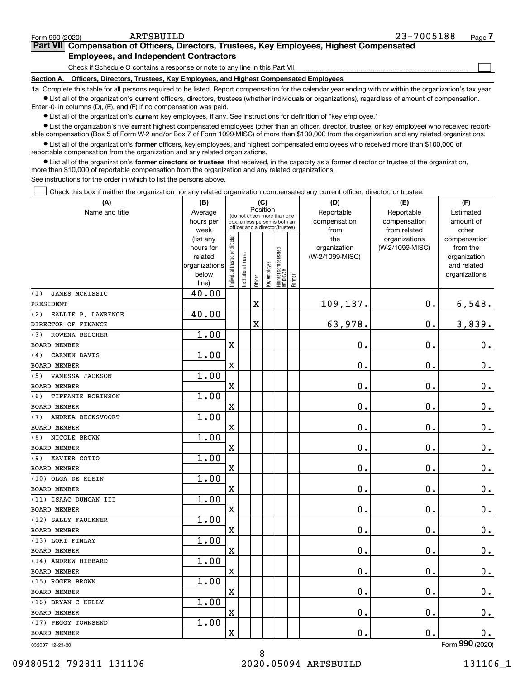$\mathcal{L}^{\text{max}}$ 

| orm 990 (2020) <sup>.</sup> | ARTSBUILD                                                                                  | 23-7005188 | Page <i>I</i> |
|-----------------------------|--------------------------------------------------------------------------------------------|------------|---------------|
|                             | Part VII Compensation of Officers, Directors, Trustees, Key Employees, Highest Compensated |            |               |
|                             | <b>Employees, and Independent Contractors</b>                                              |            |               |

Check if Schedule O contains a response or note to any line in this Part VII

**Section A. Officers, Directors, Trustees, Key Employees, and Highest Compensated Employees**

**1a**  Complete this table for all persons required to be listed. Report compensation for the calendar year ending with or within the organization's tax year. **•** List all of the organization's current officers, directors, trustees (whether individuals or organizations), regardless of amount of compensation.

Enter -0- in columns (D), (E), and (F) if no compensation was paid.

 $\bullet$  List all of the organization's  $\,$ current key employees, if any. See instructions for definition of "key employee."

**•** List the organization's five current highest compensated employees (other than an officer, director, trustee, or key employee) who received reportable compensation (Box 5 of Form W-2 and/or Box 7 of Form 1099-MISC) of more than \$100,000 from the organization and any related organizations.

**•** List all of the organization's former officers, key employees, and highest compensated employees who received more than \$100,000 of reportable compensation from the organization and any related organizations.

**former directors or trustees**  ¥ List all of the organization's that received, in the capacity as a former director or trustee of the organization, more than \$10,000 of reportable compensation from the organization and any related organizations.

See instructions for the order in which to list the persons above.

Check this box if neither the organization nor any related organization compensated any current officer, director, or trustee.  $\mathcal{L}^{\text{max}}$ 

| (A)                       | (B)               | (C)                           |                      |                         |              |                                                                  |        | (D)             | (E)                           | (F)                   |
|---------------------------|-------------------|-------------------------------|----------------------|-------------------------|--------------|------------------------------------------------------------------|--------|-----------------|-------------------------------|-----------------------|
| Name and title            | Average           |                               |                      | Position                |              | (do not check more than one                                      |        | Reportable      | Reportable                    | Estimated             |
|                           | hours per         |                               |                      |                         |              | box, unless person is both an<br>officer and a director/trustee) |        | compensation    | compensation                  | amount of             |
|                           | week<br>(list any |                               |                      |                         |              |                                                                  |        | from<br>the     | from related<br>organizations | other<br>compensation |
|                           | hours for         |                               |                      |                         |              |                                                                  |        | organization    | (W-2/1099-MISC)               | from the              |
|                           | related           |                               |                      |                         |              |                                                                  |        | (W-2/1099-MISC) |                               | organization          |
|                           | organizations     |                               |                      |                         |              |                                                                  |        |                 |                               | and related           |
|                           | below             | ndividual trustee or director | nstitutional trustee | Officer                 | Key employee | Highest compensated<br>  employee                                | Former |                 |                               | organizations         |
|                           | line)             |                               |                      |                         |              |                                                                  |        |                 |                               |                       |
| JAMES MCKISSIC<br>(1)     | 40.00             |                               |                      |                         |              |                                                                  |        |                 |                               |                       |
| PRESIDENT                 |                   |                               |                      | $\overline{\textbf{X}}$ |              |                                                                  |        | 109,137.        | $\mathbf 0$ .                 | 6,548.                |
| SALLIE P. LAWRENCE<br>(2) | 40.00             |                               |                      |                         |              |                                                                  |        |                 |                               |                       |
| DIRECTOR OF FINANCE       |                   |                               |                      | $\overline{\mathbf{X}}$ |              |                                                                  |        | 63,978.         | $\mathbf 0$ .                 | 3,839.                |
| ROWENA BELCHER<br>(3)     | 1.00              |                               |                      |                         |              |                                                                  |        |                 |                               |                       |
| BOARD MEMBER              |                   | $\mathbf X$                   |                      |                         |              |                                                                  |        | $\mathbf 0$ .   | $\mathbf 0$ .                 | $0_{.}$               |
| CARMEN DAVIS<br>(4)       | 1.00              |                               |                      |                         |              |                                                                  |        |                 |                               |                       |
| <b>BOARD MEMBER</b>       |                   | X                             |                      |                         |              |                                                                  |        | 0.              | $\mathbf 0$ .                 | 0.                    |
| VANESSA JACKSON<br>(5)    | 1.00              |                               |                      |                         |              |                                                                  |        |                 |                               |                       |
| BOARD MEMBER              |                   | X                             |                      |                         |              |                                                                  |        | 0.              | $\mathbf 0$ .                 | $\mathbf 0$ .         |
| (6)<br>TIFFANIE ROBINSON  | 1.00              |                               |                      |                         |              |                                                                  |        |                 |                               |                       |
| <b>BOARD MEMBER</b>       |                   | X                             |                      |                         |              |                                                                  |        | 0.              | $\mathbf 0$ .                 | 0.                    |
| (7)<br>ANDREA BECKSVOORT  | 1.00              |                               |                      |                         |              |                                                                  |        |                 |                               |                       |
| <b>BOARD MEMBER</b>       |                   | X                             |                      |                         |              |                                                                  |        | $\mathbf 0$ .   | $\mathbf 0$ .                 | $0_{.}$               |
| NICOLE BROWN<br>(8)       | 1.00              |                               |                      |                         |              |                                                                  |        |                 |                               |                       |
| <b>BOARD MEMBER</b>       |                   | X                             |                      |                         |              |                                                                  |        | $\mathbf 0$ .   | 0.                            | $0_{.}$               |
| XAVIER COTTO<br>(9)       | 1.00              |                               |                      |                         |              |                                                                  |        |                 |                               |                       |
| <b>BOARD MEMBER</b>       |                   | X                             |                      |                         |              |                                                                  |        | 0.              | $\mathbf 0$ .                 | $\mathbf 0$ .         |
| (10) OLGA DE KLEIN        | 1.00              |                               |                      |                         |              |                                                                  |        |                 |                               |                       |
| <b>BOARD MEMBER</b>       |                   | X                             |                      |                         |              |                                                                  |        | 0.              | 0.                            | $0$ .                 |
| (11) ISAAC DUNCAN III     | 1.00              |                               |                      |                         |              |                                                                  |        |                 |                               |                       |
| <b>BOARD MEMBER</b>       |                   | X                             |                      |                         |              |                                                                  |        | 0.              | $\mathbf 0$ .                 | 0.                    |
| (12) SALLY FAULKNER       | 1.00              |                               |                      |                         |              |                                                                  |        |                 |                               |                       |
| <b>BOARD MEMBER</b>       |                   | X                             |                      |                         |              |                                                                  |        | 0.              | 0.                            | $\mathbf 0$ .         |
| (13) LORI FINLAY          | 1.00              |                               |                      |                         |              |                                                                  |        |                 |                               |                       |
| <b>BOARD MEMBER</b>       |                   | X                             |                      |                         |              |                                                                  |        | 0.              | $\mathbf 0$ .                 | 0.                    |
| (14) ANDREW HIBBARD       | 1.00              |                               |                      |                         |              |                                                                  |        |                 |                               |                       |
| <b>BOARD MEMBER</b>       |                   | X                             |                      |                         |              |                                                                  |        | 0.              | 0.                            | $\mathbf 0$ .         |
| (15) ROGER BROWN          | 1.00              |                               |                      |                         |              |                                                                  |        |                 |                               |                       |
| <b>BOARD MEMBER</b>       |                   | X                             |                      |                         |              |                                                                  |        | 0.              | $\mathbf 0$ .                 | 0.                    |
| (16) BRYAN C KELLY        | 1.00              |                               |                      |                         |              |                                                                  |        |                 |                               |                       |
| <b>BOARD MEMBER</b>       |                   | X                             |                      |                         |              |                                                                  |        | 0.              | 0.                            | 0.                    |
| (17) PEGGY TOWNSEND       | 1.00              |                               |                      |                         |              |                                                                  |        |                 |                               |                       |
| <b>BOARD MEMBER</b>       |                   | X                             |                      |                         |              |                                                                  |        | 0.              | $\mathbf 0$ .                 | 0.                    |

032007 12-23-20

Form (2020) **990**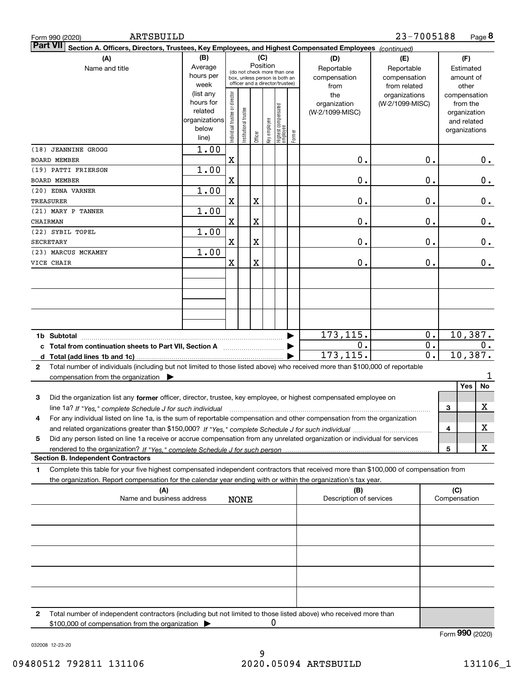|                 | ARTSBUILD<br>Form 990 (2020)                                                                                                                                        |                                                                      |                                                                                                                    | 23-7005188            |         |              |                                   | Page 8                                    |                                                   |                                  |               |                                        |                                                                          |               |
|-----------------|---------------------------------------------------------------------------------------------------------------------------------------------------------------------|----------------------------------------------------------------------|--------------------------------------------------------------------------------------------------------------------|-----------------------|---------|--------------|-----------------------------------|-------------------------------------------|---------------------------------------------------|----------------------------------|---------------|----------------------------------------|--------------------------------------------------------------------------|---------------|
| <b>Part VII</b> | Section A. Officers, Directors, Trustees, Key Employees, and Highest Compensated Employees (continued)                                                              |                                                                      |                                                                                                                    |                       |         |              |                                   |                                           |                                                   |                                  |               |                                        |                                                                          |               |
|                 | (A)<br>Name and title                                                                                                                                               | (B)<br>Average<br>hours per<br>week                                  | (C)<br>Position<br>(do not check more than one<br>box, unless person is both an<br>officer and a director/trustee) |                       |         |              |                                   | (D)<br>Reportable<br>compensation<br>from | (E)<br>Reportable<br>compensation<br>from related |                                  |               | (F)<br>Estimated<br>amount of<br>other |                                                                          |               |
|                 |                                                                                                                                                                     | (list any<br>hours for<br>related<br>organizations<br>below<br>line) | Individual trustee or director                                                                                     | Institutional trustee | Officer | Key employee | Highest compensated<br>  employee | Former                                    | the<br>organization<br>(W-2/1099-MISC)            | organizations<br>(W-2/1099-MISC) |               |                                        | compensation<br>from the<br>organization<br>and related<br>organizations |               |
|                 | (18) JEANNINE GROGG<br><b>BOARD MEMBER</b>                                                                                                                          | 1.00                                                                 | X                                                                                                                  |                       |         |              |                                   |                                           | $0$ .                                             |                                  | 0.            |                                        |                                                                          | 0.            |
|                 | (19) PATTI FRIERSON                                                                                                                                                 | 1.00                                                                 |                                                                                                                    |                       |         |              |                                   |                                           |                                                   |                                  |               |                                        |                                                                          |               |
|                 | <b>BOARD MEMBER</b>                                                                                                                                                 |                                                                      | $\mathbf X$                                                                                                        |                       |         |              |                                   |                                           | 0.                                                |                                  | $\mathbf 0$ . |                                        |                                                                          | $0\,.$        |
|                 | (20) EDNA VARNER<br><b>TREASURER</b>                                                                                                                                | 1.00                                                                 | X                                                                                                                  |                       | X       |              |                                   |                                           | 0.                                                |                                  | $\mathbf 0$ . |                                        |                                                                          | 0.            |
| CHAIRMAN        | (21) MARY P TANNER                                                                                                                                                  | 1.00                                                                 | $\mathbf X$                                                                                                        |                       | X       |              |                                   |                                           | 0.                                                |                                  | $\mathbf 0$ . |                                        |                                                                          | $\mathbf 0$ . |
|                 | (22) SYBIL TOPEL                                                                                                                                                    | 1.00                                                                 |                                                                                                                    |                       |         |              |                                   |                                           |                                                   |                                  |               |                                        |                                                                          |               |
|                 | <b>SECRETARY</b>                                                                                                                                                    |                                                                      | X                                                                                                                  |                       | X       |              |                                   |                                           | 0.                                                |                                  | $\mathbf 0$ . |                                        |                                                                          | 0.            |
|                 | (23) MARCUS MCKAMEY<br>VICE CHAIR                                                                                                                                   | 1.00                                                                 | X                                                                                                                  |                       | X       |              |                                   |                                           | 0.                                                |                                  | $\mathbf 0$ . |                                        |                                                                          | 0.            |
|                 |                                                                                                                                                                     |                                                                      |                                                                                                                    |                       |         |              |                                   |                                           |                                                   |                                  |               |                                        |                                                                          |               |
|                 |                                                                                                                                                                     |                                                                      |                                                                                                                    |                       |         |              |                                   |                                           |                                                   |                                  |               |                                        |                                                                          |               |
|                 |                                                                                                                                                                     |                                                                      |                                                                                                                    |                       |         |              |                                   |                                           |                                                   |                                  |               |                                        |                                                                          |               |
|                 | 1b Subtotal                                                                                                                                                         |                                                                      |                                                                                                                    |                       |         |              |                                   |                                           | 173, 115.                                         |                                  | 0.            |                                        | 10,387.                                                                  |               |
|                 | c Total from continuation sheets to Part VII, Section A [111] [120] [20]                                                                                            |                                                                      |                                                                                                                    |                       |         |              |                                   |                                           | 0.<br>173, 115.                                   |                                  | $0$ .<br>0.   |                                        | 10,387.                                                                  | $0$ .         |
| 2               | Total number of individuals (including but not limited to those listed above) who received more than \$100,000 of reportable                                        |                                                                      |                                                                                                                    |                       |         |              |                                   |                                           |                                                   |                                  |               |                                        |                                                                          |               |
|                 | compensation from the organization $\blacktriangleright$                                                                                                            |                                                                      |                                                                                                                    |                       |         |              |                                   |                                           |                                                   |                                  |               |                                        | Yes                                                                      | No            |
| 3               | Did the organization list any former officer, director, trustee, key employee, or highest compensated employee on                                                   |                                                                      |                                                                                                                    |                       |         |              |                                   |                                           |                                                   |                                  |               |                                        |                                                                          |               |
| 4               | For any individual listed on line 1a, is the sum of reportable compensation and other compensation from the organization                                            |                                                                      |                                                                                                                    |                       |         |              |                                   |                                           |                                                   |                                  |               | 3                                      |                                                                          | X             |
|                 |                                                                                                                                                                     |                                                                      |                                                                                                                    |                       |         |              |                                   |                                           |                                                   |                                  |               | 4                                      |                                                                          | x             |
| 5               | Did any person listed on line 1a receive or accrue compensation from any unrelated organization or individual for services                                          |                                                                      |                                                                                                                    |                       |         |              |                                   |                                           |                                                   |                                  |               |                                        |                                                                          |               |
|                 | <b>Section B. Independent Contractors</b>                                                                                                                           |                                                                      |                                                                                                                    |                       |         |              |                                   |                                           |                                                   |                                  |               | 5                                      |                                                                          | x             |
| 1               | Complete this table for your five highest compensated independent contractors that received more than \$100,000 of compensation from                                |                                                                      |                                                                                                                    |                       |         |              |                                   |                                           |                                                   |                                  |               |                                        |                                                                          |               |
|                 | the organization. Report compensation for the calendar year ending with or within the organization's tax year.<br>(A)                                               |                                                                      |                                                                                                                    |                       |         |              |                                   |                                           | (B)                                               |                                  |               | (C)                                    |                                                                          |               |
|                 | Name and business address                                                                                                                                           |                                                                      |                                                                                                                    | <b>NONE</b>           |         |              |                                   |                                           | Description of services                           |                                  |               |                                        | Compensation                                                             |               |
|                 |                                                                                                                                                                     |                                                                      |                                                                                                                    |                       |         |              |                                   |                                           |                                                   |                                  |               |                                        |                                                                          |               |
|                 |                                                                                                                                                                     |                                                                      |                                                                                                                    |                       |         |              |                                   |                                           |                                                   |                                  |               |                                        |                                                                          |               |
|                 |                                                                                                                                                                     |                                                                      |                                                                                                                    |                       |         |              |                                   |                                           |                                                   |                                  |               |                                        |                                                                          |               |
|                 |                                                                                                                                                                     |                                                                      |                                                                                                                    |                       |         |              |                                   |                                           |                                                   |                                  |               |                                        |                                                                          |               |
|                 |                                                                                                                                                                     |                                                                      |                                                                                                                    |                       |         |              |                                   |                                           |                                                   |                                  |               |                                        |                                                                          |               |
| 2               | Total number of independent contractors (including but not limited to those listed above) who received more than<br>\$100,000 of compensation from the organization |                                                                      |                                                                                                                    |                       |         | 0            |                                   |                                           |                                                   |                                  |               |                                        |                                                                          |               |
|                 |                                                                                                                                                                     |                                                                      |                                                                                                                    |                       |         |              |                                   |                                           |                                                   |                                  |               |                                        | Form 990 (2020)                                                          |               |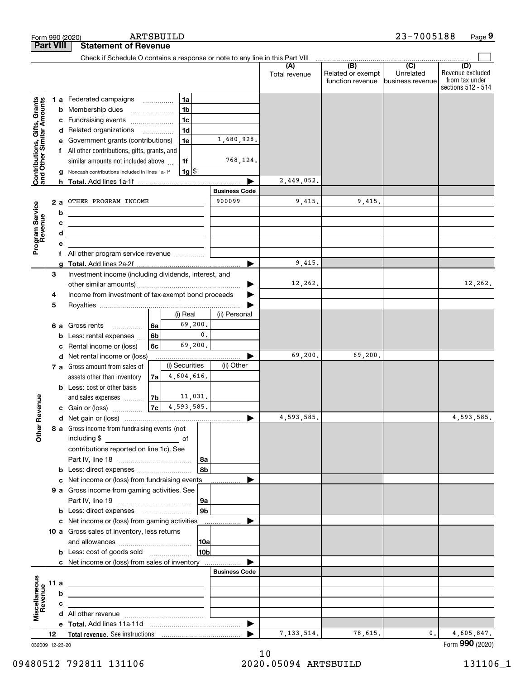|                                                           | Form 990 (2020)  |                                                                               |                                      | ARTSBUILD      |                |                      |                      |                                              | 23-7005188                            | Page 9                                                          |
|-----------------------------------------------------------|------------------|-------------------------------------------------------------------------------|--------------------------------------|----------------|----------------|----------------------|----------------------|----------------------------------------------|---------------------------------------|-----------------------------------------------------------------|
|                                                           | <b>Part VIII</b> | <b>Statement of Revenue</b>                                                   |                                      |                |                |                      |                      |                                              |                                       |                                                                 |
|                                                           |                  | Check if Schedule O contains a response or note to any line in this Part VIII |                                      |                |                |                      |                      |                                              |                                       |                                                                 |
|                                                           |                  |                                                                               |                                      |                |                |                      | (A)<br>Total revenue | (B)<br>Related or exempt<br>function revenue | (C)<br>Unrelated<br>Ibusiness revenue | (D)<br>Revenue excluded<br>from tax under<br>sections 512 - 514 |
|                                                           |                  | <b>1 a</b> Federated campaigns                                                | $\cdots$                             | 1a             |                |                      |                      |                                              |                                       |                                                                 |
| Contributions, Gifts, Grants<br>and Other Similar Amounts |                  | <b>b</b> Membership dues                                                      | $\ldots \ldots \ldots \ldots \ldots$ | 1 <sub>b</sub> |                |                      |                      |                                              |                                       |                                                                 |
|                                                           |                  | c Fundraising events                                                          |                                      | 1 <sub>c</sub> |                |                      |                      |                                              |                                       |                                                                 |
|                                                           |                  | d Related organizations                                                       | $\overline{\phantom{a}}$             | 1 <sub>d</sub> |                |                      |                      |                                              |                                       |                                                                 |
|                                                           |                  | e Government grants (contributions)                                           |                                      | 1e             |                | 1,680,928.           |                      |                                              |                                       |                                                                 |
|                                                           |                  | f All other contributions, gifts, grants, and                                 |                                      |                |                |                      |                      |                                              |                                       |                                                                 |
|                                                           |                  | similar amounts not included above                                            |                                      | 1f             |                | 768,124.             |                      |                                              |                                       |                                                                 |
|                                                           |                  | g Noncash contributions included in lines 1a-1f                               |                                      | $1g$ \$        |                |                      |                      |                                              |                                       |                                                                 |
|                                                           |                  |                                                                               |                                      |                |                |                      | 2,449,052.           |                                              |                                       |                                                                 |
|                                                           |                  |                                                                               |                                      |                |                | <b>Business Code</b> |                      |                                              |                                       |                                                                 |
|                                                           | 2a               | OTHER PROGRAM INCOME                                                          |                                      |                |                | 900099               | 9,415.               | 9,415.                                       |                                       |                                                                 |
|                                                           | b                |                                                                               |                                      |                |                |                      |                      |                                              |                                       |                                                                 |
|                                                           | c                |                                                                               |                                      |                |                |                      |                      |                                              |                                       |                                                                 |
|                                                           | d                |                                                                               |                                      |                |                |                      |                      |                                              |                                       |                                                                 |
| Program Service<br>Revenue                                | е                | All other program service revenue                                             |                                      |                |                |                      |                      |                                              |                                       |                                                                 |
|                                                           | f<br>a           |                                                                               |                                      |                |                | ▶                    | 9,415.               |                                              |                                       |                                                                 |
|                                                           | 3                | Investment income (including dividends, interest, and                         |                                      |                |                |                      |                      |                                              |                                       |                                                                 |
|                                                           |                  |                                                                               |                                      |                |                |                      | 12,262.              |                                              |                                       | 12,262.                                                         |
|                                                           | 4                | Income from investment of tax-exempt bond proceeds                            |                                      |                |                |                      |                      |                                              |                                       |                                                                 |
|                                                           | 5                |                                                                               |                                      |                |                |                      |                      |                                              |                                       |                                                                 |
|                                                           |                  |                                                                               |                                      | (i) Real       |                | (ii) Personal        |                      |                                              |                                       |                                                                 |
|                                                           |                  | 6 a Gross rents<br>.                                                          | 6a                                   |                | 69,200.        |                      |                      |                                              |                                       |                                                                 |
|                                                           |                  | <b>b</b> Less: rental expenses                                                | 6 <sub>b</sub>                       |                | $\mathbf{0}$ . |                      |                      |                                              |                                       |                                                                 |
|                                                           | c                | Rental income or (loss)                                                       | 6c                                   |                | 69,200.        |                      |                      |                                              |                                       |                                                                 |
|                                                           |                  | d Net rental income or (loss)                                                 |                                      |                |                |                      | 69,200.              | 69,200.                                      |                                       |                                                                 |
|                                                           |                  | 7 a Gross amount from sales of                                                |                                      | (i) Securities |                | (ii) Other           |                      |                                              |                                       |                                                                 |
|                                                           |                  | assets other than inventory                                                   | 7a l                                 | 4,604,616.     |                |                      |                      |                                              |                                       |                                                                 |
|                                                           |                  | <b>b</b> Less: cost or other basis                                            |                                      |                |                |                      |                      |                                              |                                       |                                                                 |
| venue                                                     |                  | and sales expenses                                                            | 7b                                   |                | 11,031.        |                      |                      |                                              |                                       |                                                                 |
|                                                           |                  | c Gain or (loss)                                                              | 7c                                   | 4,593,585.     |                |                      |                      |                                              |                                       |                                                                 |
| Other Re                                                  |                  |                                                                               |                                      |                |                |                      | 4,593,585.           |                                              |                                       | 4,593,585.                                                      |
|                                                           |                  | 8 a Gross income from fundraising events (not                                 |                                      |                |                |                      |                      |                                              |                                       |                                                                 |
|                                                           |                  | contributions reported on line 1c). See                                       |                                      |                |                |                      |                      |                                              |                                       |                                                                 |
|                                                           |                  |                                                                               |                                      |                | 8a             |                      |                      |                                              |                                       |                                                                 |
|                                                           |                  |                                                                               |                                      |                | 8b             |                      |                      |                                              |                                       |                                                                 |
|                                                           |                  | c Net income or (loss) from fundraising events                                |                                      |                |                | .                    |                      |                                              |                                       |                                                                 |
|                                                           |                  | 9 a Gross income from gaming activities. See                                  |                                      |                |                |                      |                      |                                              |                                       |                                                                 |
|                                                           |                  |                                                                               |                                      |                | 9a             |                      |                      |                                              |                                       |                                                                 |
|                                                           |                  |                                                                               |                                      |                | 9 <sub>b</sub> |                      |                      |                                              |                                       |                                                                 |
|                                                           |                  | c Net income or (loss) from gaming activities                                 |                                      |                |                | .                    |                      |                                              |                                       |                                                                 |
|                                                           |                  | 10 a Gross sales of inventory, less returns                                   |                                      |                |                |                      |                      |                                              |                                       |                                                                 |
|                                                           |                  |                                                                               |                                      |                | 10a            |                      |                      |                                              |                                       |                                                                 |
|                                                           |                  | <b>b</b> Less: cost of goods sold                                             |                                      |                | 10bl           |                      |                      |                                              |                                       |                                                                 |
|                                                           |                  | c Net income or (loss) from sales of inventory                                |                                      |                |                |                      |                      |                                              |                                       |                                                                 |
|                                                           |                  |                                                                               |                                      |                |                | <b>Business Code</b> |                      |                                              |                                       |                                                                 |
|                                                           | 11 a             |                                                                               |                                      |                |                |                      |                      |                                              |                                       |                                                                 |
| Miscellaneous<br>Revenue                                  | b                |                                                                               |                                      |                |                |                      |                      |                                              |                                       |                                                                 |
|                                                           | c                |                                                                               |                                      |                |                |                      |                      |                                              |                                       |                                                                 |
|                                                           |                  |                                                                               |                                      |                |                |                      |                      |                                              |                                       |                                                                 |
|                                                           | 12               |                                                                               |                                      |                |                | ▶                    | 7,133,514.           | 78,615.                                      | 0.                                    | 4,605,847.                                                      |
|                                                           |                  |                                                                               |                                      |                |                |                      |                      |                                              |                                       |                                                                 |

Form (2020) **990**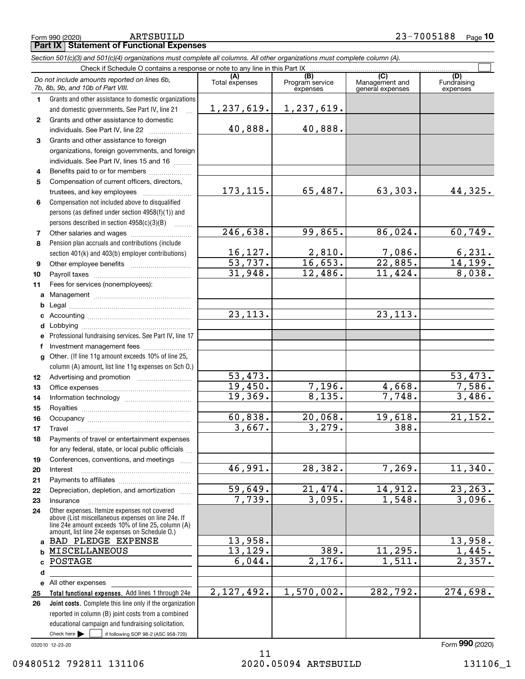|              | Section 501(c)(3) and 501(c)(4) organizations must complete all columns. All other organizations must complete column (A).                                 |                       |                                    |                                                      |                                |
|--------------|------------------------------------------------------------------------------------------------------------------------------------------------------------|-----------------------|------------------------------------|------------------------------------------------------|--------------------------------|
|              | Check if Schedule O contains a response or note to any line in this Part IX                                                                                |                       |                                    |                                                      |                                |
|              | Do not include amounts reported on lines 6b,<br>7b, 8b, 9b, and 10b of Part VIII.                                                                          | (A)<br>Total expenses | (B)<br>Program service<br>expenses | $\overline{C}$<br>Management and<br>general expenses | (D)<br>Fundraising<br>expenses |
| 1.           | Grants and other assistance to domestic organizations                                                                                                      |                       |                                    |                                                      |                                |
|              | and domestic governments. See Part IV, line 21                                                                                                             | 1, 237, 619.          | 1, 237, 619.                       |                                                      |                                |
| $\mathbf{2}$ | Grants and other assistance to domestic                                                                                                                    |                       |                                    |                                                      |                                |
|              | individuals. See Part IV, line 22                                                                                                                          | 40,888.               | 40,888.                            |                                                      |                                |
| 3            | Grants and other assistance to foreign                                                                                                                     |                       |                                    |                                                      |                                |
|              | organizations, foreign governments, and foreign                                                                                                            |                       |                                    |                                                      |                                |
|              | individuals. See Part IV, lines 15 and 16                                                                                                                  |                       |                                    |                                                      |                                |
| 4            | Benefits paid to or for members                                                                                                                            |                       |                                    |                                                      |                                |
| 5            | Compensation of current officers, directors,                                                                                                               |                       |                                    |                                                      |                                |
|              |                                                                                                                                                            | 173, 115.             | 65,487.                            | 63,303.                                              | 44,325.                        |
| 6            | Compensation not included above to disqualified                                                                                                            |                       |                                    |                                                      |                                |
|              | persons (as defined under section 4958(f)(1)) and                                                                                                          |                       |                                    |                                                      |                                |
|              | persons described in section 4958(c)(3)(B)                                                                                                                 |                       |                                    |                                                      |                                |
| 7            |                                                                                                                                                            | 246,638.              | 99,865.                            | 86,024.                                              | 60,749.                        |
| 8            | Pension plan accruals and contributions (include                                                                                                           |                       |                                    |                                                      |                                |
|              | section 401(k) and 403(b) employer contributions)                                                                                                          | <u>16,127.</u>        | $\frac{2,810}{16,653}$             | 7,086.                                               | $\frac{6,231}{14,199}$ .       |
| 9            |                                                                                                                                                            | $\overline{53,737.}$  |                                    | $\overline{22,885}$ .                                |                                |
| 10           |                                                                                                                                                            | 31,948.               | 12,486.                            | 11,424.                                              | 8,038.                         |
| 11           | Fees for services (nonemployees):                                                                                                                          |                       |                                    |                                                      |                                |
| a            |                                                                                                                                                            |                       |                                    |                                                      |                                |
| b            |                                                                                                                                                            |                       |                                    |                                                      |                                |
| c            |                                                                                                                                                            | 23, 113.              |                                    | 23, 113.                                             |                                |
| d            |                                                                                                                                                            |                       |                                    |                                                      |                                |
| е            | Professional fundraising services. See Part IV, line 17                                                                                                    |                       |                                    |                                                      |                                |
| f            | Investment management fees                                                                                                                                 |                       |                                    |                                                      |                                |
| g            | Other. (If line 11g amount exceeds 10% of line 25,                                                                                                         |                       |                                    |                                                      |                                |
|              | column (A) amount, list line 11g expenses on Sch O.)                                                                                                       |                       |                                    |                                                      |                                |
| 12           |                                                                                                                                                            | 53,473.               |                                    |                                                      | 53,473.                        |
| 13           |                                                                                                                                                            | 19,450.               | 7,196.<br>8,135.                   | 4,668.                                               | 7,586.                         |
| 14           |                                                                                                                                                            | 19,369.               |                                    | 7,748.                                               | 3,486.                         |
| 15           |                                                                                                                                                            |                       |                                    |                                                      |                                |
| 16           |                                                                                                                                                            | 60,838.<br>3,667.     | 20,068.<br>3,279.                  | 19,618.<br>388.                                      | 21, 152.                       |
| 17           |                                                                                                                                                            |                       |                                    |                                                      |                                |
| 18           | Payments of travel or entertainment expenses                                                                                                               |                       |                                    |                                                      |                                |
|              | for any federal, state, or local public officials                                                                                                          |                       |                                    |                                                      |                                |
| 19           | Conferences, conventions, and meetings                                                                                                                     | 46,991.               | $\overline{28,382.}$               | 7,269.                                               | 11,340.                        |
| 20           | Interest                                                                                                                                                   |                       |                                    |                                                      |                                |
| 21<br>22     | Depreciation, depletion, and amortization                                                                                                                  | $\overline{59,649}$ . | 21,474.                            | 14,912.                                              | $\overline{23,263}$ .          |
| 23           | Insurance                                                                                                                                                  | 7,739.                | 3,095.                             | 1,548.                                               | 3,096.                         |
| 24           | Other expenses. Itemize expenses not covered                                                                                                               |                       |                                    |                                                      |                                |
|              | above (List miscellaneous expenses on line 24e. If<br>line 24e amount exceeds 10% of line 25, column (A)<br>amount, list line 24e expenses on Schedule O.) |                       |                                    |                                                      |                                |
|              | a BAD PLEDGE EXPENSE                                                                                                                                       | 13,958.               |                                    |                                                      | 13,958.                        |
| b            | MISCELLANEOUS                                                                                                                                              | 13,129.               | 389.                               | 11, 295.                                             | 1,445.                         |
| c            | POSTAGE                                                                                                                                                    | 6,044.                | 2,176.                             | 1,511.                                               | 2,357.                         |
| d            |                                                                                                                                                            |                       |                                    |                                                      |                                |
|              | e All other expenses                                                                                                                                       |                       |                                    |                                                      |                                |
| 25           | Total functional expenses. Add lines 1 through 24e                                                                                                         | 2,127,492.            | 1,570,002.                         | 282,792.                                             | 274,698.                       |
| 26           | <b>Joint costs.</b> Complete this line only if the organization                                                                                            |                       |                                    |                                                      |                                |
|              | reported in column (B) joint costs from a combined                                                                                                         |                       |                                    |                                                      |                                |
|              | educational campaign and fundraising solicitation.                                                                                                         |                       |                                    |                                                      |                                |

Check here

 $\mathcal{L}^{\text{max}}$ 

if following SOP 98-2 (ASC 958-720)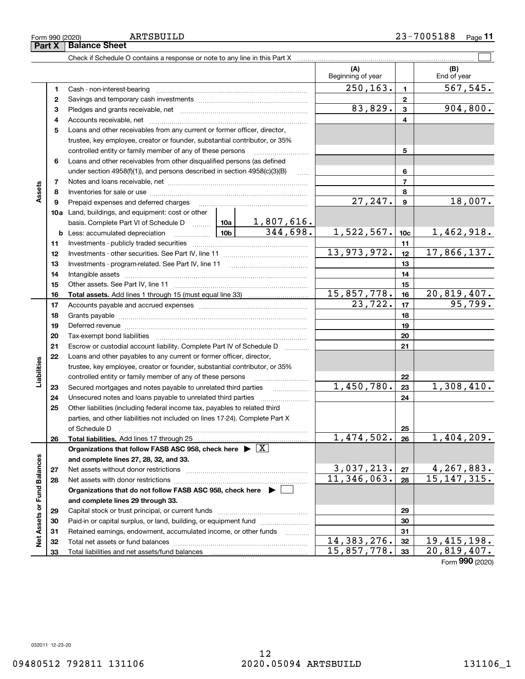# 12

|                             |    |                                                                                                                                                                                                                                |                     | (A)<br>Beginning of year |                   | (B)<br>End of year          |
|-----------------------------|----|--------------------------------------------------------------------------------------------------------------------------------------------------------------------------------------------------------------------------------|---------------------|--------------------------|-------------------|-----------------------------|
|                             | 1  |                                                                                                                                                                                                                                |                     | 250, 163.                | $\mathbf{1}$      | 567, 545.                   |
|                             | 2  |                                                                                                                                                                                                                                |                     | $\mathbf{2}$             |                   |                             |
|                             | з  |                                                                                                                                                                                                                                | 83,829.             | $\mathbf{3}$             | 904, 800.         |                             |
|                             | 4  |                                                                                                                                                                                                                                |                     | $\overline{4}$           |                   |                             |
|                             | 5  | Loans and other receivables from any current or former officer, director,                                                                                                                                                      |                     |                          |                   |                             |
|                             |    | trustee, key employee, creator or founder, substantial contributor, or 35%                                                                                                                                                     |                     |                          |                   |                             |
|                             |    | controlled entity or family member of any of these persons                                                                                                                                                                     |                     | 5                        |                   |                             |
|                             | 6  | Loans and other receivables from other disqualified persons (as defined                                                                                                                                                        |                     |                          |                   |                             |
|                             |    | under section 4958(f)(1)), and persons described in section 4958(c)(3)(B)                                                                                                                                                      |                     | 6                        |                   |                             |
|                             | 7  |                                                                                                                                                                                                                                |                     |                          | $\overline{7}$    |                             |
| Assets                      | 8  |                                                                                                                                                                                                                                |                     |                          | 8                 |                             |
|                             | 9  | Prepaid expenses and deferred charges                                                                                                                                                                                          |                     | 27, 247.                 | $\mathbf{9}$      | 18,007.                     |
|                             |    | <b>10a</b> Land, buildings, and equipment: cost or other                                                                                                                                                                       |                     |                          |                   |                             |
|                             |    |                                                                                                                                                                                                                                |                     |                          |                   |                             |
|                             |    | $\frac{1}{10b}$<br><b>b</b> Less: accumulated depreciation                                                                                                                                                                     | 1,522,567.          | 10 <sub>c</sub>          | <u>1,462,918.</u> |                             |
|                             | 11 |                                                                                                                                                                                                                                |                     | 11                       |                   |                             |
|                             | 12 |                                                                                                                                                                                                                                | 13,973,972.         | 12                       | 17,866,137.       |                             |
|                             | 13 |                                                                                                                                                                                                                                |                     | 13                       |                   |                             |
|                             | 14 |                                                                                                                                                                                                                                |                     | 14                       |                   |                             |
|                             | 15 |                                                                                                                                                                                                                                |                     | 15                       |                   |                             |
|                             | 16 |                                                                                                                                                                                                                                | 15,857,778.         | 16                       | 20,819,407.       |                             |
|                             | 17 |                                                                                                                                                                                                                                | 23,722.             | 17                       | 95,799.           |                             |
|                             | 18 |                                                                                                                                                                                                                                |                     | 18                       |                   |                             |
|                             | 19 | Deferred revenue manual contracts and contracts are all the manual contracts and contracts are contracted and contracts are contracted and contract are contracted and contract are contracted and contract are contracted and |                     |                          | 19                |                             |
|                             | 20 |                                                                                                                                                                                                                                |                     |                          | 20                |                             |
|                             | 21 | Escrow or custodial account liability. Complete Part IV of Schedule D                                                                                                                                                          | 1.1.1.1.1.1.1.1.1.1 |                          | 21                |                             |
|                             | 22 | Loans and other payables to any current or former officer, director,                                                                                                                                                           |                     |                          |                   |                             |
| Liabilities                 |    | trustee, key employee, creator or founder, substantial contributor, or 35%                                                                                                                                                     |                     |                          |                   |                             |
|                             |    | controlled entity or family member of any of these persons                                                                                                                                                                     |                     |                          | 22                |                             |
|                             | 23 |                                                                                                                                                                                                                                |                     | 1,450,780.               | 23                | 1,308,410.                  |
|                             | 24 | Unsecured notes and loans payable to unrelated third parties                                                                                                                                                                   |                     |                          | 24                |                             |
|                             | 25 | Other liabilities (including federal income tax, payables to related third                                                                                                                                                     |                     |                          |                   |                             |
|                             |    | parties, and other liabilities not included on lines 17-24). Complete Part X                                                                                                                                                   |                     |                          |                   |                             |
|                             |    | of Schedule D                                                                                                                                                                                                                  |                     |                          | 25                |                             |
|                             | 26 |                                                                                                                                                                                                                                |                     | 1,474,502.               | 26                | 1,404,209.                  |
|                             |    | Organizations that follow FASB ASC 958, check here $\triangleright \lfloor X \rfloor$                                                                                                                                          |                     |                          |                   |                             |
|                             |    | and complete lines 27, 28, 32, and 33.                                                                                                                                                                                         |                     |                          |                   |                             |
|                             | 27 |                                                                                                                                                                                                                                |                     | 3,037,213.               | 27                | 4,267,883.                  |
|                             | 28 |                                                                                                                                                                                                                                |                     | 11,346,063.              | 28                | 15, 147, 315.               |
|                             |    | Organizations that do not follow FASB ASC 958, check here $\blacktriangleright$                                                                                                                                                |                     |                          |                   |                             |
|                             |    | and complete lines 29 through 33.                                                                                                                                                                                              |                     |                          |                   |                             |
| Net Assets or Fund Balances | 29 |                                                                                                                                                                                                                                |                     |                          | 29                |                             |
|                             | 30 | Paid-in or capital surplus, or land, building, or equipment fund                                                                                                                                                               |                     |                          | 30                |                             |
|                             | 31 | Retained earnings, endowment, accumulated income, or other funds                                                                                                                                                               |                     |                          | 31                |                             |
|                             | 32 |                                                                                                                                                                                                                                |                     | 14, 383, 276.            | 32                | $\overline{19}$ , 415, 198. |
|                             | 33 |                                                                                                                                                                                                                                |                     | 15,857,778.              | 33                | 20,819,407.                 |

Form (2020) **990**

**Part X Balance Sheet**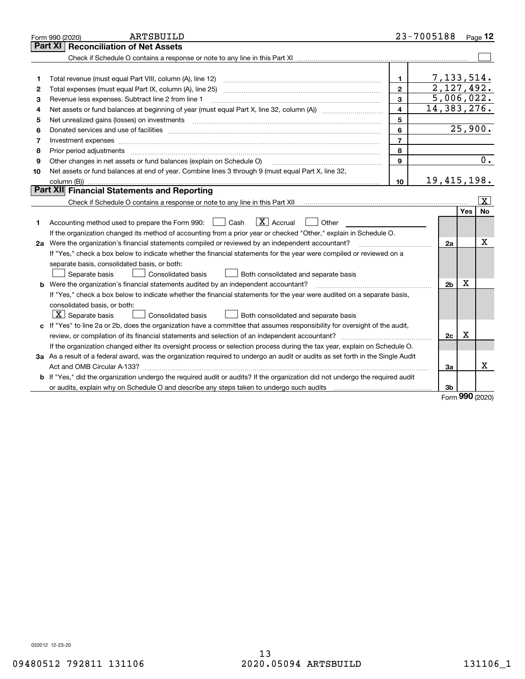|    | ARTSBUILD<br>Form 990 (2020)                                                                                                                                                                                                                                                                                                                                                                                                                                               |                         | 23-7005188 |                         |     | Page 12               |
|----|----------------------------------------------------------------------------------------------------------------------------------------------------------------------------------------------------------------------------------------------------------------------------------------------------------------------------------------------------------------------------------------------------------------------------------------------------------------------------|-------------------------|------------|-------------------------|-----|-----------------------|
|    | Part XI<br><b>Reconciliation of Net Assets</b>                                                                                                                                                                                                                                                                                                                                                                                                                             |                         |            |                         |     |                       |
|    |                                                                                                                                                                                                                                                                                                                                                                                                                                                                            |                         |            |                         |     |                       |
|    |                                                                                                                                                                                                                                                                                                                                                                                                                                                                            |                         |            |                         |     |                       |
| 1  | Total revenue (must equal Part VIII, column (A), line 12)                                                                                                                                                                                                                                                                                                                                                                                                                  | 1.                      |            | 7,133,514.              |     |                       |
| 2  |                                                                                                                                                                                                                                                                                                                                                                                                                                                                            | $\mathbf{2}$            |            | $\overline{2,127,492.}$ |     |                       |
| з  | Revenue less expenses. Subtract line 2 from line 1                                                                                                                                                                                                                                                                                                                                                                                                                         | 3                       |            | 5,006,022.              |     |                       |
| 4  |                                                                                                                                                                                                                                                                                                                                                                                                                                                                            | $\overline{\mathbf{A}}$ |            | 14,383,276.             |     |                       |
| 5  | Net unrealized gains (losses) on investments<br>$\overline{a_1, \ldots, a_n, \ldots, a_n, \ldots, a_n, \ldots, a_n, \ldots, a_n, \ldots, a_n, \ldots, a_n, \ldots, a_n, \ldots, a_n, \ldots, a_n, \ldots, a_n, \ldots, a_n, \ldots, a_n, \ldots, a_n, \ldots, a_n, \ldots, a_n, \ldots, a_n, \ldots, a_n, \ldots, a_n, \ldots, a_n, \ldots, a_n, \ldots, a_n, \ldots, a_n, \ldots, a_n, \ldots, a_n, \ldots, a_n, \ldots, a_n, \ldots, a_n, \ldots, a_n, \ldots, a_n, \ld$ | 5                       |            |                         |     |                       |
| 6  |                                                                                                                                                                                                                                                                                                                                                                                                                                                                            | 6                       |            |                         |     | 25,900.               |
| 7  |                                                                                                                                                                                                                                                                                                                                                                                                                                                                            | $\overline{7}$          |            |                         |     |                       |
| 8  | Prior period adjustments                                                                                                                                                                                                                                                                                                                                                                                                                                                   | 8                       |            |                         |     |                       |
| 9  | Other changes in net assets or fund balances (explain on Schedule O)                                                                                                                                                                                                                                                                                                                                                                                                       | 9                       |            |                         |     | $\overline{0}$ .      |
| 10 | Net assets or fund balances at end of year. Combine lines 3 through 9 (must equal Part X, line 32,                                                                                                                                                                                                                                                                                                                                                                         |                         |            |                         |     |                       |
|    |                                                                                                                                                                                                                                                                                                                                                                                                                                                                            | 10                      |            | 19, 415, 198.           |     |                       |
|    | Part XII Financial Statements and Reporting                                                                                                                                                                                                                                                                                                                                                                                                                                |                         |            |                         |     |                       |
|    |                                                                                                                                                                                                                                                                                                                                                                                                                                                                            |                         |            |                         |     | $\overline{\text{X}}$ |
|    |                                                                                                                                                                                                                                                                                                                                                                                                                                                                            |                         |            |                         | Yes | <b>No</b>             |
| 1  | $\boxed{\mathbf{X}}$ Accrual<br>Accounting method used to prepare the Form 990: <u>[</u> Cash<br>Other                                                                                                                                                                                                                                                                                                                                                                     |                         |            |                         |     |                       |
|    | If the organization changed its method of accounting from a prior year or checked "Other," explain in Schedule O.                                                                                                                                                                                                                                                                                                                                                          |                         |            |                         |     |                       |
|    | 2a Were the organization's financial statements compiled or reviewed by an independent accountant?                                                                                                                                                                                                                                                                                                                                                                         |                         |            | 2a                      |     | x                     |
|    | If "Yes," check a box below to indicate whether the financial statements for the year were compiled or reviewed on a                                                                                                                                                                                                                                                                                                                                                       |                         |            |                         |     |                       |
|    | separate basis, consolidated basis, or both:                                                                                                                                                                                                                                                                                                                                                                                                                               |                         |            |                         |     |                       |
|    | Separate basis<br>Consolidated basis<br>Both consolidated and separate basis                                                                                                                                                                                                                                                                                                                                                                                               |                         |            |                         |     |                       |
|    | <b>b</b> Were the organization's financial statements audited by an independent accountant?                                                                                                                                                                                                                                                                                                                                                                                |                         |            | 2 <sub>b</sub>          | х   |                       |
|    | If "Yes," check a box below to indicate whether the financial statements for the year were audited on a separate basis,                                                                                                                                                                                                                                                                                                                                                    |                         |            |                         |     |                       |
|    | consolidated basis, or both:                                                                                                                                                                                                                                                                                                                                                                                                                                               |                         |            |                         |     |                       |
|    | $ \mathbf{X} $ Separate basis<br>Consolidated basis<br>Both consolidated and separate basis                                                                                                                                                                                                                                                                                                                                                                                |                         |            |                         |     |                       |
|    | c If "Yes" to line 2a or 2b, does the organization have a committee that assumes responsibility for oversight of the audit,                                                                                                                                                                                                                                                                                                                                                |                         |            |                         |     |                       |
|    |                                                                                                                                                                                                                                                                                                                                                                                                                                                                            |                         |            | 2c                      | X   |                       |
|    | If the organization changed either its oversight process or selection process during the tax year, explain on Schedule O.                                                                                                                                                                                                                                                                                                                                                  |                         |            |                         |     |                       |
|    | 3a As a result of a federal award, was the organization required to undergo an audit or audits as set forth in the Single Audit                                                                                                                                                                                                                                                                                                                                            |                         |            |                         |     |                       |
|    |                                                                                                                                                                                                                                                                                                                                                                                                                                                                            |                         |            | 3a                      |     | x                     |
|    | b If "Yes," did the organization undergo the required audit or audits? If the organization did not undergo the required audit                                                                                                                                                                                                                                                                                                                                              |                         |            |                         |     |                       |
|    |                                                                                                                                                                                                                                                                                                                                                                                                                                                                            |                         |            | 3 <sub>b</sub>          | 000 |                       |

Form (2020) **990**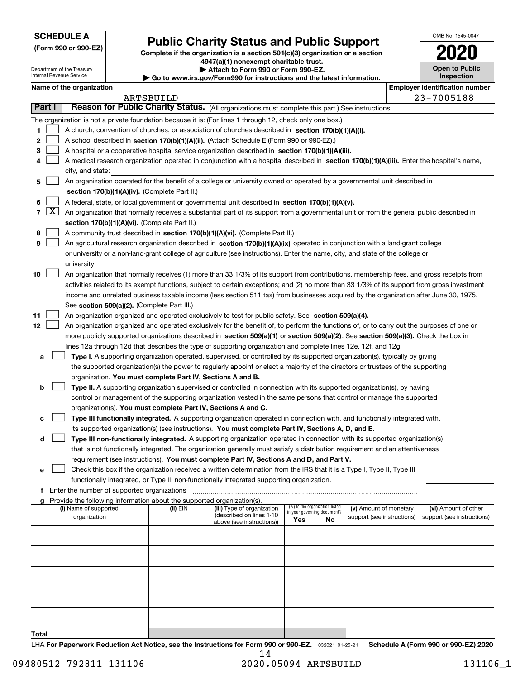| <b>SCHEDULE A</b> |  |
|-------------------|--|
|-------------------|--|

Department of the Treasury

**(Form 990 or 990-EZ)**

# **Public Charity Status and Public Support**

**Complete if the organization is a section 501(c)(3) organization or a section 4947(a)(1) nonexempt charitable trust. | Attach to Form 990 or Form 990-EZ.** 

| U2N                   |
|-----------------------|
| <b>Open to Public</b> |
| Inspection            |

 $\mathbf l$ 

| Internal Revenue Service<br><b>Inspection</b><br>$\triangleright$ Go to www.irs.gov/Form990 for instructions and the latest information. |                       |                                                                                                                                            |                                               |                                                                        |                                                                                                                                              |                             |                                 |                            |  |                                       |
|------------------------------------------------------------------------------------------------------------------------------------------|-----------------------|--------------------------------------------------------------------------------------------------------------------------------------------|-----------------------------------------------|------------------------------------------------------------------------|----------------------------------------------------------------------------------------------------------------------------------------------|-----------------------------|---------------------------------|----------------------------|--|---------------------------------------|
|                                                                                                                                          |                       | Name of the organization                                                                                                                   |                                               |                                                                        |                                                                                                                                              |                             |                                 |                            |  | <b>Employer identification number</b> |
|                                                                                                                                          |                       |                                                                                                                                            |                                               | <b>ARTSBUILD</b>                                                       |                                                                                                                                              |                             |                                 |                            |  | 23-7005188                            |
| Part I                                                                                                                                   |                       |                                                                                                                                            |                                               |                                                                        | Reason for Public Charity Status. (All organizations must complete this part.) See instructions.                                             |                             |                                 |                            |  |                                       |
|                                                                                                                                          |                       |                                                                                                                                            |                                               |                                                                        | The organization is not a private foundation because it is: (For lines 1 through 12, check only one box.)                                    |                             |                                 |                            |  |                                       |
| 1.                                                                                                                                       |                       | A church, convention of churches, or association of churches described in section 170(b)(1)(A)(i).                                         |                                               |                                                                        |                                                                                                                                              |                             |                                 |                            |  |                                       |
| 2                                                                                                                                        |                       | A school described in section 170(b)(1)(A)(ii). (Attach Schedule E (Form 990 or 990-EZ).)                                                  |                                               |                                                                        |                                                                                                                                              |                             |                                 |                            |  |                                       |
| З                                                                                                                                        |                       |                                                                                                                                            |                                               |                                                                        | A hospital or a cooperative hospital service organization described in section 170(b)(1)(A)(iii).                                            |                             |                                 |                            |  |                                       |
| 4                                                                                                                                        |                       | A medical research organization operated in conjunction with a hospital described in section 170(b)(1)(A)(iii). Enter the hospital's name, |                                               |                                                                        |                                                                                                                                              |                             |                                 |                            |  |                                       |
|                                                                                                                                          |                       | city, and state:                                                                                                                           |                                               |                                                                        |                                                                                                                                              |                             |                                 |                            |  |                                       |
| 5                                                                                                                                        |                       |                                                                                                                                            |                                               |                                                                        | An organization operated for the benefit of a college or university owned or operated by a governmental unit described in                    |                             |                                 |                            |  |                                       |
|                                                                                                                                          |                       |                                                                                                                                            |                                               | section 170(b)(1)(A)(iv). (Complete Part II.)                          |                                                                                                                                              |                             |                                 |                            |  |                                       |
| 6                                                                                                                                        |                       |                                                                                                                                            |                                               |                                                                        | A federal, state, or local government or governmental unit described in section 170(b)(1)(A)(v).                                             |                             |                                 |                            |  |                                       |
|                                                                                                                                          | 7 $\lfloor x \rfloor$ |                                                                                                                                            |                                               |                                                                        | An organization that normally receives a substantial part of its support from a governmental unit or from the general public described in    |                             |                                 |                            |  |                                       |
|                                                                                                                                          |                       |                                                                                                                                            |                                               | section 170(b)(1)(A)(vi). (Complete Part II.)                          |                                                                                                                                              |                             |                                 |                            |  |                                       |
| 8                                                                                                                                        |                       |                                                                                                                                            |                                               |                                                                        | A community trust described in section 170(b)(1)(A)(vi). (Complete Part II.)                                                                 |                             |                                 |                            |  |                                       |
| 9                                                                                                                                        |                       |                                                                                                                                            |                                               |                                                                        | An agricultural research organization described in section 170(b)(1)(A)(ix) operated in conjunction with a land-grant college                |                             |                                 |                            |  |                                       |
|                                                                                                                                          |                       |                                                                                                                                            |                                               |                                                                        | or university or a non-land-grant college of agriculture (see instructions). Enter the name, city, and state of the college or               |                             |                                 |                            |  |                                       |
|                                                                                                                                          |                       | university:                                                                                                                                |                                               |                                                                        |                                                                                                                                              |                             |                                 |                            |  |                                       |
| 10                                                                                                                                       |                       |                                                                                                                                            |                                               |                                                                        | An organization that normally receives (1) more than 33 1/3% of its support from contributions, membership fees, and gross receipts from     |                             |                                 |                            |  |                                       |
|                                                                                                                                          |                       |                                                                                                                                            |                                               |                                                                        | activities related to its exempt functions, subject to certain exceptions; and (2) no more than 33 1/3% of its support from gross investment |                             |                                 |                            |  |                                       |
|                                                                                                                                          |                       |                                                                                                                                            |                                               |                                                                        |                                                                                                                                              |                             |                                 |                            |  |                                       |
|                                                                                                                                          |                       |                                                                                                                                            |                                               |                                                                        | income and unrelated business taxable income (less section 511 tax) from businesses acquired by the organization after June 30, 1975.        |                             |                                 |                            |  |                                       |
|                                                                                                                                          |                       |                                                                                                                                            |                                               | See section 509(a)(2). (Complete Part III.)                            |                                                                                                                                              |                             |                                 |                            |  |                                       |
| 11                                                                                                                                       |                       |                                                                                                                                            |                                               |                                                                        | An organization organized and operated exclusively to test for public safety. See section 509(a)(4).                                         |                             |                                 |                            |  |                                       |
| 12                                                                                                                                       |                       |                                                                                                                                            |                                               |                                                                        | An organization organized and operated exclusively for the benefit of, to perform the functions of, or to carry out the purposes of one or   |                             |                                 |                            |  |                                       |
|                                                                                                                                          |                       |                                                                                                                                            |                                               |                                                                        | more publicly supported organizations described in section 509(a)(1) or section 509(a)(2). See section 509(a)(3). Check the box in           |                             |                                 |                            |  |                                       |
|                                                                                                                                          |                       |                                                                                                                                            |                                               |                                                                        | lines 12a through 12d that describes the type of supporting organization and complete lines 12e, 12f, and 12g.                               |                             |                                 |                            |  |                                       |
| а                                                                                                                                        |                       |                                                                                                                                            |                                               |                                                                        | Type I. A supporting organization operated, supervised, or controlled by its supported organization(s), typically by giving                  |                             |                                 |                            |  |                                       |
|                                                                                                                                          |                       |                                                                                                                                            |                                               |                                                                        | the supported organization(s) the power to regularly appoint or elect a majority of the directors or trustees of the supporting              |                             |                                 |                            |  |                                       |
|                                                                                                                                          |                       |                                                                                                                                            |                                               | organization. You must complete Part IV, Sections A and B.             |                                                                                                                                              |                             |                                 |                            |  |                                       |
| b                                                                                                                                        |                       |                                                                                                                                            |                                               |                                                                        | Type II. A supporting organization supervised or controlled in connection with its supported organization(s), by having                      |                             |                                 |                            |  |                                       |
|                                                                                                                                          |                       |                                                                                                                                            |                                               |                                                                        | control or management of the supporting organization vested in the same persons that control or manage the supported                         |                             |                                 |                            |  |                                       |
|                                                                                                                                          |                       |                                                                                                                                            |                                               | organization(s). You must complete Part IV, Sections A and C.          |                                                                                                                                              |                             |                                 |                            |  |                                       |
| с                                                                                                                                        |                       |                                                                                                                                            |                                               |                                                                        | Type III functionally integrated. A supporting organization operated in connection with, and functionally integrated with,                   |                             |                                 |                            |  |                                       |
|                                                                                                                                          |                       |                                                                                                                                            |                                               |                                                                        | its supported organization(s) (see instructions). You must complete Part IV, Sections A, D, and E.                                           |                             |                                 |                            |  |                                       |
| d                                                                                                                                        |                       |                                                                                                                                            |                                               |                                                                        | Type III non-functionally integrated. A supporting organization operated in connection with its supported organization(s)                    |                             |                                 |                            |  |                                       |
|                                                                                                                                          |                       |                                                                                                                                            |                                               |                                                                        | that is not functionally integrated. The organization generally must satisfy a distribution requirement and an attentiveness                 |                             |                                 |                            |  |                                       |
|                                                                                                                                          |                       |                                                                                                                                            |                                               |                                                                        | requirement (see instructions). You must complete Part IV, Sections A and D, and Part V.                                                     |                             |                                 |                            |  |                                       |
| е                                                                                                                                        |                       |                                                                                                                                            |                                               |                                                                        | Check this box if the organization received a written determination from the IRS that it is a Type I, Type II, Type III                      |                             |                                 |                            |  |                                       |
|                                                                                                                                          |                       |                                                                                                                                            |                                               |                                                                        | functionally integrated, or Type III non-functionally integrated supporting organization.                                                    |                             |                                 |                            |  |                                       |
|                                                                                                                                          |                       |                                                                                                                                            | f Enter the number of supported organizations |                                                                        |                                                                                                                                              |                             |                                 |                            |  |                                       |
|                                                                                                                                          |                       |                                                                                                                                            |                                               | Provide the following information about the supported organization(s). |                                                                                                                                              |                             |                                 |                            |  |                                       |
|                                                                                                                                          |                       | (i) Name of supported                                                                                                                      |                                               | (ii) EIN                                                               | (iii) Type of organization<br>(described on lines 1-10                                                                                       | in your governing document? | (iv) Is the organization listed | (v) Amount of monetary     |  | (vi) Amount of other                  |
|                                                                                                                                          |                       | organization                                                                                                                               |                                               |                                                                        | above (see instructions))                                                                                                                    | Yes                         | No.                             | support (see instructions) |  | support (see instructions)            |
|                                                                                                                                          |                       |                                                                                                                                            |                                               |                                                                        |                                                                                                                                              |                             |                                 |                            |  |                                       |
|                                                                                                                                          |                       |                                                                                                                                            |                                               |                                                                        |                                                                                                                                              |                             |                                 |                            |  |                                       |
|                                                                                                                                          |                       |                                                                                                                                            |                                               |                                                                        |                                                                                                                                              |                             |                                 |                            |  |                                       |
|                                                                                                                                          |                       |                                                                                                                                            |                                               |                                                                        |                                                                                                                                              |                             |                                 |                            |  |                                       |
|                                                                                                                                          |                       |                                                                                                                                            |                                               |                                                                        |                                                                                                                                              |                             |                                 |                            |  |                                       |
|                                                                                                                                          |                       |                                                                                                                                            |                                               |                                                                        |                                                                                                                                              |                             |                                 |                            |  |                                       |
|                                                                                                                                          |                       |                                                                                                                                            |                                               |                                                                        |                                                                                                                                              |                             |                                 |                            |  |                                       |
|                                                                                                                                          |                       |                                                                                                                                            |                                               |                                                                        |                                                                                                                                              |                             |                                 |                            |  |                                       |
|                                                                                                                                          |                       |                                                                                                                                            |                                               |                                                                        |                                                                                                                                              |                             |                                 |                            |  |                                       |
|                                                                                                                                          |                       |                                                                                                                                            |                                               |                                                                        |                                                                                                                                              |                             |                                 |                            |  |                                       |
| Total                                                                                                                                    |                       |                                                                                                                                            |                                               |                                                                        |                                                                                                                                              |                             |                                 |                            |  |                                       |

LHA For Paperwork Reduction Act Notice, see the Instructions for Form 990 or 990-EZ. <sub>032021</sub> o1-25-21 Schedule A (Form 990 or 990-EZ) 2020

14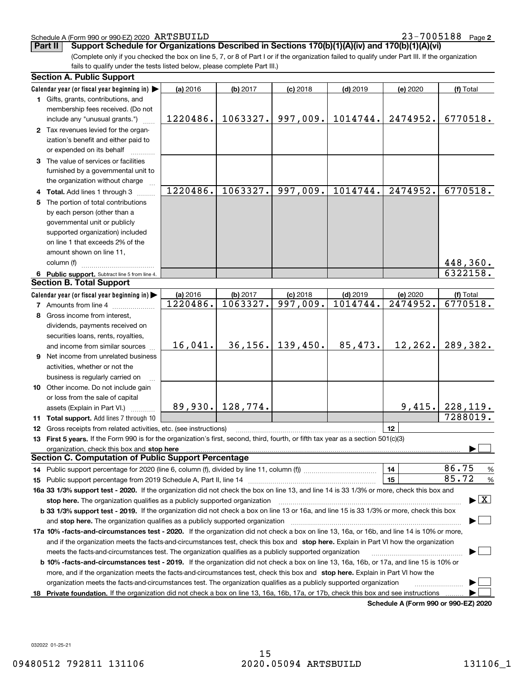#### Schedule A (Form 990 or 990-EZ) 2020 ARTSBUILD

(Complete only if you checked the box on line 5, 7, or 8 of Part I or if the organization failed to qualify under Part III. If the organization fails to qualify under the tests listed below, please complete Part III.) **Part II** Support Schedule for Organizations Described in Sections 170(b)(1)(A)(iv) and 170(b)(1)(A)(vi)

|     | <b>Section A. Public Support</b>                                                                                                                                                                                       |          |          |            |            |          |                                          |
|-----|------------------------------------------------------------------------------------------------------------------------------------------------------------------------------------------------------------------------|----------|----------|------------|------------|----------|------------------------------------------|
|     | Calendar year (or fiscal year beginning in)                                                                                                                                                                            | (a) 2016 | (b) 2017 | $(c)$ 2018 | $(d)$ 2019 | (e) 2020 | (f) Total                                |
|     | 1 Gifts, grants, contributions, and                                                                                                                                                                                    |          |          |            |            |          |                                          |
|     | membership fees received. (Do not                                                                                                                                                                                      |          |          |            |            |          |                                          |
|     | include any "unusual grants.")                                                                                                                                                                                         | 1220486. | 1063327. | 997,009.   | 1014744.   | 2474952. | 6770518.                                 |
|     | 2 Tax revenues levied for the organ-                                                                                                                                                                                   |          |          |            |            |          |                                          |
|     | ization's benefit and either paid to                                                                                                                                                                                   |          |          |            |            |          |                                          |
|     | or expended on its behalf                                                                                                                                                                                              |          |          |            |            |          |                                          |
|     | 3 The value of services or facilities                                                                                                                                                                                  |          |          |            |            |          |                                          |
|     | furnished by a governmental unit to                                                                                                                                                                                    |          |          |            |            |          |                                          |
|     | the organization without charge                                                                                                                                                                                        |          |          |            |            |          |                                          |
|     | <b>Total.</b> Add lines 1 through 3                                                                                                                                                                                    | 1220486. | 1063327. | 997,009.   | 1014744.   | 2474952. | 6770518.                                 |
| 5.  | The portion of total contributions                                                                                                                                                                                     |          |          |            |            |          |                                          |
|     | by each person (other than a                                                                                                                                                                                           |          |          |            |            |          |                                          |
|     | governmental unit or publicly                                                                                                                                                                                          |          |          |            |            |          |                                          |
|     | supported organization) included                                                                                                                                                                                       |          |          |            |            |          |                                          |
|     | on line 1 that exceeds 2% of the                                                                                                                                                                                       |          |          |            |            |          |                                          |
|     | amount shown on line 11,                                                                                                                                                                                               |          |          |            |            |          |                                          |
|     | column (f)                                                                                                                                                                                                             |          |          |            |            |          | 448,360.                                 |
|     | 6 Public support. Subtract line 5 from line 4.                                                                                                                                                                         |          |          |            |            |          | 6322158.                                 |
|     | <b>Section B. Total Support</b>                                                                                                                                                                                        |          |          |            |            |          |                                          |
|     | Calendar year (or fiscal year beginning in)                                                                                                                                                                            | (a) 2016 | (b) 2017 | $(c)$ 2018 | $(d)$ 2019 | (e) 2020 | (f) Total                                |
|     | 7 Amounts from line 4                                                                                                                                                                                                  | 1220486. | 1063327. | 997,009.   | 1014744.   | 2474952. | 6770518.                                 |
| 8   | Gross income from interest,                                                                                                                                                                                            |          |          |            |            |          |                                          |
|     | dividends, payments received on                                                                                                                                                                                        |          |          |            |            |          |                                          |
|     | securities loans, rents, royalties,                                                                                                                                                                                    |          |          |            |            |          |                                          |
|     | and income from similar sources                                                                                                                                                                                        | 16,041.  | 36, 156. | 139,450.   | 85,473.    | 12, 262. | 289,382.                                 |
| 9   | Net income from unrelated business                                                                                                                                                                                     |          |          |            |            |          |                                          |
|     |                                                                                                                                                                                                                        |          |          |            |            |          |                                          |
|     | activities, whether or not the                                                                                                                                                                                         |          |          |            |            |          |                                          |
|     | business is regularly carried on                                                                                                                                                                                       |          |          |            |            |          |                                          |
|     | 10 Other income. Do not include gain                                                                                                                                                                                   |          |          |            |            |          |                                          |
|     | or loss from the sale of capital                                                                                                                                                                                       | 89,930.  | 128,774. |            |            | 9,415.   | 228,119.                                 |
|     | assets (Explain in Part VI.)                                                                                                                                                                                           |          |          |            |            |          | 7288019.                                 |
|     | 11 Total support. Add lines 7 through 10                                                                                                                                                                               |          |          |            |            | 12       |                                          |
|     | 12 Gross receipts from related activities, etc. (see instructions)                                                                                                                                                     |          |          |            |            |          |                                          |
|     | 13 First 5 years. If the Form 990 is for the organization's first, second, third, fourth, or fifth tax year as a section 501(c)(3)                                                                                     |          |          |            |            |          |                                          |
|     | <b>Section C. Computation of Public Support Percentage</b>                                                                                                                                                             |          |          |            |            |          |                                          |
|     |                                                                                                                                                                                                                        |          |          |            |            | 14       | 86.75                                    |
|     |                                                                                                                                                                                                                        |          |          |            |            | 15       | %<br>85.72<br>%                          |
|     | 16a 33 1/3% support test - 2020. If the organization did not check the box on line 13, and line 14 is 33 1/3% or more, check this box and                                                                              |          |          |            |            |          |                                          |
|     |                                                                                                                                                                                                                        |          |          |            |            |          | $\blacktriangleright$ $\boxed{\text{X}}$ |
|     | stop here. The organization qualifies as a publicly supported organization<br>b 33 1/3% support test - 2019. If the organization did not check a box on line 13 or 16a, and line 15 is 33 1/3% or more, check this box |          |          |            |            |          |                                          |
|     |                                                                                                                                                                                                                        |          |          |            |            |          |                                          |
|     | and stop here. The organization qualifies as a publicly supported organization                                                                                                                                         |          |          |            |            |          |                                          |
|     | 17a 10% -facts-and-circumstances test - 2020. If the organization did not check a box on line 13, 16a, or 16b, and line 14 is 10% or more,                                                                             |          |          |            |            |          |                                          |
|     | and if the organization meets the facts-and-circumstances test, check this box and stop here. Explain in Part VI how the organization                                                                                  |          |          |            |            |          |                                          |
|     | meets the facts-and-circumstances test. The organization qualifies as a publicly supported organization                                                                                                                |          |          |            |            |          |                                          |
|     | b 10% -facts-and-circumstances test - 2019. If the organization did not check a box on line 13, 16a, 16b, or 17a, and line 15 is 10% or                                                                                |          |          |            |            |          |                                          |
|     | more, and if the organization meets the facts-and-circumstances test, check this box and stop here. Explain in Part VI how the                                                                                         |          |          |            |            |          |                                          |
|     | organization meets the facts-and-circumstances test. The organization qualifies as a publicly supported organization                                                                                                   |          |          |            |            |          |                                          |
| 18. | Private foundation. If the organization did not check a box on line 13, 16a, 16b, 17a, or 17b, check this box and see instructions                                                                                     |          |          |            |            |          |                                          |

**Schedule A (Form 990 or 990-EZ) 2020**

032022 01-25-21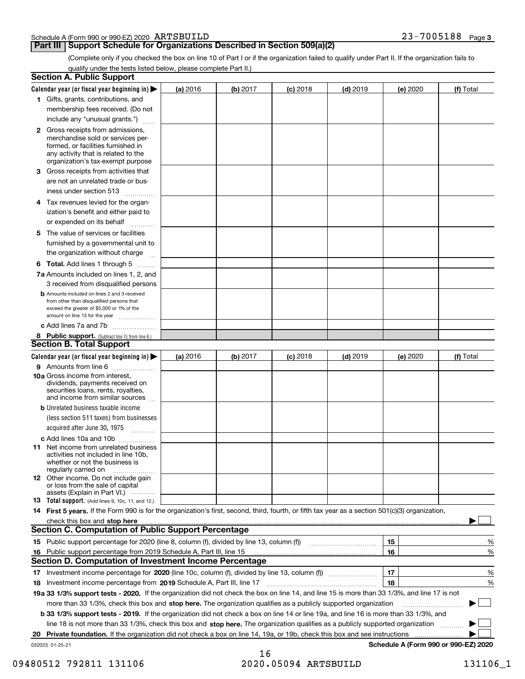#### Schedule A (Form 990 or 990-EZ) 2020 ARTSBUILD

#### **Part III** | Support Schedule for Organizations Described in Section 509(a)(2)

(Complete only if you checked the box on line 10 of Part I or if the organization failed to qualify under Part II. If the organization fails to qualify under the tests listed below, please complete Part II.)

|    | <b>Section A. Public Support</b>                                                                                                                                                                                               |          |          |            |            |                 |                                      |
|----|--------------------------------------------------------------------------------------------------------------------------------------------------------------------------------------------------------------------------------|----------|----------|------------|------------|-----------------|--------------------------------------|
|    | Calendar year (or fiscal year beginning in) $\blacktriangleright$                                                                                                                                                              | (a) 2016 | (b) 2017 | $(c)$ 2018 | $(d)$ 2019 | <b>(e)</b> 2020 | (f) Total                            |
|    | 1 Gifts, grants, contributions, and                                                                                                                                                                                            |          |          |            |            |                 |                                      |
|    | membership fees received. (Do not                                                                                                                                                                                              |          |          |            |            |                 |                                      |
|    | include any "unusual grants.")                                                                                                                                                                                                 |          |          |            |            |                 |                                      |
|    | <b>2</b> Gross receipts from admissions,<br>merchandise sold or services per-<br>formed, or facilities furnished in<br>any activity that is related to the<br>organization's tax-exempt purpose                                |          |          |            |            |                 |                                      |
|    | 3 Gross receipts from activities that<br>are not an unrelated trade or bus-                                                                                                                                                    |          |          |            |            |                 |                                      |
|    | iness under section 513                                                                                                                                                                                                        |          |          |            |            |                 |                                      |
|    | 4 Tax revenues levied for the organ-<br>ization's benefit and either paid to<br>or expended on its behalf                                                                                                                      |          |          |            |            |                 |                                      |
|    | 5 The value of services or facilities<br>furnished by a governmental unit to<br>the organization without charge                                                                                                                |          |          |            |            |                 |                                      |
|    | <b>6 Total.</b> Add lines 1 through 5                                                                                                                                                                                          |          |          |            |            |                 |                                      |
|    | 7a Amounts included on lines 1, 2, and<br>3 received from disqualified persons                                                                                                                                                 |          |          |            |            |                 |                                      |
|    | <b>b</b> Amounts included on lines 2 and 3 received<br>from other than disqualified persons that<br>exceed the greater of \$5,000 or 1% of the<br>amount on line 13 for the year                                               |          |          |            |            |                 |                                      |
|    | c Add lines 7a and 7b                                                                                                                                                                                                          |          |          |            |            |                 |                                      |
|    | 8 Public support. (Subtract line 7c from line 6.)                                                                                                                                                                              |          |          |            |            |                 |                                      |
|    | <b>Section B. Total Support</b>                                                                                                                                                                                                |          |          |            |            |                 |                                      |
|    | Calendar year (or fiscal year beginning in) $\blacktriangleright$                                                                                                                                                              | (a) 2016 | (b) 2017 | $(c)$ 2018 | $(d)$ 2019 | (e) 2020        | (f) Total                            |
|    | 9 Amounts from line 6                                                                                                                                                                                                          |          |          |            |            |                 |                                      |
|    | <b>10a</b> Gross income from interest,<br>dividends, payments received on<br>securities loans, rents, royalties,<br>and income from similar sources                                                                            |          |          |            |            |                 |                                      |
|    | <b>b</b> Unrelated business taxable income                                                                                                                                                                                     |          |          |            |            |                 |                                      |
|    | (less section 511 taxes) from businesses<br>acquired after June 30, 1975                                                                                                                                                       |          |          |            |            |                 |                                      |
|    | c Add lines 10a and 10b                                                                                                                                                                                                        |          |          |            |            |                 |                                      |
|    | 11 Net income from unrelated business<br>activities not included in line 10b,<br>whether or not the business is<br>regularly carried on                                                                                        |          |          |            |            |                 |                                      |
|    | <b>12</b> Other income. Do not include gain<br>or loss from the sale of capital<br>assets (Explain in Part VI.)                                                                                                                |          |          |            |            |                 |                                      |
|    | <b>13</b> Total support. (Add lines 9, 10c, 11, and 12.)                                                                                                                                                                       |          |          |            |            |                 |                                      |
|    | 14 First 5 years. If the Form 990 is for the organization's first, second, third, fourth, or fifth tax year as a section 501(c)(3) organization,                                                                               |          |          |            |            |                 |                                      |
|    | check this box and stop here communication and content to the state of the state of the state of the state of the state of the state of the state of the state of the state of the state of the state of the state of the stat |          |          |            |            |                 |                                      |
|    | <b>Section C. Computation of Public Support Percentage</b>                                                                                                                                                                     |          |          |            |            |                 |                                      |
|    | 15 Public support percentage for 2020 (line 8, column (f), divided by line 13, column (f))                                                                                                                                     |          |          |            |            | 15              | %                                    |
|    | 16 Public support percentage from 2019 Schedule A, Part III, line 15<br><b>Section D. Computation of Investment Income Percentage</b>                                                                                          |          |          |            |            | 16              | %                                    |
|    |                                                                                                                                                                                                                                |          |          |            |            |                 |                                      |
|    | 17 Investment income percentage for 2020 (line 10c, column (f), divided by line 13, column (f))                                                                                                                                |          |          |            |            | 17<br>18        | %                                    |
|    | 18 Investment income percentage from 2019 Schedule A, Part III, line 17<br>19a 33 1/3% support tests - 2020. If the organization did not check the box on line 14, and line 15 is more than 33 1/3%, and line 17 is not        |          |          |            |            |                 | %                                    |
|    | more than 33 1/3%, check this box and stop here. The organization qualifies as a publicly supported organization                                                                                                               |          |          |            |            |                 | $\blacksquare$                       |
|    | b 33 1/3% support tests - 2019. If the organization did not check a box on line 14 or line 19a, and line 16 is more than 33 1/3%, and                                                                                          |          |          |            |            |                 |                                      |
|    | line 18 is not more than 33 1/3%, check this box and stop here. The organization qualifies as a publicly supported organization                                                                                                |          |          |            |            |                 |                                      |
| 20 | Private foundation. If the organization did not check a box on line 14, 19a, or 19b, check this box and see instructions                                                                                                       |          |          |            |            |                 |                                      |
|    | 032023 01-25-21                                                                                                                                                                                                                |          |          |            |            |                 | Schedule A (Form 990 or 990-EZ) 2020 |

16 09480512 792811 131106 2020.05094 ARTSBUILD 131106\_1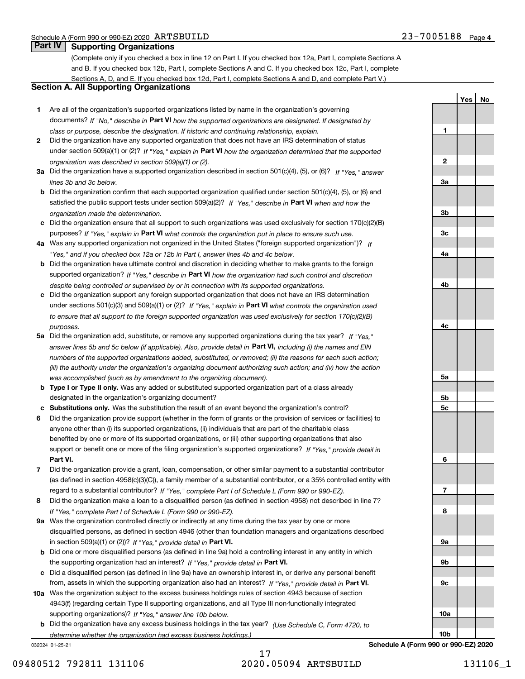**1**

**2**

**3a**

**3b**

**3c**

**4a**

**4b**

**4c**

**5a**

**5b5c**

**6**

**7**

**8**

**9a**

**9b**

**9c**

**10a**

**10b**

**YesNo**

### **Part IV Supporting Organizations**

(Complete only if you checked a box in line 12 on Part I. If you checked box 12a, Part I, complete Sections A and B. If you checked box 12b, Part I, complete Sections A and C. If you checked box 12c, Part I, complete Sections A, D, and E. If you checked box 12d, Part I, complete Sections A and D, and complete Part V.)

#### **Section A. All Supporting Organizations**

- **1** Are all of the organization's supported organizations listed by name in the organization's governing documents? If "No," describe in **Part VI** how the supported organizations are designated. If designated by *class or purpose, describe the designation. If historic and continuing relationship, explain.*
- **2** Did the organization have any supported organization that does not have an IRS determination of status under section 509(a)(1) or (2)? If "Yes," explain in Part VI how the organization determined that the supported *organization was described in section 509(a)(1) or (2).*
- **3a** Did the organization have a supported organization described in section 501(c)(4), (5), or (6)? If "Yes," answer *lines 3b and 3c below.*
- **b** Did the organization confirm that each supported organization qualified under section 501(c)(4), (5), or (6) and satisfied the public support tests under section 509(a)(2)? If "Yes," describe in **Part VI** when and how the *organization made the determination.*
- **c**Did the organization ensure that all support to such organizations was used exclusively for section 170(c)(2)(B) purposes? If "Yes," explain in **Part VI** what controls the organization put in place to ensure such use.
- **4a***If* Was any supported organization not organized in the United States ("foreign supported organization")? *"Yes," and if you checked box 12a or 12b in Part I, answer lines 4b and 4c below.*
- **b** Did the organization have ultimate control and discretion in deciding whether to make grants to the foreign supported organization? If "Yes," describe in **Part VI** how the organization had such control and discretion *despite being controlled or supervised by or in connection with its supported organizations.*
- **c** Did the organization support any foreign supported organization that does not have an IRS determination under sections 501(c)(3) and 509(a)(1) or (2)? If "Yes," explain in **Part VI** what controls the organization used *to ensure that all support to the foreign supported organization was used exclusively for section 170(c)(2)(B) purposes.*
- **5a** Did the organization add, substitute, or remove any supported organizations during the tax year? If "Yes," answer lines 5b and 5c below (if applicable). Also, provide detail in **Part VI,** including (i) the names and EIN *numbers of the supported organizations added, substituted, or removed; (ii) the reasons for each such action; (iii) the authority under the organization's organizing document authorizing such action; and (iv) how the action was accomplished (such as by amendment to the organizing document).*
- **b** Type I or Type II only. Was any added or substituted supported organization part of a class already designated in the organization's organizing document?
- **cSubstitutions only.**  Was the substitution the result of an event beyond the organization's control?
- **6** Did the organization provide support (whether in the form of grants or the provision of services or facilities) to **Part VI.** *If "Yes," provide detail in* support or benefit one or more of the filing organization's supported organizations? anyone other than (i) its supported organizations, (ii) individuals that are part of the charitable class benefited by one or more of its supported organizations, or (iii) other supporting organizations that also
- **7**Did the organization provide a grant, loan, compensation, or other similar payment to a substantial contributor *If "Yes," complete Part I of Schedule L (Form 990 or 990-EZ).* regard to a substantial contributor? (as defined in section 4958(c)(3)(C)), a family member of a substantial contributor, or a 35% controlled entity with
- **8** Did the organization make a loan to a disqualified person (as defined in section 4958) not described in line 7? *If "Yes," complete Part I of Schedule L (Form 990 or 990-EZ).*
- **9a** Was the organization controlled directly or indirectly at any time during the tax year by one or more in section 509(a)(1) or (2))? If "Yes," *provide detail in* <code>Part VI.</code> disqualified persons, as defined in section 4946 (other than foundation managers and organizations described
- **b** Did one or more disqualified persons (as defined in line 9a) hold a controlling interest in any entity in which the supporting organization had an interest? If "Yes," provide detail in P**art VI**.
- **c**Did a disqualified person (as defined in line 9a) have an ownership interest in, or derive any personal benefit from, assets in which the supporting organization also had an interest? If "Yes," provide detail in P**art VI.**
- **10a** Was the organization subject to the excess business holdings rules of section 4943 because of section supporting organizations)? If "Yes," answer line 10b below. 4943(f) (regarding certain Type II supporting organizations, and all Type III non-functionally integrated
- **b** Did the organization have any excess business holdings in the tax year? (Use Schedule C, Form 4720, to *determine whether the organization had excess business holdings.)*

032024 01-25-21

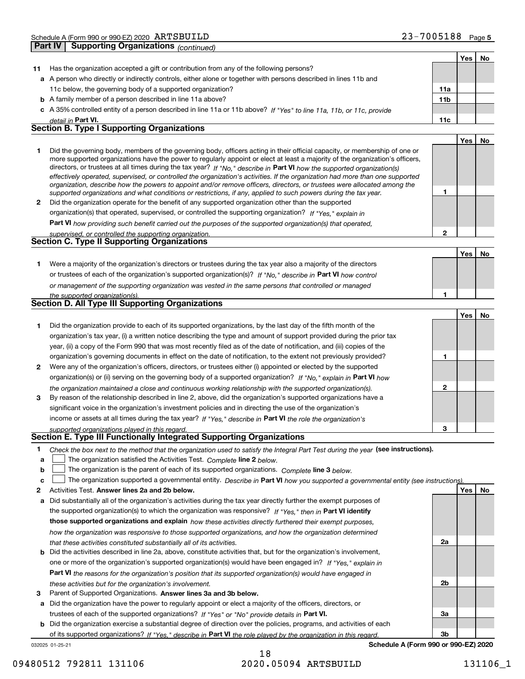|              | <b>Supporting Organizations (continued)</b><br><b>Part IV</b>                                                                                                                                                                                              |                 |     |    |
|--------------|------------------------------------------------------------------------------------------------------------------------------------------------------------------------------------------------------------------------------------------------------------|-----------------|-----|----|
|              |                                                                                                                                                                                                                                                            |                 | Yes | No |
| 11           | Has the organization accepted a gift or contribution from any of the following persons?                                                                                                                                                                    |                 |     |    |
|              | a A person who directly or indirectly controls, either alone or together with persons described in lines 11b and                                                                                                                                           |                 |     |    |
|              | 11c below, the governing body of a supported organization?                                                                                                                                                                                                 | 11a             |     |    |
|              | <b>b</b> A family member of a person described in line 11a above?                                                                                                                                                                                          | 11 <sub>b</sub> |     |    |
|              | c A 35% controlled entity of a person described in line 11a or 11b above? If "Yes" to line 11a, 11b, or 11c, provide                                                                                                                                       |                 |     |    |
|              | detail in Part VI.                                                                                                                                                                                                                                         | 11c             |     |    |
|              | <b>Section B. Type I Supporting Organizations</b>                                                                                                                                                                                                          |                 |     |    |
|              |                                                                                                                                                                                                                                                            |                 | Yes | No |
| 1            | Did the governing body, members of the governing body, officers acting in their official capacity, or membership of one or                                                                                                                                 |                 |     |    |
|              | more supported organizations have the power to regularly appoint or elect at least a majority of the organization's officers,                                                                                                                              |                 |     |    |
|              | directors, or trustees at all times during the tax year? If "No," describe in Part VI how the supported organization(s)                                                                                                                                    |                 |     |    |
|              | effectively operated, supervised, or controlled the organization's activities. If the organization had more than one supported<br>organization, describe how the powers to appoint and/or remove officers, directors, or trustees were allocated among the |                 |     |    |
|              | supported organizations and what conditions or restrictions, if any, applied to such powers during the tax year.                                                                                                                                           | 1               |     |    |
| $\mathbf{2}$ | Did the organization operate for the benefit of any supported organization other than the supported                                                                                                                                                        |                 |     |    |
|              | organization(s) that operated, supervised, or controlled the supporting organization? If "Yes," explain in                                                                                                                                                 |                 |     |    |
|              | Part VI how providing such benefit carried out the purposes of the supported organization(s) that operated,                                                                                                                                                |                 |     |    |
|              | supervised, or controlled the supporting organization.                                                                                                                                                                                                     | $\overline{2}$  |     |    |
|              | Section C. Type II Supporting Organizations                                                                                                                                                                                                                |                 |     |    |
|              |                                                                                                                                                                                                                                                            |                 | Yes | No |
| 1.           | Were a majority of the organization's directors or trustees during the tax year also a majority of the directors                                                                                                                                           |                 |     |    |
|              | or trustees of each of the organization's supported organization(s)? If "No," describe in Part VI how control                                                                                                                                              |                 |     |    |
|              | or management of the supporting organization was vested in the same persons that controlled or managed                                                                                                                                                     |                 |     |    |
|              | the supported organization(s).                                                                                                                                                                                                                             |                 |     |    |
|              | <b>Section D. All Type III Supporting Organizations</b>                                                                                                                                                                                                    |                 |     |    |
|              |                                                                                                                                                                                                                                                            |                 | Yes | No |
| 1.           | Did the organization provide to each of its supported organizations, by the last day of the fifth month of the                                                                                                                                             |                 |     |    |
|              | organization's tax year, (i) a written notice describing the type and amount of support provided during the prior tax                                                                                                                                      |                 |     |    |
|              | year, (ii) a copy of the Form 990 that was most recently filed as of the date of notification, and (iii) copies of the                                                                                                                                     |                 |     |    |
|              | organization's governing documents in effect on the date of notification, to the extent not previously provided?                                                                                                                                           | 1               |     |    |
| 2            | Were any of the organization's officers, directors, or trustees either (i) appointed or elected by the supported                                                                                                                                           |                 |     |    |
|              | organization(s) or (ii) serving on the governing body of a supported organization? If "No," explain in Part VI how                                                                                                                                         |                 |     |    |
|              | the organization maintained a close and continuous working relationship with the supported organization(s).                                                                                                                                                | $\mathbf{2}$    |     |    |
| 3            | By reason of the relationship described in line 2, above, did the organization's supported organizations have a                                                                                                                                            |                 |     |    |
|              | significant voice in the organization's investment policies and in directing the use of the organization's                                                                                                                                                 |                 |     |    |
|              | income or assets at all times during the tax year? If "Yes," describe in Part VI the role the organization's                                                                                                                                               |                 |     |    |
|              | supported organizations played in this regard.                                                                                                                                                                                                             | 3               |     |    |
|              | Section E. Type III Functionally Integrated Supporting Organizations                                                                                                                                                                                       |                 |     |    |
| 1            | Check the box next to the method that the organization used to satisfy the Integral Part Test during the year (see instructions).                                                                                                                          |                 |     |    |
| a            | The organization satisfied the Activities Test. Complete line 2 below.                                                                                                                                                                                     |                 |     |    |
| b            | The organization is the parent of each of its supported organizations. Complete line 3 below.                                                                                                                                                              |                 |     |    |
| c            | The organization supported a governmental entity. Describe in Part VI how you supported a governmental entity (see instructions).                                                                                                                          |                 |     |    |
| 2            | Activities Test. Answer lines 2a and 2b below.                                                                                                                                                                                                             |                 | Yes | No |
| а            | Did substantially all of the organization's activities during the tax year directly further the exempt purposes of                                                                                                                                         |                 |     |    |
|              | the supported organization(s) to which the organization was responsive? If "Yes," then in Part VI identify                                                                                                                                                 |                 |     |    |
|              | those supported organizations and explain how these activities directly furthered their exempt purposes,                                                                                                                                                   |                 |     |    |
|              | how the organization was responsive to those supported organizations, and how the organization determined                                                                                                                                                  |                 |     |    |
|              | that these activities constituted substantially all of its activities.                                                                                                                                                                                     | 2a              |     |    |
| b            | Did the activities described in line 2a, above, constitute activities that, but for the organization's involvement,                                                                                                                                        |                 |     |    |
|              | one or more of the organization's supported organization(s) would have been engaged in? If "Yes," explain in                                                                                                                                               |                 |     |    |
|              | Part VI the reasons for the organization's position that its supported organization(s) would have engaged in                                                                                                                                               |                 |     |    |
|              | these activities but for the organization's involvement.                                                                                                                                                                                                   | 2b              |     |    |

**3** Parent of Supported Organizations. Answer lines 3a and 3b below.

**a** Did the organization have the power to regularly appoint or elect a majority of the officers, directors, or trustees of each of the supported organizations? If "Yes" or "No" provide details in P**art VI.** 

**b** Did the organization exercise a substantial degree of direction over the policies, programs, and activities of each of its supported organizations? If "Yes," describe in Part VI the role played by the organization in this regard. **Schedule A (Form 990 or 990-EZ) 2020**

032025 01-25-21

**3a**

**3b**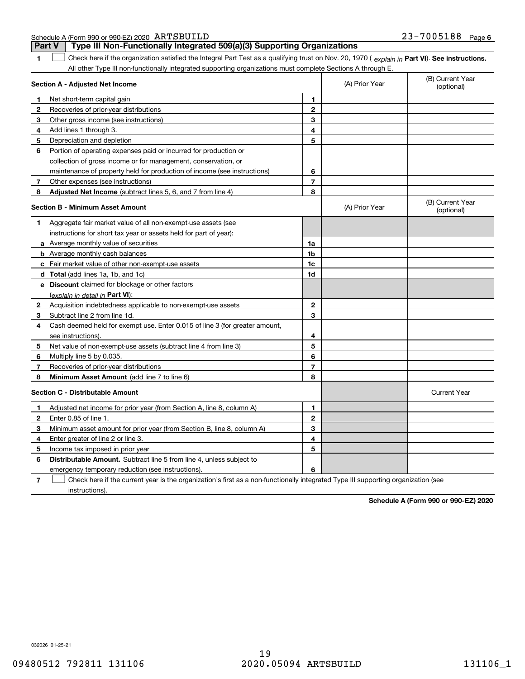| Schedule A (Form 990 or 990-EZ) 2020 ARTSBUILD |                                                                         | 7005188 | Page 6 |
|------------------------------------------------|-------------------------------------------------------------------------|---------|--------|
| l Part V                                       | Tyne III Non-Functionally Integrated 509(a)(3) Supporting Organizations |         |        |

|              | <b>1 GIL V</b><br>rype in Non-Functionally integrated obo(a)(o) oupporting organizations                                                       |                |                |                                |
|--------------|------------------------------------------------------------------------------------------------------------------------------------------------|----------------|----------------|--------------------------------|
| 1            | Check here if the organization satisfied the Integral Part Test as a qualifying trust on Nov. 20, 1970 (explain in Part VI). See instructions. |                |                |                                |
|              | All other Type III non-functionally integrated supporting organizations must complete Sections A through E.                                    |                |                |                                |
|              | Section A - Adjusted Net Income                                                                                                                |                | (A) Prior Year | (B) Current Year<br>(optional) |
| 1            | Net short-term capital gain                                                                                                                    | 1              |                |                                |
| 2            | Recoveries of prior-year distributions                                                                                                         | $\mathbf{2}$   |                |                                |
| 3            | Other gross income (see instructions)                                                                                                          | 3              |                |                                |
| 4            | Add lines 1 through 3.                                                                                                                         | 4              |                |                                |
| 5            | Depreciation and depletion                                                                                                                     | 5              |                |                                |
| 6            | Portion of operating expenses paid or incurred for production or                                                                               |                |                |                                |
|              | collection of gross income or for management, conservation, or                                                                                 |                |                |                                |
|              | maintenance of property held for production of income (see instructions)                                                                       | 6              |                |                                |
| 7            | Other expenses (see instructions)                                                                                                              | $\overline{7}$ |                |                                |
| 8            | Adjusted Net Income (subtract lines 5, 6, and 7 from line 4)                                                                                   | 8              |                |                                |
|              | <b>Section B - Minimum Asset Amount</b>                                                                                                        |                | (A) Prior Year | (B) Current Year<br>(optional) |
| 1            | Aggregate fair market value of all non-exempt-use assets (see                                                                                  |                |                |                                |
|              | instructions for short tax year or assets held for part of year):                                                                              |                |                |                                |
|              | <b>a</b> Average monthly value of securities                                                                                                   | 1a             |                |                                |
|              | <b>b</b> Average monthly cash balances                                                                                                         | 1b             |                |                                |
|              | c Fair market value of other non-exempt-use assets                                                                                             | 1c             |                |                                |
|              | <b>d</b> Total (add lines 1a, 1b, and 1c)                                                                                                      | 1d             |                |                                |
|              | <b>e</b> Discount claimed for blockage or other factors                                                                                        |                |                |                                |
|              | (explain in detail in Part VI):                                                                                                                |                |                |                                |
| 2            | Acquisition indebtedness applicable to non-exempt-use assets                                                                                   | $\mathbf{2}$   |                |                                |
| 3            | Subtract line 2 from line 1d.                                                                                                                  | 3              |                |                                |
| 4            | Cash deemed held for exempt use. Enter 0.015 of line 3 (for greater amount,                                                                    |                |                |                                |
|              | see instructions).                                                                                                                             | 4              |                |                                |
| 5            | Net value of non-exempt-use assets (subtract line 4 from line 3)                                                                               | 5              |                |                                |
| 6            | Multiply line 5 by 0.035.                                                                                                                      | 6              |                |                                |
| 7            | Recoveries of prior-year distributions                                                                                                         | $\overline{7}$ |                |                                |
| 8            | Minimum Asset Amount (add line 7 to line 6)                                                                                                    | 8              |                |                                |
|              | <b>Section C - Distributable Amount</b>                                                                                                        |                |                | <b>Current Year</b>            |
| 1            | Adjusted net income for prior year (from Section A, line 8, column A)                                                                          | 1              |                |                                |
| $\mathbf{2}$ | Enter 0.85 of line 1.                                                                                                                          | $\mathbf{2}$   |                |                                |
| 3            | Minimum asset amount for prior year (from Section B, line 8, column A)                                                                         | 3              |                |                                |
| 4            | Enter greater of line 2 or line 3.                                                                                                             | 4              |                |                                |
| 5            | Income tax imposed in prior year                                                                                                               | 5              |                |                                |
| 6            | <b>Distributable Amount.</b> Subtract line 5 from line 4, unless subject to                                                                    |                |                |                                |
|              | emergency temporary reduction (see instructions).                                                                                              | 6              |                |                                |
|              |                                                                                                                                                |                |                |                                |

**7** Check here if the current year is the organization's first as a non-functionally integrated Type III supporting organization (see instructions).

**Schedule A (Form 990 or 990-EZ) 2020**

032026 01-25-21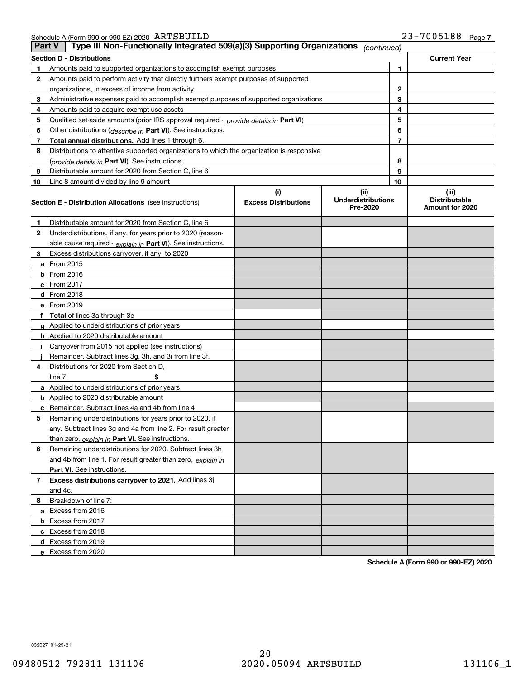|  | Schedule A (Form 990 or 990-EZ) 2020 $\,$ $\rm ARTSBULLD$ | 7005188<br>$23 -$ | Page |
|--|-----------------------------------------------------------|-------------------|------|
|  |                                                           |                   |      |

| <b>Part V</b> | Type III Non-Functionally Integrated 509(a)(3) Supporting Organizations                    |                                    | (continued)                                   |    |                                                  |
|---------------|--------------------------------------------------------------------------------------------|------------------------------------|-----------------------------------------------|----|--------------------------------------------------|
|               | <b>Section D - Distributions</b>                                                           |                                    |                                               |    | <b>Current Year</b>                              |
| 1             | Amounts paid to supported organizations to accomplish exempt purposes                      |                                    |                                               | 1  |                                                  |
| 2             | Amounts paid to perform activity that directly furthers exempt purposes of supported       |                                    |                                               |    |                                                  |
|               | organizations, in excess of income from activity                                           |                                    |                                               | 2  |                                                  |
| 3             | Administrative expenses paid to accomplish exempt purposes of supported organizations      |                                    |                                               | 3  |                                                  |
| 4             | Amounts paid to acquire exempt-use assets                                                  |                                    |                                               | 4  |                                                  |
| 5             | Qualified set-aside amounts (prior IRS approval required - provide details in Part VI)     |                                    |                                               | 5  |                                                  |
| 6             | Other distributions ( <i>describe in</i> Part VI). See instructions.                       |                                    |                                               | 6  |                                                  |
| 7             | Total annual distributions. Add lines 1 through 6.                                         |                                    |                                               | 7  |                                                  |
| 8             | Distributions to attentive supported organizations to which the organization is responsive |                                    |                                               |    |                                                  |
|               | (provide details in Part VI). See instructions.                                            |                                    |                                               | 8  |                                                  |
| 9             | Distributable amount for 2020 from Section C, line 6                                       |                                    |                                               | 9  |                                                  |
| 10            | Line 8 amount divided by line 9 amount                                                     |                                    |                                               | 10 |                                                  |
|               | <b>Section E - Distribution Allocations</b> (see instructions)                             | (i)<br><b>Excess Distributions</b> | (ii)<br><b>Underdistributions</b><br>Pre-2020 |    | (iii)<br><b>Distributable</b><br>Amount for 2020 |
| 1             | Distributable amount for 2020 from Section C, line 6                                       |                                    |                                               |    |                                                  |
| 2             | Underdistributions, if any, for years prior to 2020 (reason-                               |                                    |                                               |    |                                                  |
|               | able cause required - explain in Part VI). See instructions.                               |                                    |                                               |    |                                                  |
| 3             | Excess distributions carryover, if any, to 2020                                            |                                    |                                               |    |                                                  |
|               | a From 2015                                                                                |                                    |                                               |    |                                                  |
|               | <b>b</b> From 2016                                                                         |                                    |                                               |    |                                                  |
|               | c From $2017$                                                                              |                                    |                                               |    |                                                  |
|               | d From 2018                                                                                |                                    |                                               |    |                                                  |
|               | e From 2019                                                                                |                                    |                                               |    |                                                  |
|               | f Total of lines 3a through 3e                                                             |                                    |                                               |    |                                                  |
|               | g Applied to underdistributions of prior years                                             |                                    |                                               |    |                                                  |
|               | <b>h</b> Applied to 2020 distributable amount                                              |                                    |                                               |    |                                                  |
|               | Carryover from 2015 not applied (see instructions)                                         |                                    |                                               |    |                                                  |
|               | Remainder. Subtract lines 3g, 3h, and 3i from line 3f.                                     |                                    |                                               |    |                                                  |
| 4             | Distributions for 2020 from Section D,                                                     |                                    |                                               |    |                                                  |
|               | line $7:$                                                                                  |                                    |                                               |    |                                                  |
|               | a Applied to underdistributions of prior years                                             |                                    |                                               |    |                                                  |
|               | <b>b</b> Applied to 2020 distributable amount                                              |                                    |                                               |    |                                                  |
|               | c Remainder. Subtract lines 4a and 4b from line 4.                                         |                                    |                                               |    |                                                  |
| 5.            | Remaining underdistributions for years prior to 2020, if                                   |                                    |                                               |    |                                                  |
|               | any. Subtract lines 3g and 4a from line 2. For result greater                              |                                    |                                               |    |                                                  |
|               | than zero, explain in Part VI. See instructions.                                           |                                    |                                               |    |                                                  |
| 6             | Remaining underdistributions for 2020. Subtract lines 3h                                   |                                    |                                               |    |                                                  |
|               | and 4b from line 1. For result greater than zero, explain in                               |                                    |                                               |    |                                                  |
|               | Part VI. See instructions.                                                                 |                                    |                                               |    |                                                  |
| 7             | Excess distributions carryover to 2021. Add lines 3j                                       |                                    |                                               |    |                                                  |
|               | and 4c.                                                                                    |                                    |                                               |    |                                                  |
| 8             | Breakdown of line 7:                                                                       |                                    |                                               |    |                                                  |
|               | a Excess from 2016                                                                         |                                    |                                               |    |                                                  |
|               | <b>b</b> Excess from 2017                                                                  |                                    |                                               |    |                                                  |
|               | c Excess from 2018                                                                         |                                    |                                               |    |                                                  |
|               | d Excess from 2019                                                                         |                                    |                                               |    |                                                  |
|               | e Excess from 2020                                                                         |                                    |                                               |    |                                                  |

**Schedule A (Form 990 or 990-EZ) 2020**

032027 01-25-21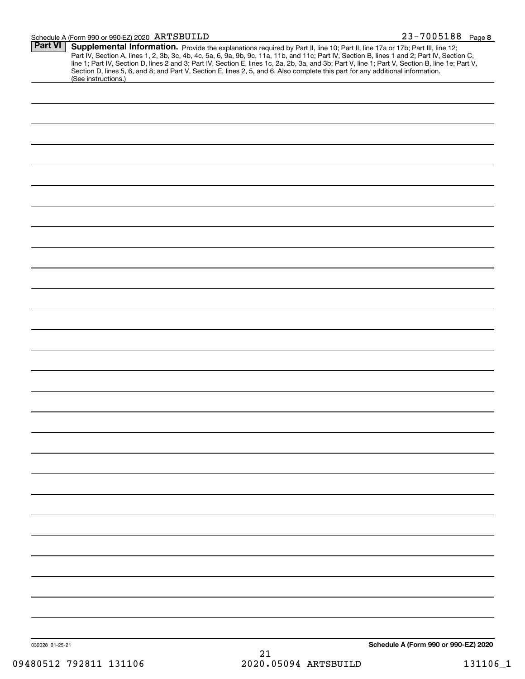#### Schedule A (Form 990 or 990-EZ) 2020 ARTSBUILD

| <b>Part VI</b>  | Supplemental Information. Provide the explanations required by Part II, line 10; Part II, line 17a or 17b; Part III, line 12;<br>Part IV, Section A, lines 1, 2, 3b, 3c, 4b, 4c, 5a, 6, 9a, 9b, 9c, 11a, 11b, and 11c; Part IV, Section B, lines 1 and 2; Part IV, Section C,<br>line 1; Part IV, Section D, lines 2 and 3; Part IV, Section E, lines 1c, 2a, 2b, 3a, and 3b; Part V, line 1; Part V, Section B, line 1e; Part V, |                                      |
|-----------------|-----------------------------------------------------------------------------------------------------------------------------------------------------------------------------------------------------------------------------------------------------------------------------------------------------------------------------------------------------------------------------------------------------------------------------------|--------------------------------------|
|                 | Section D, lines 5, 6, and 8; and Part V, Section E, lines 2, 5, and 6. Also complete this part for any additional information.<br>(See instructions.)                                                                                                                                                                                                                                                                            |                                      |
|                 |                                                                                                                                                                                                                                                                                                                                                                                                                                   |                                      |
|                 |                                                                                                                                                                                                                                                                                                                                                                                                                                   |                                      |
|                 |                                                                                                                                                                                                                                                                                                                                                                                                                                   |                                      |
|                 |                                                                                                                                                                                                                                                                                                                                                                                                                                   |                                      |
|                 |                                                                                                                                                                                                                                                                                                                                                                                                                                   |                                      |
|                 |                                                                                                                                                                                                                                                                                                                                                                                                                                   |                                      |
|                 |                                                                                                                                                                                                                                                                                                                                                                                                                                   |                                      |
|                 |                                                                                                                                                                                                                                                                                                                                                                                                                                   |                                      |
|                 |                                                                                                                                                                                                                                                                                                                                                                                                                                   |                                      |
|                 |                                                                                                                                                                                                                                                                                                                                                                                                                                   |                                      |
|                 |                                                                                                                                                                                                                                                                                                                                                                                                                                   |                                      |
|                 |                                                                                                                                                                                                                                                                                                                                                                                                                                   |                                      |
|                 |                                                                                                                                                                                                                                                                                                                                                                                                                                   |                                      |
|                 |                                                                                                                                                                                                                                                                                                                                                                                                                                   |                                      |
|                 |                                                                                                                                                                                                                                                                                                                                                                                                                                   |                                      |
|                 |                                                                                                                                                                                                                                                                                                                                                                                                                                   |                                      |
|                 |                                                                                                                                                                                                                                                                                                                                                                                                                                   |                                      |
|                 |                                                                                                                                                                                                                                                                                                                                                                                                                                   |                                      |
|                 |                                                                                                                                                                                                                                                                                                                                                                                                                                   |                                      |
|                 |                                                                                                                                                                                                                                                                                                                                                                                                                                   |                                      |
|                 |                                                                                                                                                                                                                                                                                                                                                                                                                                   |                                      |
|                 |                                                                                                                                                                                                                                                                                                                                                                                                                                   |                                      |
|                 |                                                                                                                                                                                                                                                                                                                                                                                                                                   |                                      |
|                 |                                                                                                                                                                                                                                                                                                                                                                                                                                   |                                      |
|                 |                                                                                                                                                                                                                                                                                                                                                                                                                                   |                                      |
|                 |                                                                                                                                                                                                                                                                                                                                                                                                                                   |                                      |
|                 |                                                                                                                                                                                                                                                                                                                                                                                                                                   |                                      |
|                 |                                                                                                                                                                                                                                                                                                                                                                                                                                   |                                      |
|                 |                                                                                                                                                                                                                                                                                                                                                                                                                                   |                                      |
| 032028 01-25-21 | 21                                                                                                                                                                                                                                                                                                                                                                                                                                | Schedule A (Form 990 or 990-EZ) 2020 |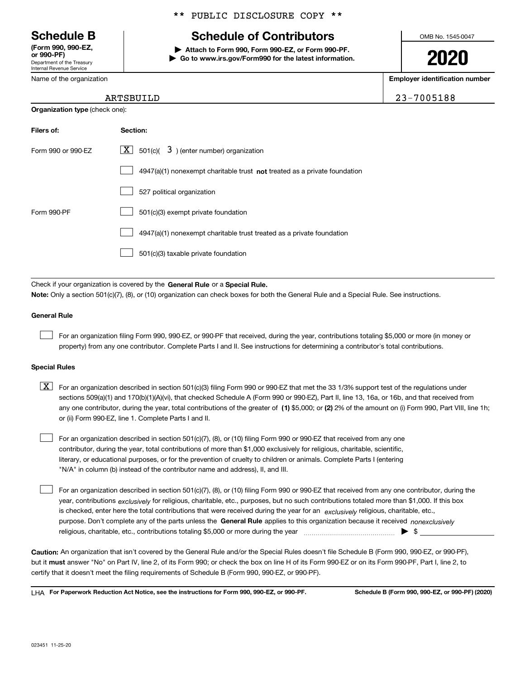Department of the Treasury Internal Revenue Service **(Form 990, 990-EZ, or 990-PF)**

Name of the organization

#### \*\* PUBLIC DISCLOSURE COPY \*\*

# **Schedule B Schedule of Contributors**

**| Attach to Form 990, Form 990-EZ, or Form 990-PF. | Go to www.irs.gov/Form990 for the latest information.** OMB No. 1545-0047

**2020**

**Employer identification number**

23-7005188

| ARTSBUILD |  |
|-----------|--|
|-----------|--|

| <b>Organization type</b> (check one): |  |
|---------------------------------------|--|
|---------------------------------------|--|

| Filers of:         | Section:                                                                  |
|--------------------|---------------------------------------------------------------------------|
| Form 990 or 990-FZ | $ \mathbf{X} $ 501(c)( 3) (enter number) organization                     |
|                    | 4947(a)(1) nonexempt charitable trust not treated as a private foundation |
|                    | 527 political organization                                                |
| Form 990-PF        | 501(c)(3) exempt private foundation                                       |
|                    | 4947(a)(1) nonexempt charitable trust treated as a private foundation     |
|                    | 501(c)(3) taxable private foundation                                      |

Check if your organization is covered by the **General Rule** or a **Special Rule. Note:**  Only a section 501(c)(7), (8), or (10) organization can check boxes for both the General Rule and a Special Rule. See instructions.

#### **General Rule**

 $\mathcal{L}^{\text{max}}$ 

For an organization filing Form 990, 990-EZ, or 990-PF that received, during the year, contributions totaling \$5,000 or more (in money or property) from any one contributor. Complete Parts I and II. See instructions for determining a contributor's total contributions.

#### **Special Rules**

any one contributor, during the year, total contributions of the greater of  $\,$  (1) \$5,000; or **(2)** 2% of the amount on (i) Form 990, Part VIII, line 1h;  $\boxed{\textbf{X}}$  For an organization described in section 501(c)(3) filing Form 990 or 990-EZ that met the 33 1/3% support test of the regulations under sections 509(a)(1) and 170(b)(1)(A)(vi), that checked Schedule A (Form 990 or 990-EZ), Part II, line 13, 16a, or 16b, and that received from or (ii) Form 990-EZ, line 1. Complete Parts I and II.

For an organization described in section 501(c)(7), (8), or (10) filing Form 990 or 990-EZ that received from any one contributor, during the year, total contributions of more than \$1,000 exclusively for religious, charitable, scientific, literary, or educational purposes, or for the prevention of cruelty to children or animals. Complete Parts I (entering "N/A" in column (b) instead of the contributor name and address), II, and III.  $\mathcal{L}^{\text{max}}$ 

purpose. Don't complete any of the parts unless the **General Rule** applies to this organization because it received *nonexclusively* year, contributions <sub>exclusively</sub> for religious, charitable, etc., purposes, but no such contributions totaled more than \$1,000. If this box is checked, enter here the total contributions that were received during the year for an  $\;$ exclusively religious, charitable, etc., For an organization described in section 501(c)(7), (8), or (10) filing Form 990 or 990-EZ that received from any one contributor, during the religious, charitable, etc., contributions totaling \$5,000 or more during the year  $\Box$ — $\Box$   $\Box$  $\mathcal{L}^{\text{max}}$ 

**Caution:**  An organization that isn't covered by the General Rule and/or the Special Rules doesn't file Schedule B (Form 990, 990-EZ, or 990-PF),  **must** but it answer "No" on Part IV, line 2, of its Form 990; or check the box on line H of its Form 990-EZ or on its Form 990-PF, Part I, line 2, to certify that it doesn't meet the filing requirements of Schedule B (Form 990, 990-EZ, or 990-PF).

**For Paperwork Reduction Act Notice, see the instructions for Form 990, 990-EZ, or 990-PF. Schedule B (Form 990, 990-EZ, or 990-PF) (2020)** LHA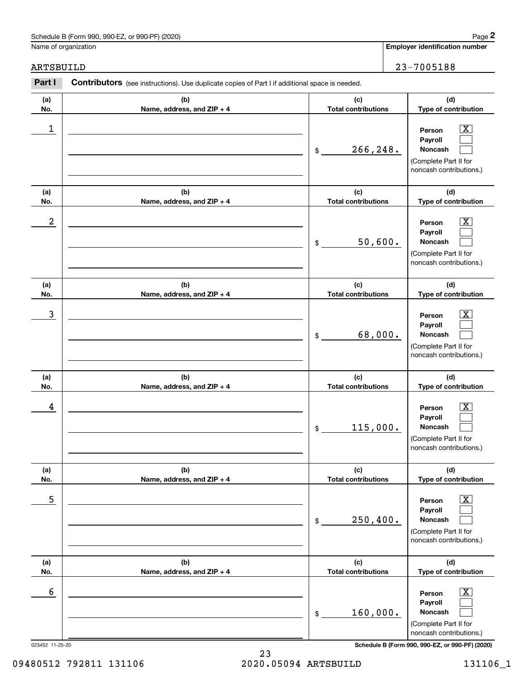### Schedule B (Form 990, 990-EZ, or 990-PF) (2020) **Page 2**

Name of organization

**(d)**

 $\boxed{\text{X}}$  $\mathcal{L}^{\text{max}}$  $\mathcal{L}^{\text{max}}$ 

**(d)**

**(a) No.(b) Name, address, and ZIP + 4 (c) Total contributions Type of contribution Person PayrollNoncash (a) No.(b) Name, address, and ZIP + 4 (c) Total contributions Type of contribution (a)No.(b)Name, address, and ZIP + 4 (c)Total contributions** Employer identification Page 2<br>
lame of organization<br> **23-7005188**<br> **23-7005188**<br> **23-7005188** \$(Complete Part II for noncash contributions.) \$ $\begin{array}{c|c|c|c|c|c} 1 & \hspace{1.5cm} & \hspace{1.5cm} & \hspace{1.5cm} & \hspace{1.5cm} & \hspace{1.5cm} & \hspace{1.5cm} & \hspace{1.5cm} & \hspace{1.5cm} & \hspace{1.5cm} & \hspace{1.5cm} & \hspace{1.5cm} & \hspace{1.5cm} & \hspace{1.5cm} & \hspace{1.5cm} & \hspace{1.5cm} & \hspace{1.5cm} & \hspace{1.5cm} & \hspace{1.5cm} & \hspace{1.5cm} & \hspace{1.5cm} &$ 266,248. 50,600. ARTSBUILD 23-7005188

| 2               |                                   | 50,600.<br>\$                     | $\overline{\text{X}}$<br>Person<br>Payroll<br><b>Noncash</b><br>(Complete Part II for<br>noncash contributions.) |
|-----------------|-----------------------------------|-----------------------------------|------------------------------------------------------------------------------------------------------------------|
| (a)<br>No.      | (b)<br>Name, address, and ZIP + 4 | (c)<br><b>Total contributions</b> | (d)<br>Type of contribution                                                                                      |
| 3               |                                   | 68,000.<br>\$                     | $\overline{\text{X}}$<br>Person<br>Payroll<br><b>Noncash</b><br>(Complete Part II for<br>noncash contributions.) |
| (a)<br>No.      | (b)<br>Name, address, and ZIP + 4 | (c)<br><b>Total contributions</b> | (d)<br>Type of contribution                                                                                      |
| 4               |                                   | 115,000.<br>\$                    | $\overline{\texttt{X}}$<br>Person<br>Payroll<br>Noncash<br>(Complete Part II for<br>noncash contributions.)      |
| (a)<br>No.      | (b)<br>Name, address, and ZIP + 4 | (c)<br><b>Total contributions</b> | (d)<br>Type of contribution                                                                                      |
| 5               |                                   | 250, 400.<br>$\mathsf{\$}$        | x<br>Person<br>Payroll<br><b>Noncash</b><br>(Complete Part II for<br>noncash contributions.)                     |
| (a)<br>No.      | (b)<br>Name, address, and ZIP + 4 | (c)<br><b>Total contributions</b> | (d)<br>Type of contribution                                                                                      |
| 6               |                                   | 160,000.<br>$\frac{1}{2}$         | X<br>Person<br>Payroll<br>Noncash<br>(Complete Part II for<br>noncash contributions.)                            |
| 023452 11-25-20 | 2.3                               |                                   | Schedule B (Form 990, 990-EZ, or 990-PF) (2020)                                                                  |

2020.05094 ARTSBUILD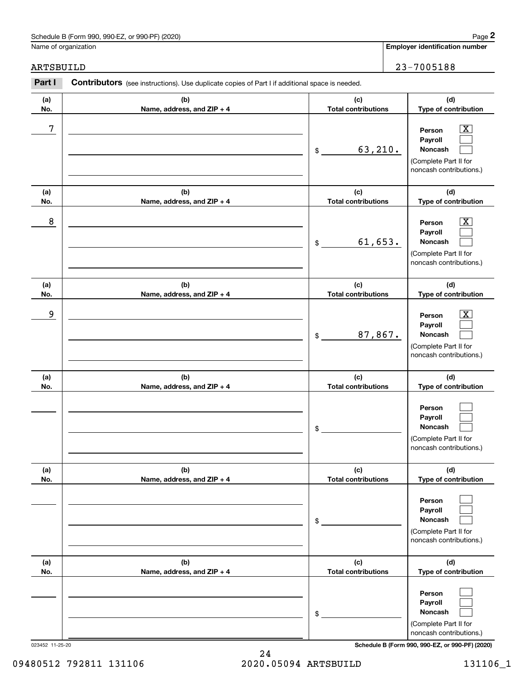### Schedule B (Form 990, 990-EZ, or 990-PF) (2020) **Page 2** Page 2

Name of organization

**(d)**

 $\boxed{\text{X}}$ 

**Person**

### ARTSBUILD 23-7005188

**(a) No.**

**(b) Name, address, and ZIP + 4 (c) Total contributions Type of contribution** Contributors (see instructions). Use duplicate copies of Part I if additional space is needed. \$Employer identification Page 2<br>
Iame of organization<br> **2Part I Contributors** (see instructions). Use duplicate copies of Part I if additional space is needed.<br> **23-7005188** 7 X 63,210.

|                 |                                   | 63,210.<br>$\$$                   | Payroll<br>Noncash<br>(Complete Part II for<br>noncash contributions.)                                                              |
|-----------------|-----------------------------------|-----------------------------------|-------------------------------------------------------------------------------------------------------------------------------------|
| (a)<br>No.      | (b)<br>Name, address, and ZIP + 4 | (c)<br><b>Total contributions</b> | (d)<br>Type of contribution                                                                                                         |
| 8               |                                   | 61,653.<br>$\$$                   | $\overline{\mathbf{x}}$<br>Person<br>Payroll<br>Noncash<br>(Complete Part II for<br>noncash contributions.)                         |
| (a)<br>No.      | (b)<br>Name, address, and ZIP + 4 | (c)<br><b>Total contributions</b> | (d)<br>Type of contribution                                                                                                         |
| 9               |                                   | 87,867.<br>\$                     | $\overline{\text{X}}$<br>Person<br>Payroll<br>Noncash<br>(Complete Part II for<br>noncash contributions.)                           |
| (a)<br>No.      | (b)<br>Name, address, and ZIP + 4 | (c)<br><b>Total contributions</b> | (d)<br>Type of contribution                                                                                                         |
|                 |                                   | \$                                | Person<br>Payroll<br>Noncash<br>(Complete Part II for<br>noncash contributions.)                                                    |
| (a)<br>No.      | (b)<br>Name, address, and ZIP + 4 | (c)<br><b>Total contributions</b> | (d)<br>Type of contribution                                                                                                         |
|                 |                                   | \$                                | Person<br>Payroll<br>Noncash<br>(Complete Part II for<br>noncash contributions.)                                                    |
| (a)<br>No.      | (b)<br>Name, address, and ZIP + 4 | (c)<br><b>Total contributions</b> | (d)<br>Type of contribution                                                                                                         |
| 023452 11-25-20 |                                   | \$                                | Person<br>Payroll<br>Noncash<br>(Complete Part II for<br>noncash contributions.)<br>Schedule B (Form 990, 990-EZ, or 990-PF) (2020) |

24 09480512 792811 131106 2020.05094 ARTSBUILD 131106\_1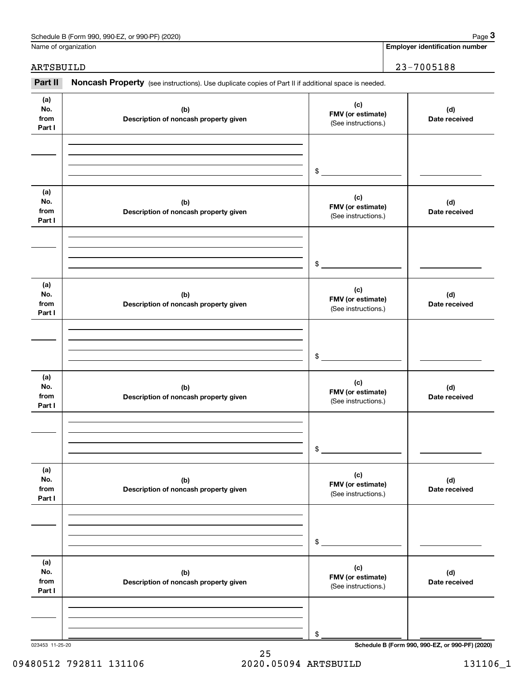| Schedule B (Form 990, 990-EZ, or 990-PF)<br>(2020)<br>Page |
|------------------------------------------------------------|
|------------------------------------------------------------|

Name of organization

**Employer identification number**

#### ARTSBUILD 23-7005188

(see instructions). Use duplicate copies of Part II if additional space is needed.<br> **1999 Page 3**<br> **23-7005188**<br> **1999 Part II Noncash Property** (see instructions). Use duplicate copies of Part II if additional space is

| (a)<br>No.<br>from<br>Part I | (b)<br>Description of noncash property given | (c)<br>FMV (or estimate)<br>(See instructions.) | (d)<br>Date received |
|------------------------------|----------------------------------------------|-------------------------------------------------|----------------------|
|                              |                                              | $$^{\circ}$                                     |                      |
| (a)<br>No.<br>from<br>Part I | (b)<br>Description of noncash property given | (c)<br>FMV (or estimate)<br>(See instructions.) | (d)<br>Date received |
|                              |                                              | $$^{\circ}$                                     |                      |
| (a)<br>No.<br>from<br>Part I | (b)<br>Description of noncash property given | (c)<br>FMV (or estimate)<br>(See instructions.) | (d)<br>Date received |
|                              |                                              | $$^{\circ}$                                     |                      |
| (a)<br>No.<br>from<br>Part I | (b)<br>Description of noncash property given | (c)<br>FMV (or estimate)<br>(See instructions.) | (d)<br>Date received |
|                              |                                              | \$                                              |                      |
| (a)<br>No.<br>from<br>Part I | (b)<br>Description of noncash property given | (c)<br>FMV (or estimate)<br>(See instructions.) | (d)<br>Date received |
|                              |                                              | \$                                              |                      |
| (a)<br>No.<br>from<br>Part I | (b)<br>Description of noncash property given | (c)<br>FMV (or estimate)<br>(See instructions.) | (d)<br>Date received |
|                              |                                              | \$                                              |                      |

25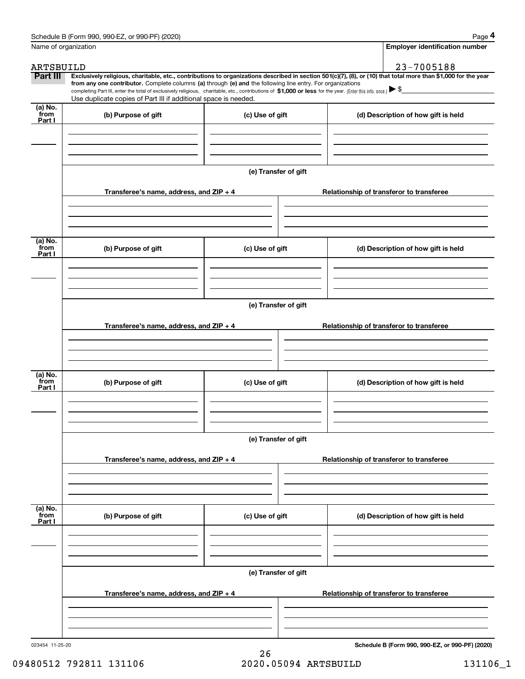|                           | Schedule B (Form 990, 990-EZ, or 990-PF) (2020)                                                                                                                                                                                                                              |                      |  | Page 4                                          |  |  |  |  |
|---------------------------|------------------------------------------------------------------------------------------------------------------------------------------------------------------------------------------------------------------------------------------------------------------------------|----------------------|--|-------------------------------------------------|--|--|--|--|
|                           | Name of organization                                                                                                                                                                                                                                                         |                      |  | <b>Employer identification number</b>           |  |  |  |  |
| ARTSBUILD                 |                                                                                                                                                                                                                                                                              |                      |  | 23-7005188                                      |  |  |  |  |
| Part III                  | Exclusively religious, charitable, etc., contributions to organizations described in section 501(c)(7), (8), or (10) that total more than \$1,000 for the year<br>from any one contributor. Complete columns (a) through (e) and the following line entry. For organizations |                      |  |                                                 |  |  |  |  |
|                           | completing Part III, enter the total of exclusively religious, charitable, etc., contributions of \$1,000 or less for the year. (Enter this info. once.) \\$                                                                                                                 |                      |  |                                                 |  |  |  |  |
| (a) No.                   | Use duplicate copies of Part III if additional space is needed.                                                                                                                                                                                                              |                      |  |                                                 |  |  |  |  |
| from<br>Part I            | (b) Purpose of gift                                                                                                                                                                                                                                                          | (c) Use of gift      |  | (d) Description of how gift is held             |  |  |  |  |
|                           |                                                                                                                                                                                                                                                                              |                      |  |                                                 |  |  |  |  |
|                           |                                                                                                                                                                                                                                                                              |                      |  |                                                 |  |  |  |  |
|                           |                                                                                                                                                                                                                                                                              |                      |  |                                                 |  |  |  |  |
|                           |                                                                                                                                                                                                                                                                              | (e) Transfer of gift |  |                                                 |  |  |  |  |
|                           | Transferee's name, address, and ZIP + 4                                                                                                                                                                                                                                      |                      |  | Relationship of transferor to transferee        |  |  |  |  |
|                           |                                                                                                                                                                                                                                                                              |                      |  |                                                 |  |  |  |  |
|                           |                                                                                                                                                                                                                                                                              |                      |  |                                                 |  |  |  |  |
|                           |                                                                                                                                                                                                                                                                              |                      |  |                                                 |  |  |  |  |
| (a) No.<br>from           | (b) Purpose of gift                                                                                                                                                                                                                                                          | (c) Use of gift      |  | (d) Description of how gift is held             |  |  |  |  |
| Part I                    |                                                                                                                                                                                                                                                                              |                      |  |                                                 |  |  |  |  |
|                           |                                                                                                                                                                                                                                                                              |                      |  |                                                 |  |  |  |  |
|                           |                                                                                                                                                                                                                                                                              |                      |  |                                                 |  |  |  |  |
|                           |                                                                                                                                                                                                                                                                              | (e) Transfer of gift |  |                                                 |  |  |  |  |
|                           |                                                                                                                                                                                                                                                                              |                      |  |                                                 |  |  |  |  |
|                           | Transferee's name, address, and ZIP + 4                                                                                                                                                                                                                                      |                      |  | Relationship of transferor to transferee        |  |  |  |  |
|                           |                                                                                                                                                                                                                                                                              |                      |  |                                                 |  |  |  |  |
|                           |                                                                                                                                                                                                                                                                              |                      |  |                                                 |  |  |  |  |
| (a) No.                   |                                                                                                                                                                                                                                                                              |                      |  |                                                 |  |  |  |  |
| from<br>Part I            | (b) Purpose of gift                                                                                                                                                                                                                                                          | (c) Use of gift      |  | (d) Description of how gift is held             |  |  |  |  |
|                           |                                                                                                                                                                                                                                                                              |                      |  |                                                 |  |  |  |  |
|                           |                                                                                                                                                                                                                                                                              |                      |  |                                                 |  |  |  |  |
|                           |                                                                                                                                                                                                                                                                              |                      |  |                                                 |  |  |  |  |
|                           |                                                                                                                                                                                                                                                                              | (e) Transfer of gift |  |                                                 |  |  |  |  |
|                           | Transferee's name, address, and ZIP + 4                                                                                                                                                                                                                                      |                      |  | Relationship of transferor to transferee        |  |  |  |  |
|                           |                                                                                                                                                                                                                                                                              |                      |  |                                                 |  |  |  |  |
|                           |                                                                                                                                                                                                                                                                              |                      |  |                                                 |  |  |  |  |
|                           |                                                                                                                                                                                                                                                                              |                      |  |                                                 |  |  |  |  |
| (a) No.<br>from<br>Part I | (b) Purpose of gift                                                                                                                                                                                                                                                          | (c) Use of gift      |  | (d) Description of how gift is held             |  |  |  |  |
|                           |                                                                                                                                                                                                                                                                              |                      |  |                                                 |  |  |  |  |
|                           |                                                                                                                                                                                                                                                                              |                      |  |                                                 |  |  |  |  |
|                           |                                                                                                                                                                                                                                                                              |                      |  |                                                 |  |  |  |  |
|                           |                                                                                                                                                                                                                                                                              | (e) Transfer of gift |  |                                                 |  |  |  |  |
|                           |                                                                                                                                                                                                                                                                              |                      |  |                                                 |  |  |  |  |
|                           | Transferee's name, address, and ZIP + 4                                                                                                                                                                                                                                      |                      |  | Relationship of transferor to transferee        |  |  |  |  |
|                           |                                                                                                                                                                                                                                                                              |                      |  |                                                 |  |  |  |  |
|                           |                                                                                                                                                                                                                                                                              |                      |  |                                                 |  |  |  |  |
| 023454 11-25-20           |                                                                                                                                                                                                                                                                              |                      |  | Schedule B (Form 990, 990-EZ, or 990-PF) (2020) |  |  |  |  |

26 09480512 792811 131106 2020.05094 ARTSBUILD 131106\_1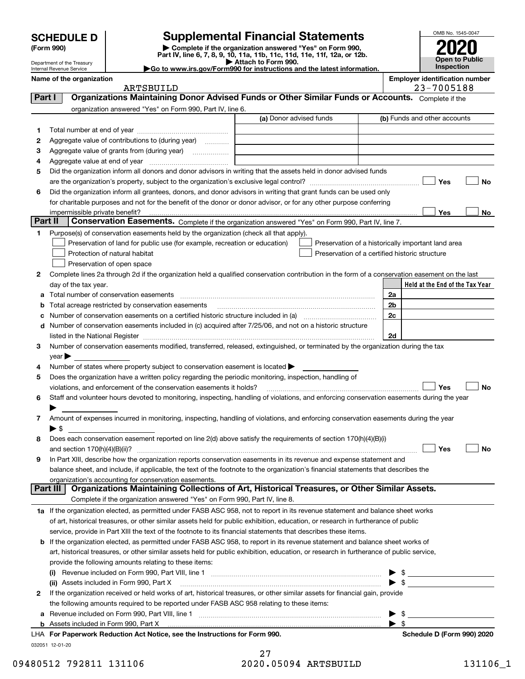| <b>SCHEDULE D</b> |  |
|-------------------|--|
|-------------------|--|

Department of the Treasury Internal Revenue Service

| (Form 990) |  |
|------------|--|
|------------|--|

# **SCHEDULE D Supplemental Financial Statements**

(Form 990)<br>
Pepartment of the Treasury<br>
Department of the Treasury<br>
Department of the Treasury<br>
Department of the Treasury<br> **Co to www.irs.gov/Form990 for instructions and the latest information.**<br> **Co to www.irs.gov/Form9** 



| mployer identification numbe: |  |  |  |  |
|-------------------------------|--|--|--|--|
|                               |  |  |  |  |

|                | Name of the organization<br>ARTSBUILD                                                                                                                             |                         |                                                    |                          | <b>Employer identification number</b><br>23-7005188 |           |
|----------------|-------------------------------------------------------------------------------------------------------------------------------------------------------------------|-------------------------|----------------------------------------------------|--------------------------|-----------------------------------------------------|-----------|
| Part I         | Organizations Maintaining Donor Advised Funds or Other Similar Funds or Accounts. Complete if the                                                                 |                         |                                                    |                          |                                                     |           |
|                |                                                                                                                                                                   |                         |                                                    |                          |                                                     |           |
|                | organization answered "Yes" on Form 990, Part IV, line 6.                                                                                                         | (a) Donor advised funds |                                                    |                          | (b) Funds and other accounts                        |           |
|                |                                                                                                                                                                   |                         |                                                    |                          |                                                     |           |
| 1              |                                                                                                                                                                   |                         |                                                    |                          |                                                     |           |
| 2              | Aggregate value of contributions to (during year)                                                                                                                 |                         |                                                    |                          |                                                     |           |
| 3              |                                                                                                                                                                   |                         |                                                    |                          |                                                     |           |
| 4              |                                                                                                                                                                   |                         |                                                    |                          |                                                     |           |
| 5              | Did the organization inform all donors and donor advisors in writing that the assets held in donor advised funds                                                  |                         |                                                    |                          |                                                     |           |
|                |                                                                                                                                                                   |                         |                                                    |                          | Yes                                                 | <b>No</b> |
| 6              | Did the organization inform all grantees, donors, and donor advisors in writing that grant funds can be used only                                                 |                         |                                                    |                          |                                                     |           |
|                | for charitable purposes and not for the benefit of the donor or donor advisor, or for any other purpose conferring                                                |                         |                                                    |                          |                                                     |           |
| <b>Part II</b> | impermissible private benefit?<br>Conservation Easements. Complete if the organization answered "Yes" on Form 990, Part IV, line 7.                               |                         |                                                    |                          | Yes                                                 | No        |
| 1.             | Purpose(s) of conservation easements held by the organization (check all that apply).                                                                             |                         |                                                    |                          |                                                     |           |
|                | Preservation of land for public use (for example, recreation or education)                                                                                        |                         | Preservation of a historically important land area |                          |                                                     |           |
|                | Protection of natural habitat                                                                                                                                     |                         | Preservation of a certified historic structure     |                          |                                                     |           |
|                | Preservation of open space                                                                                                                                        |                         |                                                    |                          |                                                     |           |
| 2              | Complete lines 2a through 2d if the organization held a qualified conservation contribution in the form of a conservation easement on the last                    |                         |                                                    |                          |                                                     |           |
|                | day of the tax year.                                                                                                                                              |                         |                                                    |                          | Held at the End of the Tax Year                     |           |
|                | a Total number of conservation easements                                                                                                                          |                         |                                                    | 2a                       |                                                     |           |
|                | <b>b</b> Total acreage restricted by conservation easements                                                                                                       |                         |                                                    | 2b                       |                                                     |           |
|                | c Number of conservation easements on a certified historic structure included in (a) manufacture of conservation                                                  |                         |                                                    | 2c                       |                                                     |           |
|                | d Number of conservation easements included in (c) acquired after 7/25/06, and not on a historic structure                                                        |                         |                                                    |                          |                                                     |           |
|                |                                                                                                                                                                   |                         |                                                    | 2d                       |                                                     |           |
| 3              | Number of conservation easements modified, transferred, released, extinguished, or terminated by the organization during the tax                                  |                         |                                                    |                          |                                                     |           |
|                | $year \blacktriangleright$                                                                                                                                        |                         |                                                    |                          |                                                     |           |
| 4              | Number of states where property subject to conservation easement is located >                                                                                     |                         |                                                    |                          |                                                     |           |
| 5              | Does the organization have a written policy regarding the periodic monitoring, inspection, handling of                                                            |                         |                                                    |                          |                                                     |           |
|                | violations, and enforcement of the conservation easements it holds?                                                                                               |                         |                                                    |                          | Yes                                                 | <b>No</b> |
| 6              | Staff and volunteer hours devoted to monitoring, inspecting, handling of violations, and enforcing conservation easements during the year                         |                         |                                                    |                          |                                                     |           |
|                |                                                                                                                                                                   |                         |                                                    |                          |                                                     |           |
| 7.             | Amount of expenses incurred in monitoring, inspecting, handling of violations, and enforcing conservation easements during the year                               |                         |                                                    |                          |                                                     |           |
|                | ▶ \$                                                                                                                                                              |                         |                                                    |                          |                                                     |           |
| 8              | Does each conservation easement reported on line 2(d) above satisfy the requirements of section 170(h)(4)(B)(i)                                                   |                         |                                                    |                          |                                                     |           |
|                |                                                                                                                                                                   |                         |                                                    |                          | Yes                                                 | No        |
|                | In Part XIII, describe how the organization reports conservation easements in its revenue and expense statement and                                               |                         |                                                    |                          |                                                     |           |
|                | balance sheet, and include, if applicable, the text of the footnote to the organization's financial statements that describes the                                 |                         |                                                    |                          |                                                     |           |
|                | organization's accounting for conservation easements.<br>Organizations Maintaining Collections of Art, Historical Treasures, or Other Similar Assets.<br>Part III |                         |                                                    |                          |                                                     |           |
|                | Complete if the organization answered "Yes" on Form 990, Part IV, line 8.                                                                                         |                         |                                                    |                          |                                                     |           |
|                | 1a If the organization elected, as permitted under FASB ASC 958, not to report in its revenue statement and balance sheet works                                   |                         |                                                    |                          |                                                     |           |
|                | of art, historical treasures, or other similar assets held for public exhibition, education, or research in furtherance of public                                 |                         |                                                    |                          |                                                     |           |
|                | service, provide in Part XIII the text of the footnote to its financial statements that describes these items.                                                    |                         |                                                    |                          |                                                     |           |
|                | <b>b</b> If the organization elected, as permitted under FASB ASC 958, to report in its revenue statement and balance sheet works of                              |                         |                                                    |                          |                                                     |           |
|                | art, historical treasures, or other similar assets held for public exhibition, education, or research in furtherance of public service,                           |                         |                                                    |                          |                                                     |           |
|                | provide the following amounts relating to these items:                                                                                                            |                         |                                                    |                          |                                                     |           |
|                |                                                                                                                                                                   |                         |                                                    |                          | $\blacktriangleright$ \$                            |           |
|                | (ii) Assets included in Form 990, Part X                                                                                                                          |                         |                                                    |                          | $\bullet$ \$                                        |           |
| 2              | If the organization received or held works of art, historical treasures, or other similar assets for financial gain, provide                                      |                         |                                                    |                          |                                                     |           |
|                | the following amounts required to be reported under FASB ASC 958 relating to these items:                                                                         |                         |                                                    |                          |                                                     |           |
|                |                                                                                                                                                                   |                         |                                                    | - \$                     |                                                     |           |
|                |                                                                                                                                                                   |                         |                                                    | $\blacktriangleright$ \$ |                                                     |           |
|                | LHA For Paperwork Reduction Act Notice, see the Instructions for Form 990.                                                                                        |                         |                                                    |                          | Schedule D (Form 990) 2020                          |           |

| <u> 001 00 1 1 1 0 1 1 0 1 </u> |                      |          |
|---------------------------------|----------------------|----------|
|                                 |                      |          |
| 09480512 792811 131106          | 2020.05094 ARTSBUILD | 131106 1 |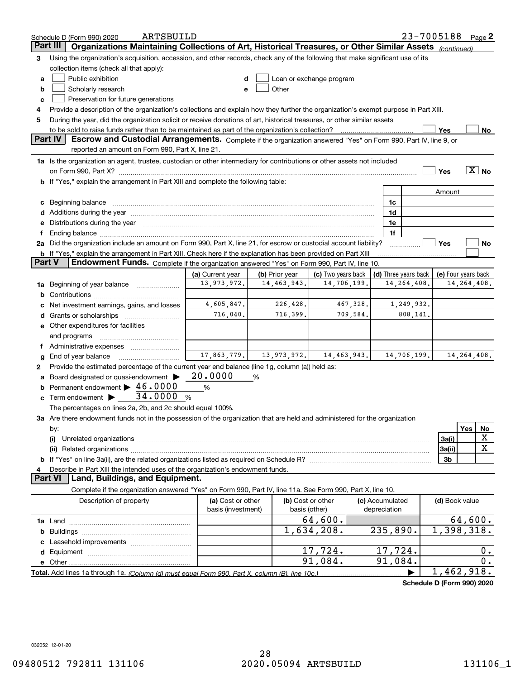|        | ARTSBUILD<br>Schedule D (Form 990) 2020                                                                                              |                    |                |                                                                                                                                                                                                                               |                      |               | 23-7005188                 |               | Page 2                |
|--------|--------------------------------------------------------------------------------------------------------------------------------------|--------------------|----------------|-------------------------------------------------------------------------------------------------------------------------------------------------------------------------------------------------------------------------------|----------------------|---------------|----------------------------|---------------|-----------------------|
|        | Part III<br>Organizations Maintaining Collections of Art, Historical Treasures, or Other Similar Assets                              |                    |                |                                                                                                                                                                                                                               |                      |               | (continued)                |               |                       |
| 3      | Using the organization's acquisition, accession, and other records, check any of the following that make significant use of its      |                    |                |                                                                                                                                                                                                                               |                      |               |                            |               |                       |
|        | collection items (check all that apply):                                                                                             |                    |                |                                                                                                                                                                                                                               |                      |               |                            |               |                       |
| a      | Public exhibition                                                                                                                    |                    |                | Loan or exchange program                                                                                                                                                                                                      |                      |               |                            |               |                       |
| b      | Scholarly research                                                                                                                   | e                  |                | Other and the contract of the contract of the contract of the contract of the contract of the contract of the contract of the contract of the contract of the contract of the contract of the contract of the contract of the |                      |               |                            |               |                       |
| c      | Preservation for future generations                                                                                                  |                    |                |                                                                                                                                                                                                                               |                      |               |                            |               |                       |
| 4      | Provide a description of the organization's collections and explain how they further the organization's exempt purpose in Part XIII. |                    |                |                                                                                                                                                                                                                               |                      |               |                            |               |                       |
| 5      | During the year, did the organization solicit or receive donations of art, historical treasures, or other similar assets             |                    |                |                                                                                                                                                                                                                               |                      |               |                            |               |                       |
|        | to be sold to raise funds rather than to be maintained as part of the organization's collection?                                     |                    |                |                                                                                                                                                                                                                               |                      |               | Yes                        |               | No                    |
|        | <b>Part IV</b><br>Escrow and Custodial Arrangements. Complete if the organization answered "Yes" on Form 990, Part IV, line 9, or    |                    |                |                                                                                                                                                                                                                               |                      |               |                            |               |                       |
|        | reported an amount on Form 990, Part X, line 21.                                                                                     |                    |                |                                                                                                                                                                                                                               |                      |               |                            |               |                       |
|        | 1a Is the organization an agent, trustee, custodian or other intermediary for contributions or other assets not included             |                    |                |                                                                                                                                                                                                                               |                      |               |                            |               |                       |
|        |                                                                                                                                      |                    |                |                                                                                                                                                                                                                               |                      |               | Yes                        |               | $\boxed{\text{X}}$ No |
|        | <b>b</b> If "Yes," explain the arrangement in Part XIII and complete the following table:                                            |                    |                |                                                                                                                                                                                                                               |                      |               |                            |               |                       |
|        |                                                                                                                                      |                    |                |                                                                                                                                                                                                                               |                      |               | Amount                     |               |                       |
| c      | Beginning balance                                                                                                                    |                    |                |                                                                                                                                                                                                                               | 1c                   |               |                            |               |                       |
|        |                                                                                                                                      |                    |                |                                                                                                                                                                                                                               | 1d                   |               |                            |               |                       |
| е      | Distributions during the year manufactured and an account of the state of the state of the state of the state o                      |                    |                |                                                                                                                                                                                                                               | 1e                   |               |                            |               |                       |
| Ť.     |                                                                                                                                      |                    |                |                                                                                                                                                                                                                               | 1f                   |               |                            |               |                       |
|        | 2a Did the organization include an amount on Form 990, Part X, line 21, for escrow or custodial account liability?                   |                    |                |                                                                                                                                                                                                                               |                      |               | Yes                        |               | No                    |
|        | <b>b</b> If "Yes," explain the arrangement in Part XIII. Check here if the explanation has been provided on Part XIII                |                    |                |                                                                                                                                                                                                                               |                      |               |                            |               |                       |
| Part V | Endowment Funds. Complete if the organization answered "Yes" on Form 990, Part IV, line 10.                                          |                    |                |                                                                                                                                                                                                                               |                      |               |                            |               |                       |
|        |                                                                                                                                      | (a) Current year   | (b) Prior year | (c) Two years back                                                                                                                                                                                                            | (d) Three years back |               | (e) Four years back        |               |                       |
| 1a     | Beginning of year balance                                                                                                            | 13,973,972.        | 14,463,943.    | 14,706,199.                                                                                                                                                                                                                   |                      | 14, 264, 408. |                            | 14, 264, 408. |                       |
| b      |                                                                                                                                      |                    |                |                                                                                                                                                                                                                               |                      |               |                            |               |                       |
|        | Net investment earnings, gains, and losses                                                                                           | 4,605,847.         | 226, 428.      | 467,328.                                                                                                                                                                                                                      |                      | 1,249,932.    |                            |               |                       |
| d      |                                                                                                                                      | 716,040.           | 716,399.       | 709,584.                                                                                                                                                                                                                      |                      | 808,141.      |                            |               |                       |
|        | e Other expenditures for facilities                                                                                                  |                    |                |                                                                                                                                                                                                                               |                      |               |                            |               |                       |
|        | and programs                                                                                                                         |                    |                |                                                                                                                                                                                                                               |                      |               |                            |               |                       |
|        | f Administrative expenses                                                                                                            |                    |                |                                                                                                                                                                                                                               |                      |               |                            |               |                       |
| g      | End of year balance                                                                                                                  | 17,863,779.        | 13,973,972.    | 14,463,943.                                                                                                                                                                                                                   |                      | 14,706,199.   |                            | 14, 264, 408. |                       |
| 2      | Provide the estimated percentage of the current year end balance (line 1g, column (a)) held as:                                      |                    |                |                                                                                                                                                                                                                               |                      |               |                            |               |                       |
|        | Board designated or quasi-endowment                                                                                                  | 20.0000            | %              |                                                                                                                                                                                                                               |                      |               |                            |               |                       |
| b      | Permanent endowment $\blacktriangleright$ 46.0000                                                                                    | %                  |                |                                                                                                                                                                                                                               |                      |               |                            |               |                       |
|        | 34.0000<br>Term endowment >                                                                                                          | %                  |                |                                                                                                                                                                                                                               |                      |               |                            |               |                       |
|        | The percentages on lines 2a, 2b, and 2c should equal 100%.                                                                           |                    |                |                                                                                                                                                                                                                               |                      |               |                            |               |                       |
|        | 3a Are there endowment funds not in the possession of the organization that are held and administered for the organization           |                    |                |                                                                                                                                                                                                                               |                      |               |                            |               |                       |
|        | by:                                                                                                                                  |                    |                |                                                                                                                                                                                                                               |                      |               |                            | Yes           | No                    |
|        | (i)                                                                                                                                  |                    |                |                                                                                                                                                                                                                               |                      |               | 3a(i)                      |               | х                     |
|        |                                                                                                                                      |                    |                |                                                                                                                                                                                                                               |                      |               | 3a(ii)                     |               | X                     |
|        |                                                                                                                                      |                    |                |                                                                                                                                                                                                                               |                      |               | 3b                         |               |                       |
|        | Describe in Part XIII the intended uses of the organization's endowment funds.                                                       |                    |                |                                                                                                                                                                                                                               |                      |               |                            |               |                       |
|        | Land, Buildings, and Equipment.<br>Part VI                                                                                           |                    |                |                                                                                                                                                                                                                               |                      |               |                            |               |                       |
|        | Complete if the organization answered "Yes" on Form 990, Part IV, line 11a. See Form 990, Part X, line 10.                           |                    |                |                                                                                                                                                                                                                               |                      |               |                            |               |                       |
|        | Description of property                                                                                                              | (a) Cost or other  |                | (b) Cost or other                                                                                                                                                                                                             | (c) Accumulated      |               | (d) Book value             |               |                       |
|        |                                                                                                                                      | basis (investment) |                | basis (other)                                                                                                                                                                                                                 | depreciation         |               |                            |               |                       |
|        |                                                                                                                                      |                    |                | 64,600.                                                                                                                                                                                                                       |                      |               |                            | 64,600.       |                       |
| b      |                                                                                                                                      |                    |                | 1,634,208.                                                                                                                                                                                                                    | 235,890.             |               | 1,398,318.                 |               |                       |
|        |                                                                                                                                      |                    |                |                                                                                                                                                                                                                               |                      |               |                            |               |                       |
|        |                                                                                                                                      |                    |                | 17,724.                                                                                                                                                                                                                       | 17,724.              |               |                            |               | 0.                    |
|        |                                                                                                                                      |                    |                | 91,084.                                                                                                                                                                                                                       | 91,084.              |               |                            |               | 0.                    |
|        | Total. Add lines 1a through 1e. (Column (d) must equal Form 990, Part X, column (B), line 10c.)                                      |                    |                |                                                                                                                                                                                                                               |                      |               | 1,462,918.                 |               |                       |
|        |                                                                                                                                      |                    |                |                                                                                                                                                                                                                               |                      |               | Schedule D (Form 990) 2020 |               |                       |

032052 12-01-20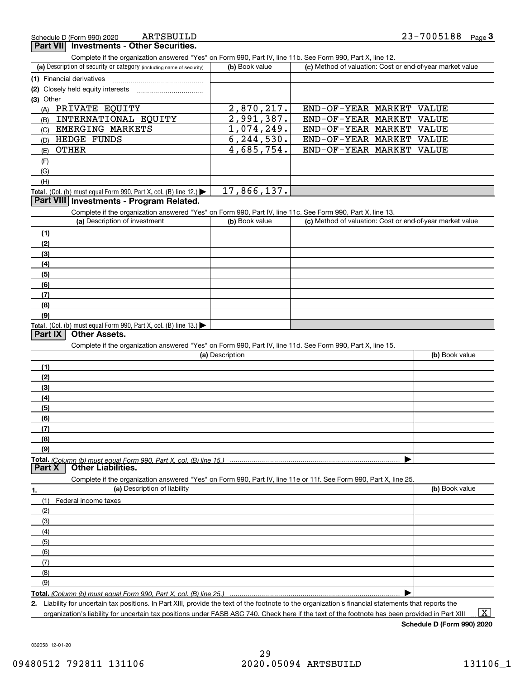**Part VII Investments - Other Securities.** 

ARTSBUILD

Complete if the organization answered "Yes" on Form 990, Part IV, line 11b. See Form 990, Part X, line 12.

| (a) Description of security or category (including name of security)       | (b) Book value | (c) Method of valuation: Cost or end-of-year market value |
|----------------------------------------------------------------------------|----------------|-----------------------------------------------------------|
| (1) Financial derivatives                                                  |                |                                                           |
| (2) Closely held equity interests                                          |                |                                                           |
| $(3)$ Other                                                                |                |                                                           |
| PRIVATE EQUITY<br>(A)                                                      | 2,870,217.     | END-OF-YEAR MARKET VALUE                                  |
| INTERNATIONAL EQUITY<br>(B)                                                | 2,991,387.     | END-OF-YEAR MARKET VALUE                                  |
| EMERGING MARKETS<br>(C)                                                    | 1,074,249.     | END-OF-YEAR MARKET VALUE                                  |
| HEDGE FUNDS<br>(D)                                                         | 6, 244, 530.   | END-OF-YEAR MARKET VALUE                                  |
| OTHER<br>(E)                                                               | 4,685,754.     | END-OF-YEAR MARKET VALUE                                  |
| (F)                                                                        |                |                                                           |
| (G)                                                                        |                |                                                           |
| (H)                                                                        |                |                                                           |
| <b>Total.</b> (Col. (b) must equal Form 990, Part X, col. (B) line $12$ .) | 17,866,137.    |                                                           |

#### **Part VIII Investments - Program Related.**

Complete if the organization answered "Yes" on Form 990, Part IV, line 11c. See Form 990, Part X, line 13.

| (a) Description of investment                                                          | (b) Book value | (c) Method of valuation: Cost or end-of-year market value |
|----------------------------------------------------------------------------------------|----------------|-----------------------------------------------------------|
| (1)                                                                                    |                |                                                           |
| (2)                                                                                    |                |                                                           |
| $\frac{1}{2}$                                                                          |                |                                                           |
| (4)                                                                                    |                |                                                           |
| $\frac{1}{2}$                                                                          |                |                                                           |
| (6)                                                                                    |                |                                                           |
| (7)                                                                                    |                |                                                           |
| (8)                                                                                    |                |                                                           |
| (9)                                                                                    |                |                                                           |
| Total. (Col. (b) must equal Form 990, Part X, col. (B) line 13.) $\blacktriangleright$ |                |                                                           |

#### **Part IX Other Assets.**

Complete if the organization answered "Yes" on Form 990, Part IV, line 11d. See Form 990, Part X, line 15.

| (a) Description                                                                                                   | (b) Book value |
|-------------------------------------------------------------------------------------------------------------------|----------------|
| (1)                                                                                                               |                |
| (2)                                                                                                               |                |
| (3)                                                                                                               |                |
| (4)                                                                                                               |                |
| $\frac{1}{2}$ (5)                                                                                                 |                |
| (6)                                                                                                               |                |
| (7)                                                                                                               |                |
| (8)                                                                                                               |                |
| (9)                                                                                                               |                |
|                                                                                                                   |                |
| <b>Part X</b> Other Liabilities.                                                                                  |                |
| Complete if the organization answered "Yes" on Form 990, Part IV, line 11e or 11f. See Form 990, Part X, line 25. |                |

**1. (a)** Description of liability **Book value** Book value Book value Book value Book value (1)Federal income taxes (2)(3)(4)(5) (6)(7)(8)(9) $\blacktriangleright$ 

**Total.**  *(Column (b) must equal Form 990, Part X, col. (B) line 25.)* 

**2.**Liability for uncertain tax positions. In Part XIII, provide the text of the footnote to the organization's financial statements that reports the organization's liability for uncertain tax positions under FASB ASC 740. Check here if the text of the footnote has been provided in Part XIII

**Schedule D (Form 990) 2020**  $\boxed{\text{X}}$ 

032053 12-01-20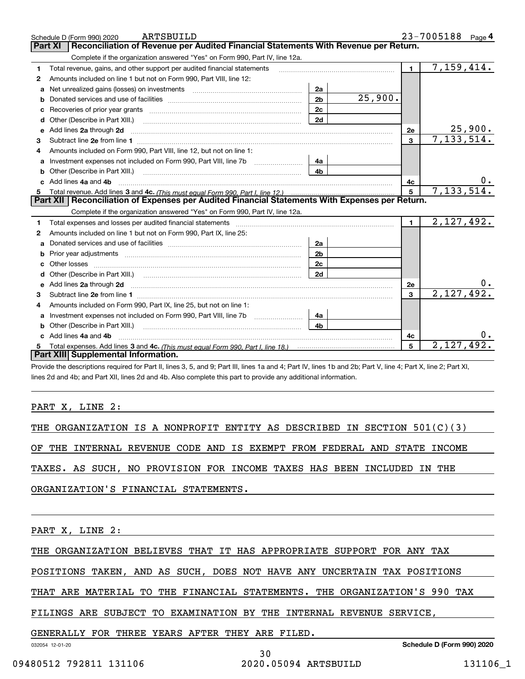|    | ARTSBUILD<br>Schedule D (Form 990) 2020                                                                                                                                                                                        |                |         |                | 23-7005188 Page 4        |
|----|--------------------------------------------------------------------------------------------------------------------------------------------------------------------------------------------------------------------------------|----------------|---------|----------------|--------------------------|
|    | Reconciliation of Revenue per Audited Financial Statements With Revenue per Return.<br><b>Part XI</b>                                                                                                                          |                |         |                |                          |
|    | Complete if the organization answered "Yes" on Form 990, Part IV, line 12a.                                                                                                                                                    |                |         |                |                          |
| 1  | Total revenue, gains, and other support per audited financial statements                                                                                                                                                       |                |         | 1              | 7,159,414.               |
| 2  | Amounts included on line 1 but not on Form 990, Part VIII, line 12:                                                                                                                                                            |                |         |                |                          |
| a  | Net unrealized gains (losses) on investments [11] matter contracts and the unrealized gains (losses) on investments                                                                                                            | 2a             |         |                |                          |
| b  |                                                                                                                                                                                                                                | 2 <sub>b</sub> | 25,900. |                |                          |
| c  |                                                                                                                                                                                                                                | 2c             |         |                |                          |
| d  | Other (Describe in Part XIII.)                                                                                                                                                                                                 | 2d             |         |                |                          |
| е  | Add lines 2a through 2d                                                                                                                                                                                                        |                |         | 2e             | 25,900.                  |
| 3  |                                                                                                                                                                                                                                |                |         | 3              | 7,133,514.               |
|    | Amounts included on Form 990, Part VIII, line 12, but not on line 1:                                                                                                                                                           |                |         |                |                          |
| a  | Investment expenses not included on Form 990, Part VIII, line 7b [100] [100] [100] [100] [100] [100] [100] [10                                                                                                                 | 4a             |         |                |                          |
| b  | Other (Describe in Part XIII.) <b>Construction Contract Construction</b> Chern Construction Construction Construction                                                                                                          | 4 <sub>b</sub> |         |                |                          |
| c. | Add lines 4a and 4b                                                                                                                                                                                                            |                |         | 4c             | $0 \cdot$                |
|    |                                                                                                                                                                                                                                |                |         | 5              | 7, 133, 514.             |
| 5  |                                                                                                                                                                                                                                |                |         |                |                          |
|    | Part XII   Reconciliation of Expenses per Audited Financial Statements With Expenses per Return.                                                                                                                               |                |         |                |                          |
|    | Complete if the organization answered "Yes" on Form 990, Part IV, line 12a.                                                                                                                                                    |                |         |                |                          |
| 1  | Total expenses and losses per audited financial statements [111] [12] contraction controller and contract the statements [13] [13] [13] contract expenses and losses per audited financial statements [13] [13] [13] [13] [13] |                |         | 1 <sup>1</sup> | 2,127,492.               |
| 2  | Amounts included on line 1 but not on Form 990, Part IX, line 25:                                                                                                                                                              |                |         |                |                          |
| a  |                                                                                                                                                                                                                                | 2a             |         |                |                          |
| b  |                                                                                                                                                                                                                                | 2 <sub>b</sub> |         |                |                          |
| c  |                                                                                                                                                                                                                                | 2c             |         |                |                          |
| d  |                                                                                                                                                                                                                                | 2d             |         |                |                          |
|    |                                                                                                                                                                                                                                |                |         | 2e             |                          |
| 3  |                                                                                                                                                                                                                                |                |         | 3              | 2, 127, 492.             |
| 4  | Amounts included on Form 990, Part IX, line 25, but not on line 1:                                                                                                                                                             |                |         |                |                          |
| a  |                                                                                                                                                                                                                                | 4a             |         |                |                          |
| b  |                                                                                                                                                                                                                                | 4h.            |         |                |                          |
|    | Add lines 4a and 4b                                                                                                                                                                                                            |                |         | 4c             |                          |
|    | Part XIII Supplemental Information.                                                                                                                                                                                            |                |         | 5              | $\overline{2,127,492}$ . |

Provide the descriptions required for Part II, lines 3, 5, and 9; Part III, lines 1a and 4; Part IV, lines 1b and 2b; Part V, line 4; Part X, line 2; Part XI, lines 2d and 4b; and Part XII, lines 2d and 4b. Also complete this part to provide any additional information.

#### PART X, LINE 2:

THE ORGANIZATION IS A NONPROFIT ENTITY AS DESCRIBED IN SECTION 501(C)(3)

OF THE INTERNAL REVENUE CODE AND IS EXEMPT FROM FEDERAL AND STATE INCOME

TAXES. AS SUCH, NO PROVISION FOR INCOME TAXES HAS BEEN INCLUDED IN THE

ORGANIZATION'S FINANCIAL STATEMENTS.

PART X, LINE 2:

THE ORGANIZATION BELIEVES THAT IT HAS APPROPRIATE SUPPORT FOR ANY TAX

POSITIONS TAKEN, AND AS SUCH, DOES NOT HAVE ANY UNCERTAIN TAX POSITIONS

THAT ARE MATERIAL TO THE FINANCIAL STATEMENTS. THE ORGANIZATION'S 990 TAX

FILINGS ARE SUBJECT TO EXAMINATION BY THE INTERNAL REVENUE SERVICE,

GENERALLY FOR THREE YEARS AFTER THEY ARE FILED.

032054 12-01-20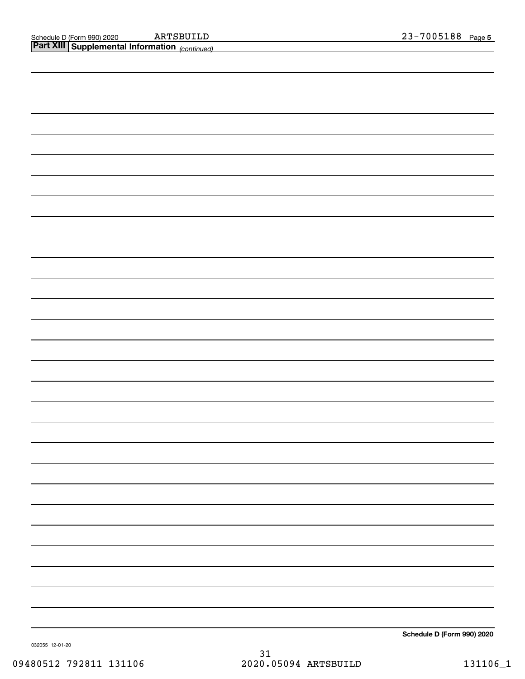**Schedule D (Form 990) 2020**

032055 12-01-20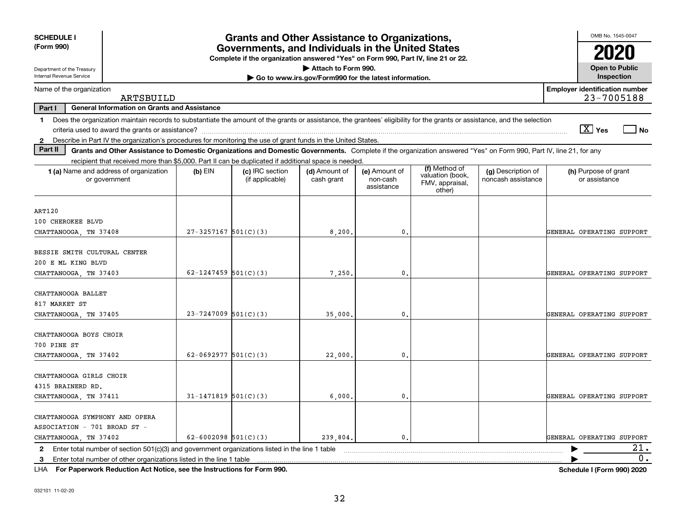| <b>SCHEDULE I</b><br>(Form 990)                                                                                                                                                                                                                                           | <b>Grants and Other Assistance to Organizations,</b><br>Governments, and Individuals in the United States<br>Complete if the organization answered "Yes" on Form 990, Part IV, line 21 or 22. |                                    |                                                       |                                         |                                                                |                                          |                                                     |  |
|---------------------------------------------------------------------------------------------------------------------------------------------------------------------------------------------------------------------------------------------------------------------------|-----------------------------------------------------------------------------------------------------------------------------------------------------------------------------------------------|------------------------------------|-------------------------------------------------------|-----------------------------------------|----------------------------------------------------------------|------------------------------------------|-----------------------------------------------------|--|
| Department of the Treasury<br>Internal Revenue Service                                                                                                                                                                                                                    |                                                                                                                                                                                               |                                    | Attach to Form 990.                                   |                                         |                                                                |                                          | <b>Open to Public</b>                               |  |
|                                                                                                                                                                                                                                                                           |                                                                                                                                                                                               |                                    | Go to www.irs.gov/Form990 for the latest information. |                                         |                                                                |                                          | Inspection                                          |  |
| Name of the organization<br>ARTSBUILD                                                                                                                                                                                                                                     |                                                                                                                                                                                               |                                    |                                                       |                                         |                                                                |                                          | <b>Employer identification number</b><br>23-7005188 |  |
| <b>General Information on Grants and Assistance</b><br>Part I                                                                                                                                                                                                             |                                                                                                                                                                                               |                                    |                                                       |                                         |                                                                |                                          |                                                     |  |
| Does the organization maintain records to substantiate the amount of the grants or assistance, the grantees' eligibility for the grants or assistance, and the selection<br>$\mathbf 1$                                                                                   |                                                                                                                                                                                               |                                    |                                                       |                                         |                                                                |                                          |                                                     |  |
|                                                                                                                                                                                                                                                                           |                                                                                                                                                                                               |                                    |                                                       |                                         |                                                                |                                          | $\sqrt{X}$ Yes<br>l No                              |  |
| Describe in Part IV the organization's procedures for monitoring the use of grant funds in the United States.<br>$2^{\circ}$<br>Part II                                                                                                                                   |                                                                                                                                                                                               |                                    |                                                       |                                         |                                                                |                                          |                                                     |  |
| Grants and Other Assistance to Domestic Organizations and Domestic Governments. Complete if the organization answered "Yes" on Form 990, Part IV, line 21, for any<br>recipient that received more than \$5,000. Part II can be duplicated if additional space is needed. |                                                                                                                                                                                               |                                    |                                                       |                                         |                                                                |                                          |                                                     |  |
| 1 (a) Name and address of organization<br>or government                                                                                                                                                                                                                   | $(b)$ EIN                                                                                                                                                                                     | (c) IRC section<br>(if applicable) | (d) Amount of<br>cash grant                           | (e) Amount of<br>non-cash<br>assistance | (f) Method of<br>valuation (book,<br>FMV, appraisal,<br>other) | (g) Description of<br>noncash assistance | (h) Purpose of grant<br>or assistance               |  |
| <b>ART120</b>                                                                                                                                                                                                                                                             |                                                                                                                                                                                               |                                    |                                                       |                                         |                                                                |                                          |                                                     |  |
| 100 CHEROKEE BLVD                                                                                                                                                                                                                                                         |                                                                                                                                                                                               |                                    |                                                       |                                         |                                                                |                                          |                                                     |  |
| CHATTANOOGA, TN 37408                                                                                                                                                                                                                                                     | $27-3257167$ 501(C)(3)                                                                                                                                                                        |                                    | 8,200.                                                | $\mathbf{0}$ .                          |                                                                |                                          | GENERAL OPERATING SUPPORT                           |  |
| BESSIE SMITH CULTURAL CENTER<br>200 E ML KING BLVD<br>CHATTANOOGA, TN 37403                                                                                                                                                                                               | 62-1247459 $501(C)(3)$                                                                                                                                                                        |                                    | 7,250                                                 | 0.                                      |                                                                |                                          | GENERAL OPERATING SUPPORT                           |  |
| CHATTANOOGA BALLET<br>817 MARKET ST<br>CHATTANOOGA, TN 37405                                                                                                                                                                                                              | $23 - 7247009$ 501(C)(3)                                                                                                                                                                      |                                    | 35,000                                                | $\mathbf{0}$ .                          |                                                                |                                          | GENERAL OPERATING SUPPORT                           |  |
| CHATTANOOGA BOYS CHOIR<br>700 PINE ST<br>CHATTANOOGA, TN 37402                                                                                                                                                                                                            | 62-0692977 $501(C)(3)$                                                                                                                                                                        |                                    | 22,000                                                | 0.                                      |                                                                |                                          | GENERAL OPERATING SUPPORT                           |  |
| CHATTANOOGA GIRLS CHOIR<br>4315 BRAINERD RD.<br>CHATTANOOGA, TN 37411                                                                                                                                                                                                     | $31 - 1471819$ 501(C)(3)                                                                                                                                                                      |                                    | 6,000.                                                | 0.                                      |                                                                |                                          | GENERAL OPERATING SUPPORT                           |  |
| CHATTANOOGA SYMPHONY AND OPERA<br>ASSOCIATION - 701 BROAD ST -<br>CHATTANOOGA, TN 37402                                                                                                                                                                                   | 62-6002098 $501(C)(3)$                                                                                                                                                                        |                                    | 239,804                                               | $\mathbf{0}$ .                          |                                                                |                                          | GENERAL OPERATING SUPPORT                           |  |
| Enter total number of section $501(c)(3)$ and government organizations listed in the line 1 table<br>$\mathbf{2}$                                                                                                                                                         |                                                                                                                                                                                               |                                    |                                                       |                                         |                                                                |                                          | 21.                                                 |  |
| Enter total number of other organizations listed in the line 1 table<br>3                                                                                                                                                                                                 |                                                                                                                                                                                               |                                    |                                                       |                                         |                                                                |                                          | 0.                                                  |  |

**For Paperwork Reduction Act Notice, see the Instructions for Form 990. Schedule I (Form 990) 2020** LHA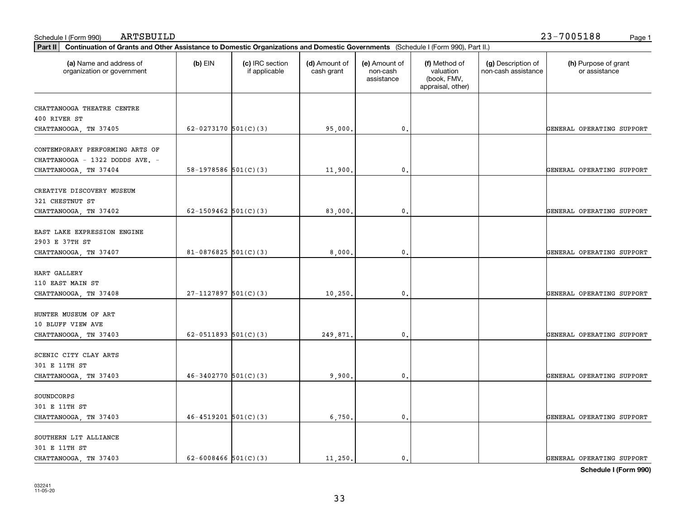| Schedule I (Form 990) | ARTSBUILD | $\sim$ $\sim$<br>7005188<br>55۰ ک | Page |
|-----------------------|-----------|-----------------------------------|------|
|-----------------------|-----------|-----------------------------------|------|

| Part II   Continuation of Grants and Other Assistance to Domestic Organizations and Domestic Governments (Schedule I (Form 990), Part II.) |                            |                                  |                             |                                         |                                                                |                                           |                                       |
|--------------------------------------------------------------------------------------------------------------------------------------------|----------------------------|----------------------------------|-----------------------------|-----------------------------------------|----------------------------------------------------------------|-------------------------------------------|---------------------------------------|
| (a) Name and address of<br>organization or government                                                                                      | $(b)$ EIN                  | (c) IRC section<br>if applicable | (d) Amount of<br>cash grant | (e) Amount of<br>non-cash<br>assistance | (f) Method of<br>valuation<br>(book, FMV,<br>appraisal, other) | (g) Description of<br>non-cash assistance | (h) Purpose of grant<br>or assistance |
|                                                                                                                                            |                            |                                  |                             |                                         |                                                                |                                           |                                       |
| CHATTANOOGA THEATRE CENTRE<br>400 RIVER ST                                                                                                 |                            |                                  |                             |                                         |                                                                |                                           |                                       |
| CHATTANOOGA, TN 37405                                                                                                                      | 62-0273170 $501(C)(3)$     |                                  | 95,000.                     | $\mathfrak{o}$ .                        |                                                                |                                           | GENERAL OPERATING SUPPORT             |
|                                                                                                                                            |                            |                                  |                             |                                         |                                                                |                                           |                                       |
| CONTEMPORARY PERFORMING ARTS OF                                                                                                            |                            |                                  |                             |                                         |                                                                |                                           |                                       |
| CHATTANOOGA - 1322 DODDS AVE. -                                                                                                            |                            |                                  |                             |                                         |                                                                |                                           |                                       |
| CHATTANOOGA, TN 37404                                                                                                                      | 58-1978586 $501(C)(3)$     |                                  | 11,900                      | 0.                                      |                                                                |                                           | GENERAL OPERATING SUPPORT             |
|                                                                                                                                            |                            |                                  |                             |                                         |                                                                |                                           |                                       |
| CREATIVE DISCOVERY MUSEUM                                                                                                                  |                            |                                  |                             |                                         |                                                                |                                           |                                       |
| 321 CHESTNUT ST                                                                                                                            |                            |                                  |                             |                                         |                                                                |                                           |                                       |
| CHATTANOOGA, TN 37402                                                                                                                      | 62-1509462 $501(C)(3)$     |                                  | 83,000                      | $\mathbf{0}$ .                          |                                                                |                                           | GENERAL OPERATING SUPPORT             |
| EAST LAKE EXPRESSION ENGINE                                                                                                                |                            |                                  |                             |                                         |                                                                |                                           |                                       |
| 2903 E 37TH ST                                                                                                                             |                            |                                  |                             |                                         |                                                                |                                           |                                       |
| CHATTANOOGA, TN 37407                                                                                                                      | 81-0876825 $501(C)(3)$     |                                  | 8,000.                      | 0.                                      |                                                                |                                           | GENERAL OPERATING SUPPORT             |
|                                                                                                                                            |                            |                                  |                             |                                         |                                                                |                                           |                                       |
| HART GALLERY                                                                                                                               |                            |                                  |                             |                                         |                                                                |                                           |                                       |
| 110 EAST MAIN ST                                                                                                                           |                            |                                  |                             |                                         |                                                                |                                           |                                       |
| CHATTANOOGA, TN 37408                                                                                                                      | $27-1127897$ 501(C)(3)     |                                  | 10, 250.                    | $\mathbf{0}$                            |                                                                |                                           | GENERAL OPERATING SUPPORT             |
|                                                                                                                                            |                            |                                  |                             |                                         |                                                                |                                           |                                       |
| HUNTER MUSEUM OF ART                                                                                                                       |                            |                                  |                             |                                         |                                                                |                                           |                                       |
| 10 BLUFF VIEW AVE                                                                                                                          |                            |                                  |                             |                                         |                                                                |                                           |                                       |
| CHATTANOOGA, TN 37403                                                                                                                      | 62-0511893 $501(C)(3)$     |                                  | 249,871                     | 0.                                      |                                                                |                                           | GENERAL OPERATING SUPPORT             |
|                                                                                                                                            |                            |                                  |                             |                                         |                                                                |                                           |                                       |
| SCENIC CITY CLAY ARTS<br>301 E 11TH ST                                                                                                     |                            |                                  |                             |                                         |                                                                |                                           |                                       |
|                                                                                                                                            | $46 - 3402770$ 501(C)(3)   |                                  |                             |                                         |                                                                |                                           |                                       |
| CHATTANOOGA, TN 37403                                                                                                                      |                            |                                  | 9,900.                      | $^{\circ}$ .                            |                                                                |                                           | GENERAL OPERATING SUPPORT             |
| SOUNDCORPS                                                                                                                                 |                            |                                  |                             |                                         |                                                                |                                           |                                       |
| 301 E 11TH ST                                                                                                                              |                            |                                  |                             |                                         |                                                                |                                           |                                       |
| CHATTANOOGA, TN 37403                                                                                                                      | $46 - 4519201$ $501(C)(3)$ |                                  | 6,750.                      | $\mathbf{0}$ .                          |                                                                |                                           | GENERAL OPERATING SUPPORT             |
|                                                                                                                                            |                            |                                  |                             |                                         |                                                                |                                           |                                       |
| SOUTHERN LIT ALLIANCE                                                                                                                      |                            |                                  |                             |                                         |                                                                |                                           |                                       |
| 301 E 11TH ST                                                                                                                              |                            |                                  |                             |                                         |                                                                |                                           |                                       |
| CHATTANOOGA, TN 37403                                                                                                                      | $62 - 6008466$ $501(C)(3)$ |                                  | 11.250.                     | $\mathfrak{o}$ .                        |                                                                |                                           | GENERAL OPERATING SUPPORT             |

**Schedule I (Form 990)**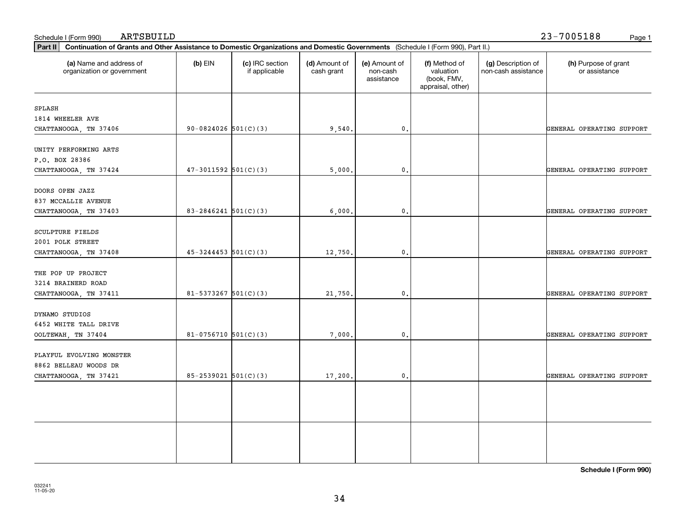| 1 (Form 990)<br>Schedule I | ARTSBUILD | .<br>⊥ ი ი | Page |
|----------------------------|-----------|------------|------|
|                            |           |            |      |

| (a) Name and address of<br>organization or government | $(b)$ EIN                  | (c) IRC section<br>if applicable | (d) Amount of<br>cash grant | (e) Amount of<br>non-cash<br>assistance | (f) Method of<br>valuation<br>(book, FMV,<br>appraisal, other) | (g) Description of<br>non-cash assistance | (h) Purpose of grant<br>or assistance |
|-------------------------------------------------------|----------------------------|----------------------------------|-----------------------------|-----------------------------------------|----------------------------------------------------------------|-------------------------------------------|---------------------------------------|
| SPLASH                                                |                            |                                  |                             |                                         |                                                                |                                           |                                       |
| 1814 WHEELER AVE                                      |                            |                                  |                             |                                         |                                                                |                                           |                                       |
| CHATTANOOGA, TN 37406                                 | 90-0824026 $501(C)(3)$     |                                  | 9,540.                      | 0.                                      |                                                                |                                           | GENERAL OPERATING SUPPORT             |
| UNITY PERFORMING ARTS                                 |                            |                                  |                             |                                         |                                                                |                                           |                                       |
| P.O. BOX 28386                                        |                            |                                  |                             |                                         |                                                                |                                           |                                       |
| CHATTANOOGA, TN 37424                                 | $47-3011592$ 501(C)(3)     |                                  | 5,000.                      | $\mathbf{0}$ .                          |                                                                |                                           | GENERAL OPERATING SUPPORT             |
| DOORS OPEN JAZZ                                       |                            |                                  |                             |                                         |                                                                |                                           |                                       |
| 837 MCCALLIE AVENUE                                   |                            |                                  |                             |                                         |                                                                |                                           |                                       |
| CHATTANOOGA, TN 37403                                 | $83 - 2846241$ $501(C)(3)$ |                                  | 6,000.                      | $\mathbf{0}$ .                          |                                                                |                                           | GENERAL OPERATING SUPPORT             |
| SCULPTURE FIELDS                                      |                            |                                  |                             |                                         |                                                                |                                           |                                       |
| 2001 POLK STREET                                      |                            |                                  |                             |                                         |                                                                |                                           |                                       |
| CHATTANOOGA, TN 37408                                 | $45 - 3244453$ 501(C)(3)   |                                  | 12,750.                     | $\mathbf{0}$ .                          |                                                                |                                           | GENERAL OPERATING SUPPORT             |
|                                                       |                            |                                  |                             |                                         |                                                                |                                           |                                       |
| THE POP UP PROJECT                                    |                            |                                  |                             |                                         |                                                                |                                           |                                       |
| 3214 BRAINERD ROAD                                    |                            |                                  |                             |                                         |                                                                |                                           |                                       |
| CHATTANOOGA, TN 37411                                 | $81 - 5373267$ $501(C)(3)$ |                                  | 21,750.                     | 0.                                      |                                                                |                                           | GENERAL OPERATING SUPPORT             |
| DYNAMO STUDIOS                                        |                            |                                  |                             |                                         |                                                                |                                           |                                       |
| 6452 WHITE TALL DRIVE                                 |                            |                                  |                             |                                         |                                                                |                                           |                                       |
| OOLTEWAH, TN 37404                                    | $81-0756710$ 501(C)(3)     |                                  | 7,000,                      | 0.                                      |                                                                |                                           | GENERAL OPERATING SUPPORT             |
| PLAYFUL EVOLVING MONSTER                              |                            |                                  |                             |                                         |                                                                |                                           |                                       |
| 8862 BELLEAU WOODS DR                                 |                            |                                  |                             |                                         |                                                                |                                           |                                       |
| CHATTANOOGA, TN 37421                                 | $85 - 2539021$ $501(C)(3)$ |                                  | 17,200.                     | 0.                                      |                                                                |                                           | GENERAL OPERATING SUPPORT             |
|                                                       |                            |                                  |                             |                                         |                                                                |                                           |                                       |
|                                                       |                            |                                  |                             |                                         |                                                                |                                           |                                       |
|                                                       |                            |                                  |                             |                                         |                                                                |                                           |                                       |
|                                                       |                            |                                  |                             |                                         |                                                                |                                           |                                       |
|                                                       |                            |                                  |                             |                                         |                                                                |                                           |                                       |
|                                                       |                            |                                  |                             |                                         |                                                                |                                           |                                       |

**Schedule I (Form 990)**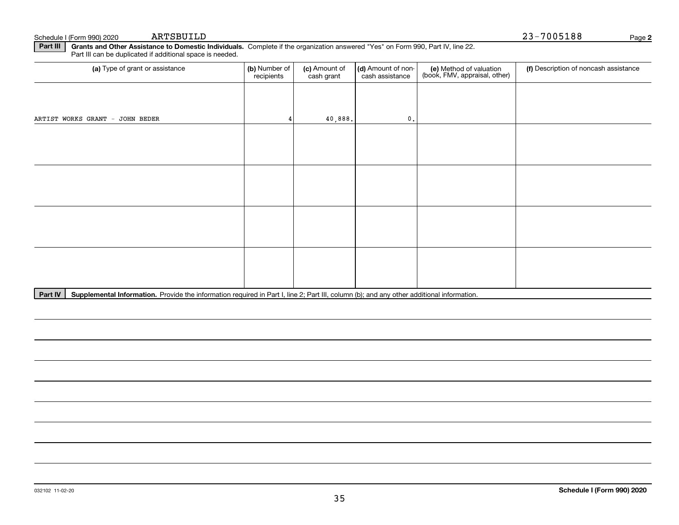### Schedule I (Form 990) 2020 ARTSBUILD

**Part III** | Grants and Other Assistance to Domestic Individuals. Complete if the organization answered "Yes" on Form 990, Part IV, line 22. Part III can be duplicated if additional space is needed.

| (a) Type of grant or assistance | (b) Number of<br>recipients | (c) Amount of<br>cash grant | (d) Amount of non-<br>cash assistance | (e) Method of valuation<br>(book, FMV, appraisal, other) | (f) Description of noncash assistance |
|---------------------------------|-----------------------------|-----------------------------|---------------------------------------|----------------------------------------------------------|---------------------------------------|
|                                 |                             |                             |                                       |                                                          |                                       |
| ARTIST WORKS GRANT - JOHN BEDER |                             | 40,888.                     | $\mathbf{0}$ .                        |                                                          |                                       |
|                                 |                             |                             |                                       |                                                          |                                       |
|                                 |                             |                             |                                       |                                                          |                                       |
|                                 |                             |                             |                                       |                                                          |                                       |
|                                 |                             |                             |                                       |                                                          |                                       |
|                                 |                             |                             |                                       |                                                          |                                       |
|                                 |                             |                             |                                       |                                                          |                                       |
|                                 |                             |                             |                                       |                                                          |                                       |
|                                 |                             |                             |                                       |                                                          |                                       |

Part IV | Supplemental Information. Provide the information required in Part I, line 2; Part III, column (b); and any other additional information.

23-7005188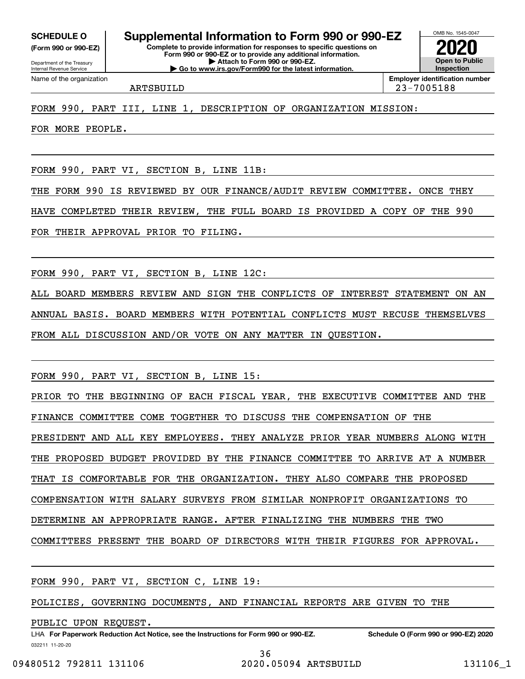**(Form 990 or 990-EZ)**

Department of the Treasury Internal Revenue Service Name of the organization

### **Complete to provide information for responses to specific questions on SCHEDULE O Supplemental Information to Form 990 or 990-EZ**

**Form 990 or 990-EZ or to provide any additional information. | Attach to Form 990 or 990-EZ. | Go to www.irs.gov/Form990 for the latest information.**



ARTSBUILD 23-7005188

FORM 990, PART III, LINE 1, DESCRIPTION OF ORGANIZATION MISSION:

FOR MORE PEOPLE.

FORM 990, PART VI, SECTION B, LINE 11B:

THE FORM 990 IS REVIEWED BY OUR FINANCE/AUDIT REVIEW COMMITTEE. ONCE THEY

HAVE COMPLETED THEIR REVIEW, THE FULL BOARD IS PROVIDED A COPY OF THE 990

FOR THEIR APPROVAL PRIOR TO FILING.

FORM 990, PART VI, SECTION B, LINE 12C:

ALL BOARD MEMBERS REVIEW AND SIGN THE CONFLICTS OF INTEREST STATEMENT ON AN ANNUAL BASIS. BOARD MEMBERS WITH POTENTIAL CONFLICTS MUST RECUSE THEMSELVES FROM ALL DISCUSSION AND/OR VOTE ON ANY MATTER IN QUESTION.

FORM 990, PART VI, SECTION B, LINE 15:

PRIOR TO THE BEGINNING OF EACH FISCAL YEAR, THE EXECUTIVE COMMITTEE AND THE FINANCE COMMITTEE COME TOGETHER TO DISCUSS THE COMPENSATION OF THE PRESIDENT AND ALL KEY EMPLOYEES. THEY ANALYZE PRIOR YEAR NUMBERS ALONG WITH THE PROPOSED BUDGET PROVIDED BY THE FINANCE COMMITTEE TO ARRIVE AT A NUMBER THAT IS COMFORTABLE FOR THE ORGANIZATION. THEY ALSO COMPARE THE PROPOSED COMPENSATION WITH SALARY SURVEYS FROM SIMILAR NONPROFIT ORGANIZATIONS TO DETERMINE AN APPROPRIATE RANGE. AFTER FINALIZING THE NUMBERS THE TWO COMMITTEES PRESENT THE BOARD OF DIRECTORS WITH THEIR FIGURES FOR APPROVAL.

FORM 990, PART VI, SECTION C, LINE 19:

POLICIES, GOVERNING DOCUMENTS, AND FINANCIAL REPORTS ARE GIVEN TO THE

PUBLIC UPON REQUEST.

032211 11-20-20 LHA For Paperwork Reduction Act Notice, see the Instructions for Form 990 or 990-EZ. Schedule O (Form 990 or 990-EZ) 2020